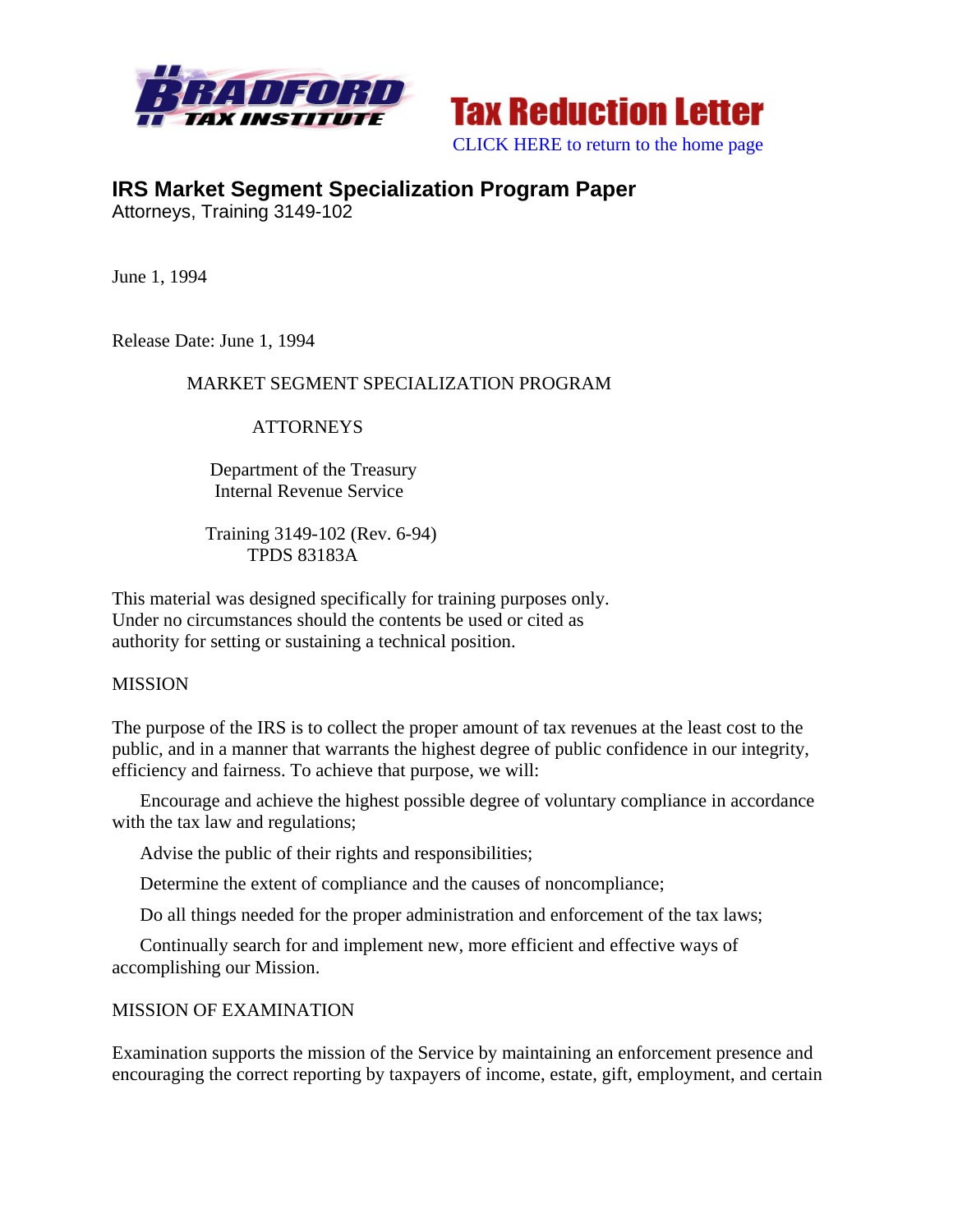



# **IRS Market Segment Specialization Program Paper**

Attorneys, Training 3149-102

June 1, 1994

Release Date: June 1, 1994

# MARKET SEGMENT SPECIALIZATION PROGRAM

# ATTORNEYS

 Department of the Treasury Internal Revenue Service

 Training 3149-102 (Rev. 6-94) TPDS 83183A

This material was designed specifically for training purposes only. Under no circumstances should the contents be used or cited as authority for setting or sustaining a technical position.

# MISSION

The purpose of the IRS is to collect the proper amount of tax revenues at the least cost to the public, and in a manner that warrants the highest degree of public confidence in our integrity, efficiency and fairness. To achieve that purpose, we will:

Encourage and achieve the highest possible degree of voluntary compliance in accordance with the tax law and regulations;

Advise the public of their rights and responsibilities;

Determine the extent of compliance and the causes of noncompliance;

Do all things needed for the proper administration and enforcement of the tax laws;

Continually search for and implement new, more efficient and effective ways of accomplishing our Mission.

# MISSION OF EXAMINATION

Examination supports the mission of the Service by maintaining an enforcement presence and encouraging the correct reporting by taxpayers of income, estate, gift, employment, and certain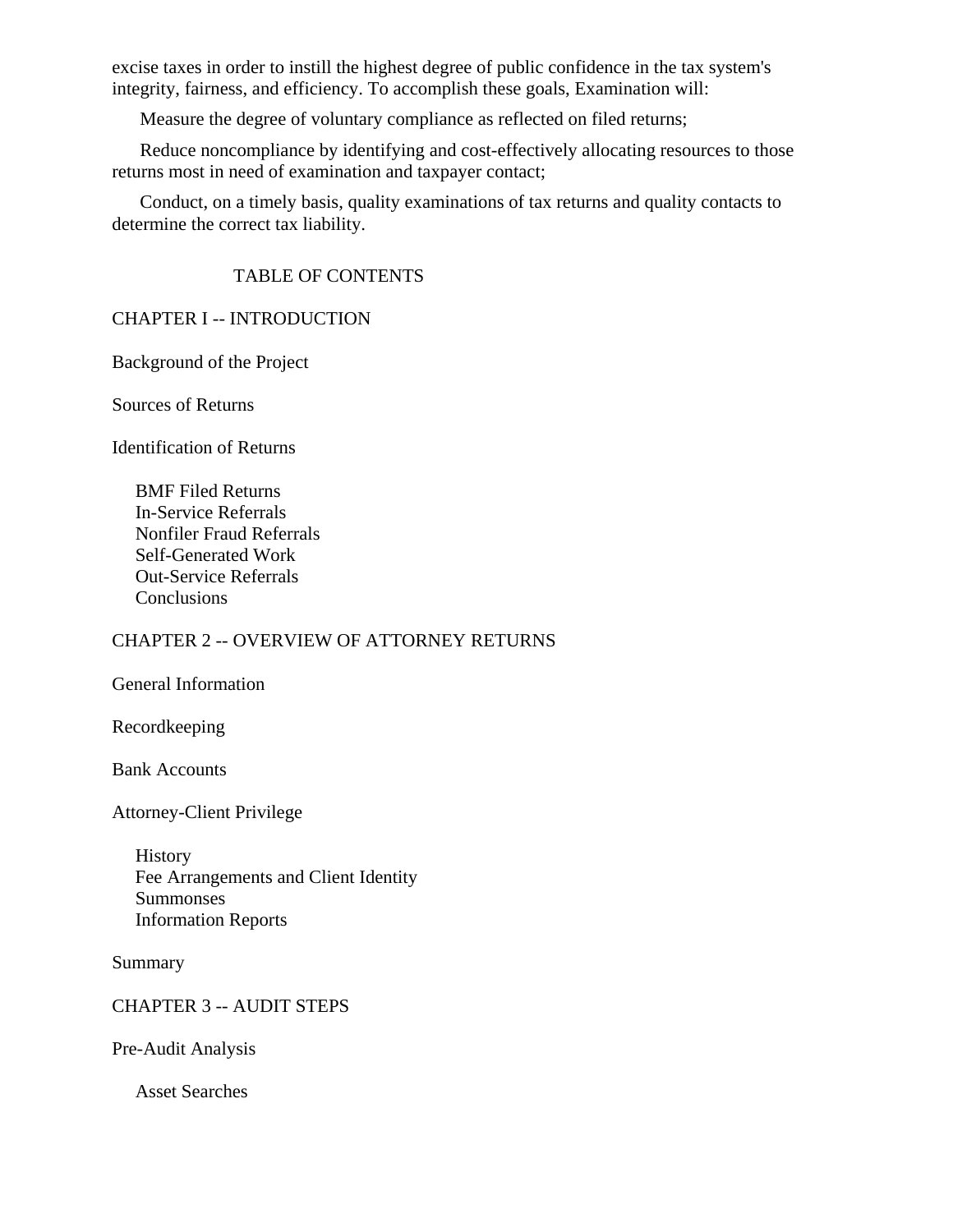excise taxes in order to instill the highest degree of public confidence in the tax system's integrity, fairness, and efficiency. To accomplish these goals, Examination will:

Measure the degree of voluntary compliance as reflected on filed returns;

Reduce noncompliance by identifying and cost-effectively allocating resources to those returns most in need of examination and taxpayer contact;

Conduct, on a timely basis, quality examinations of tax returns and quality contacts to determine the correct tax liability.

# TABLE OF CONTENTS

# CHAPTER I -- INTRODUCTION

Background of the Project

Sources of Returns

Identification of Returns

 BMF Filed Returns In-Service Referrals Nonfiler Fraud Referrals Self-Generated Work Out-Service Referrals **Conclusions** 

# CHAPTER 2 -- OVERVIEW OF ATTORNEY RETURNS

General Information

Recordkeeping

Bank Accounts

Attorney-Client Privilege

 History Fee Arrangements and Client Identity Summonses Information Reports

Summary

CHAPTER 3 -- AUDIT STEPS

Pre-Audit Analysis

Asset Searches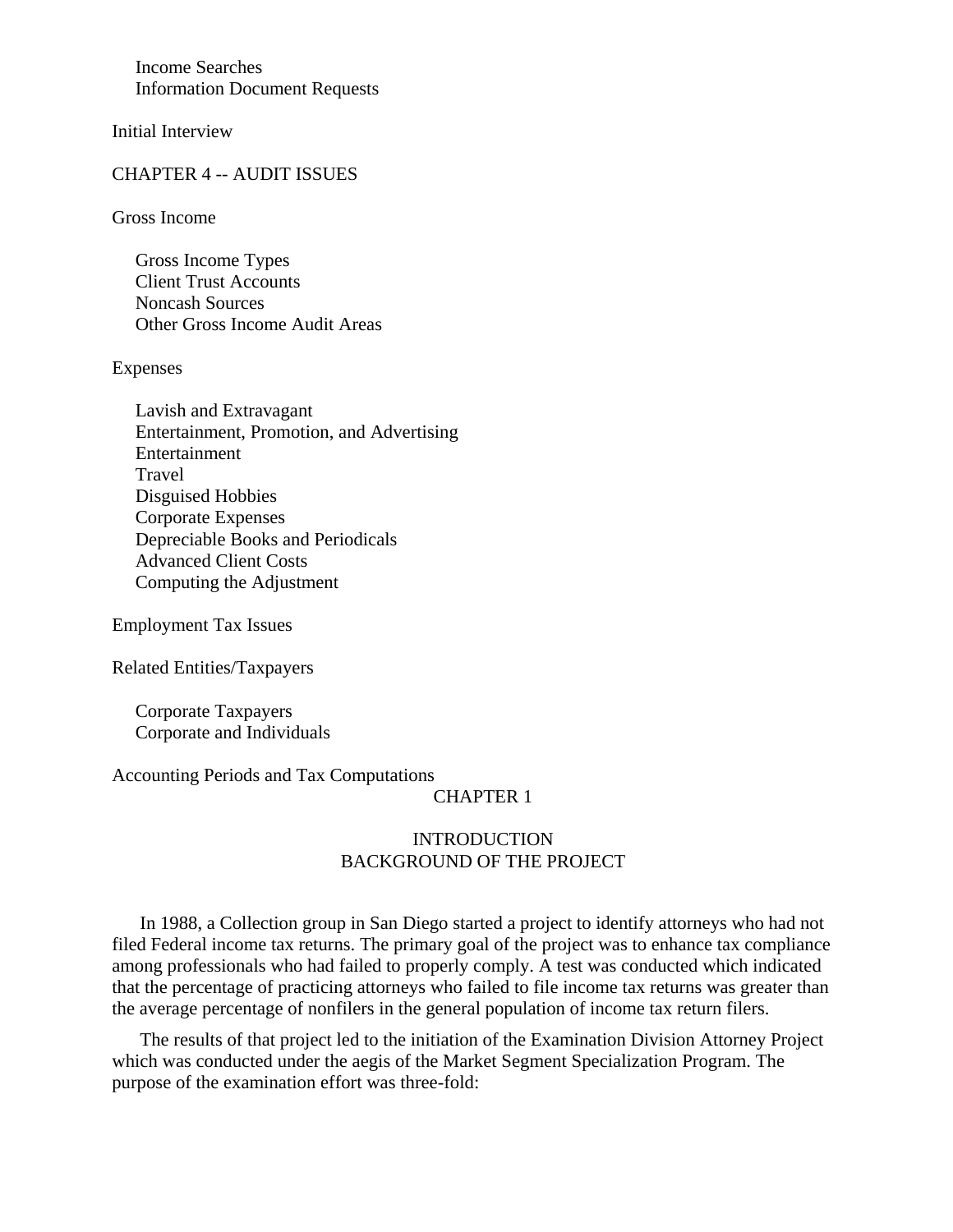Income Searches Information Document Requests

Initial Interview

# CHAPTER 4 -- AUDIT ISSUES

Gross Income

 Gross Income Types Client Trust Accounts Noncash Sources Other Gross Income Audit Areas

Expenses

 Lavish and Extravagant Entertainment, Promotion, and Advertising Entertainment Travel Disguised Hobbies Corporate Expenses Depreciable Books and Periodicals Advanced Client Costs Computing the Adjustment

Employment Tax Issues

Related Entities/Taxpayers

 Corporate Taxpayers Corporate and Individuals

Accounting Periods and Tax Computations

# CHAPTER 1

# INTRODUCTION BACKGROUND OF THE PROJECT

In 1988, a Collection group in San Diego started a project to identify attorneys who had not filed Federal income tax returns. The primary goal of the project was to enhance tax compliance among professionals who had failed to properly comply. A test was conducted which indicated that the percentage of practicing attorneys who failed to file income tax returns was greater than the average percentage of nonfilers in the general population of income tax return filers.

The results of that project led to the initiation of the Examination Division Attorney Project which was conducted under the aegis of the Market Segment Specialization Program. The purpose of the examination effort was three-fold: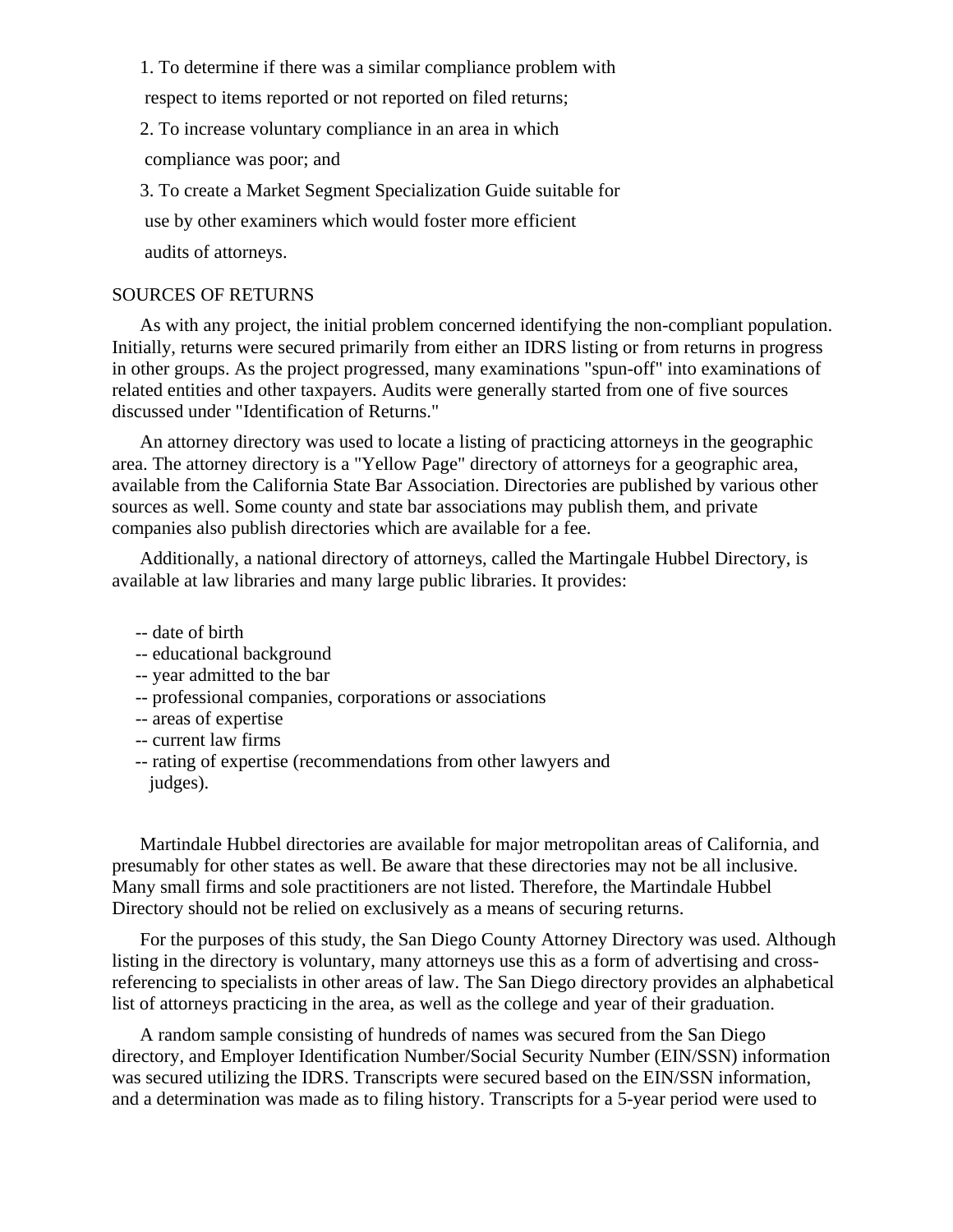1. To determine if there was a similar compliance problem with

respect to items reported or not reported on filed returns;

2. To increase voluntary compliance in an area in which

compliance was poor; and

3. To create a Market Segment Specialization Guide suitable for

use by other examiners which would foster more efficient

audits of attorneys.

# SOURCES OF RETURNS

As with any project, the initial problem concerned identifying the non-compliant population. Initially, returns were secured primarily from either an IDRS listing or from returns in progress in other groups. As the project progressed, many examinations "spun-off" into examinations of related entities and other taxpayers. Audits were generally started from one of five sources discussed under "Identification of Returns."

An attorney directory was used to locate a listing of practicing attorneys in the geographic area. The attorney directory is a "Yellow Page" directory of attorneys for a geographic area, available from the California State Bar Association. Directories are published by various other sources as well. Some county and state bar associations may publish them, and private companies also publish directories which are available for a fee.

Additionally, a national directory of attorneys, called the Martingale Hubbel Directory, is available at law libraries and many large public libraries. It provides:

- -- date of birth
- -- educational background
- -- year admitted to the bar
- -- professional companies, corporations or associations
- -- areas of expertise
- -- current law firms
- -- rating of expertise (recommendations from other lawyers and judges).

Martindale Hubbel directories are available for major metropolitan areas of California, and presumably for other states as well. Be aware that these directories may not be all inclusive. Many small firms and sole practitioners are not listed. Therefore, the Martindale Hubbel Directory should not be relied on exclusively as a means of securing returns.

For the purposes of this study, the San Diego County Attorney Directory was used. Although listing in the directory is voluntary, many attorneys use this as a form of advertising and crossreferencing to specialists in other areas of law. The San Diego directory provides an alphabetical list of attorneys practicing in the area, as well as the college and year of their graduation.

A random sample consisting of hundreds of names was secured from the San Diego directory, and Employer Identification Number/Social Security Number (EIN/SSN) information was secured utilizing the IDRS. Transcripts were secured based on the EIN/SSN information, and a determination was made as to filing history. Transcripts for a 5-year period were used to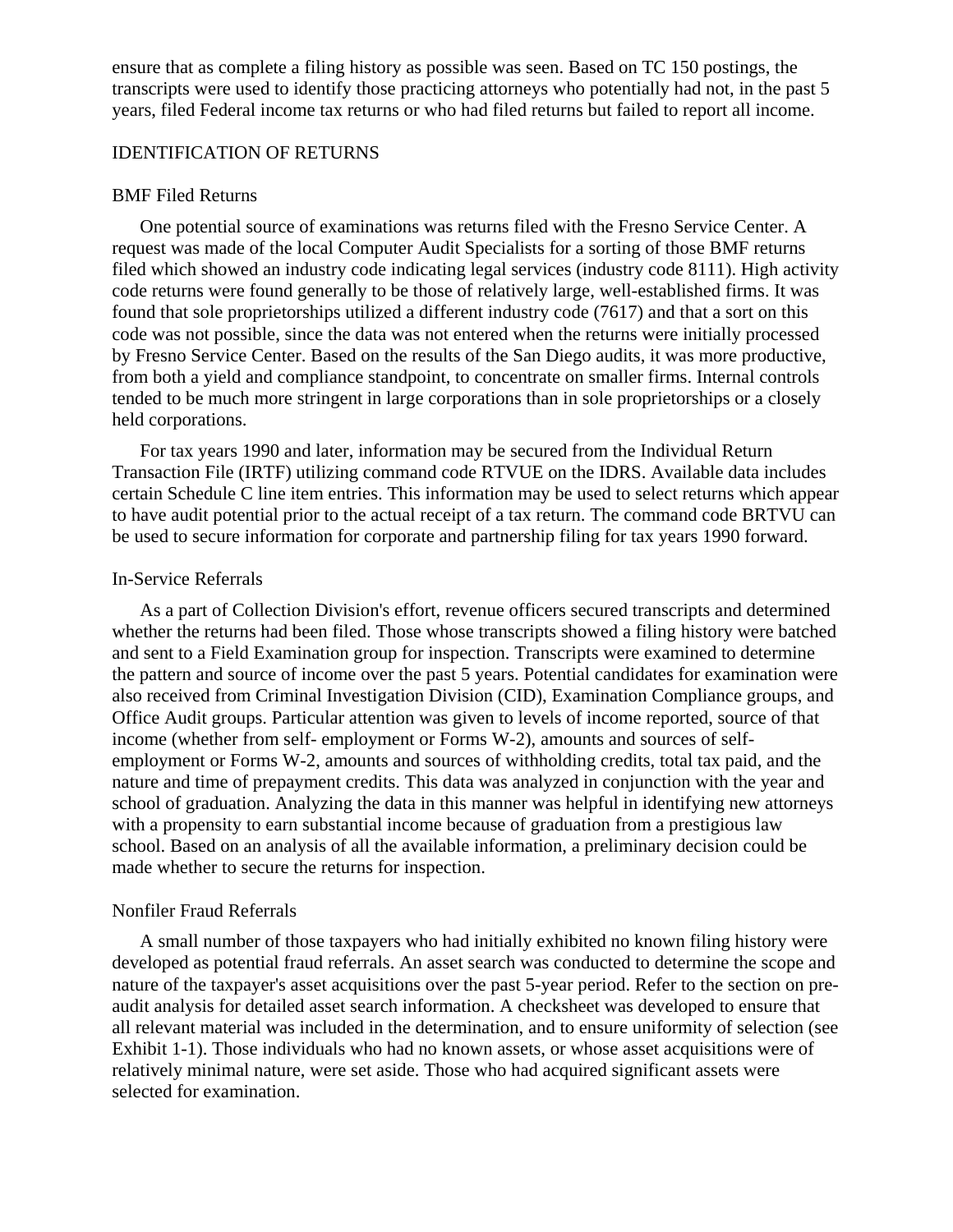ensure that as complete a filing history as possible was seen. Based on TC 150 postings, the transcripts were used to identify those practicing attorneys who potentially had not, in the past 5 years, filed Federal income tax returns or who had filed returns but failed to report all income.

#### IDENTIFICATION OF RETURNS

#### BMF Filed Returns

One potential source of examinations was returns filed with the Fresno Service Center. A request was made of the local Computer Audit Specialists for a sorting of those BMF returns filed which showed an industry code indicating legal services (industry code 8111). High activity code returns were found generally to be those of relatively large, well-established firms. It was found that sole proprietorships utilized a different industry code (7617) and that a sort on this code was not possible, since the data was not entered when the returns were initially processed by Fresno Service Center. Based on the results of the San Diego audits, it was more productive, from both a yield and compliance standpoint, to concentrate on smaller firms. Internal controls tended to be much more stringent in large corporations than in sole proprietorships or a closely held corporations.

For tax years 1990 and later, information may be secured from the Individual Return Transaction File (IRTF) utilizing command code RTVUE on the IDRS. Available data includes certain Schedule C line item entries. This information may be used to select returns which appear to have audit potential prior to the actual receipt of a tax return. The command code BRTVU can be used to secure information for corporate and partnership filing for tax years 1990 forward.

#### In-Service Referrals

As a part of Collection Division's effort, revenue officers secured transcripts and determined whether the returns had been filed. Those whose transcripts showed a filing history were batched and sent to a Field Examination group for inspection. Transcripts were examined to determine the pattern and source of income over the past 5 years. Potential candidates for examination were also received from Criminal Investigation Division (CID), Examination Compliance groups, and Office Audit groups. Particular attention was given to levels of income reported, source of that income (whether from self- employment or Forms W-2), amounts and sources of selfemployment or Forms W-2, amounts and sources of withholding credits, total tax paid, and the nature and time of prepayment credits. This data was analyzed in conjunction with the year and school of graduation. Analyzing the data in this manner was helpful in identifying new attorneys with a propensity to earn substantial income because of graduation from a prestigious law school. Based on an analysis of all the available information, a preliminary decision could be made whether to secure the returns for inspection.

#### Nonfiler Fraud Referrals

A small number of those taxpayers who had initially exhibited no known filing history were developed as potential fraud referrals. An asset search was conducted to determine the scope and nature of the taxpayer's asset acquisitions over the past 5-year period. Refer to the section on preaudit analysis for detailed asset search information. A checksheet was developed to ensure that all relevant material was included in the determination, and to ensure uniformity of selection (see Exhibit 1-1). Those individuals who had no known assets, or whose asset acquisitions were of relatively minimal nature, were set aside. Those who had acquired significant assets were selected for examination.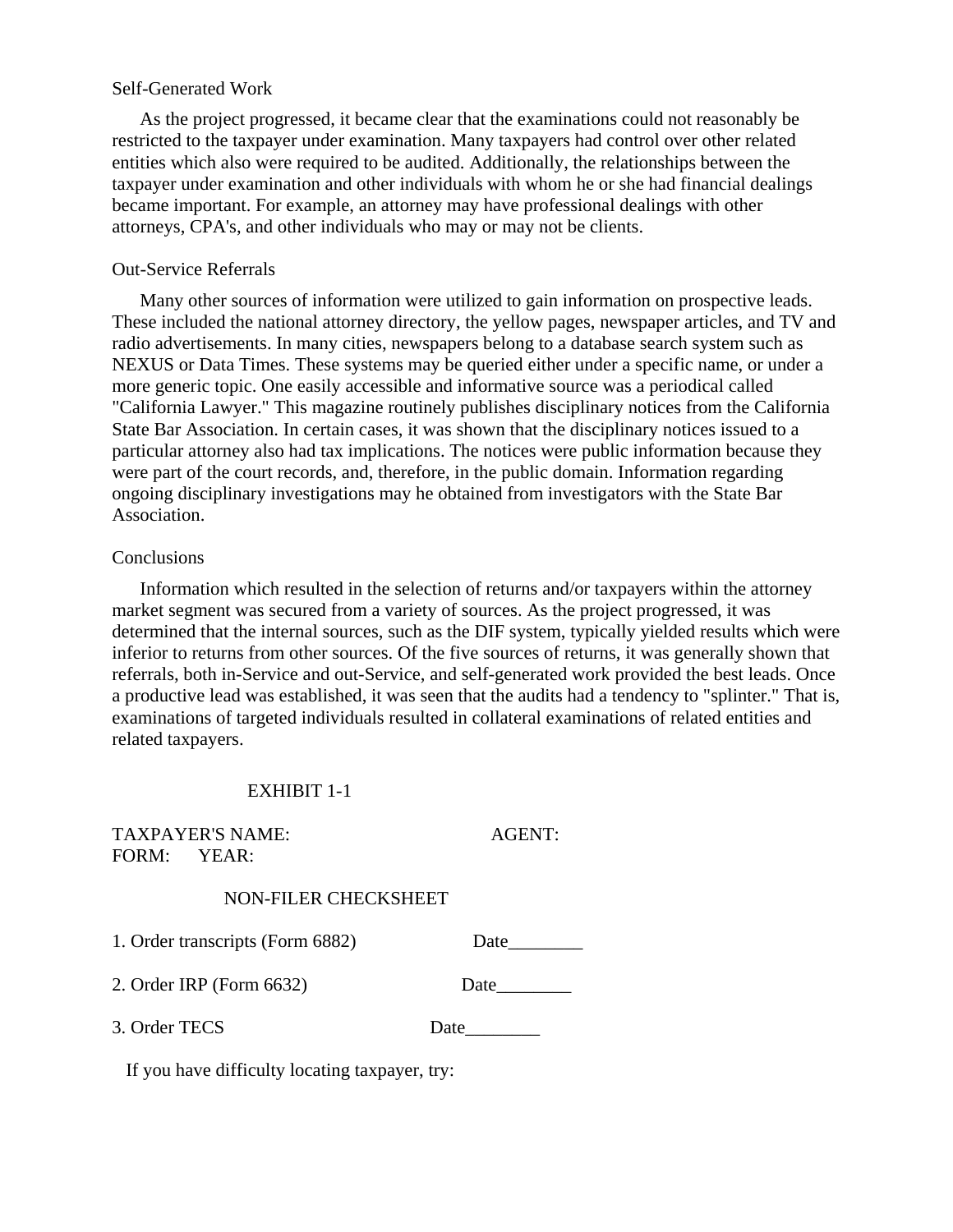# Self-Generated Work

As the project progressed, it became clear that the examinations could not reasonably be restricted to the taxpayer under examination. Many taxpayers had control over other related entities which also were required to be audited. Additionally, the relationships between the taxpayer under examination and other individuals with whom he or she had financial dealings became important. For example, an attorney may have professional dealings with other attorneys, CPA's, and other individuals who may or may not be clients.

#### Out-Service Referrals

Many other sources of information were utilized to gain information on prospective leads. These included the national attorney directory, the yellow pages, newspaper articles, and TV and radio advertisements. In many cities, newspapers belong to a database search system such as NEXUS or Data Times. These systems may be queried either under a specific name, or under a more generic topic. One easily accessible and informative source was a periodical called "California Lawyer." This magazine routinely publishes disciplinary notices from the California State Bar Association. In certain cases, it was shown that the disciplinary notices issued to a particular attorney also had tax implications. The notices were public information because they were part of the court records, and, therefore, in the public domain. Information regarding ongoing disciplinary investigations may he obtained from investigators with the State Bar Association.

#### **Conclusions**

Information which resulted in the selection of returns and/or taxpayers within the attorney market segment was secured from a variety of sources. As the project progressed, it was determined that the internal sources, such as the DIF system, typically yielded results which were inferior to returns from other sources. Of the five sources of returns, it was generally shown that referrals, both in-Service and out-Service, and self-generated work provided the best leads. Once a productive lead was established, it was seen that the audits had a tendency to "splinter." That is, examinations of targeted individuals resulted in collateral examinations of related entities and related taxpayers.

# EXHIBIT 1-1

TAXPAYER'S NAME: AGENT: FORM: YEAR:

# NON-FILER CHECKSHEET

1. Order transcripts (Form 6882) Date

| 2. Order IRP (Form 6632) | Date |
|--------------------------|------|
|--------------------------|------|

3. Order TECS Date

If you have difficulty locating taxpayer, try: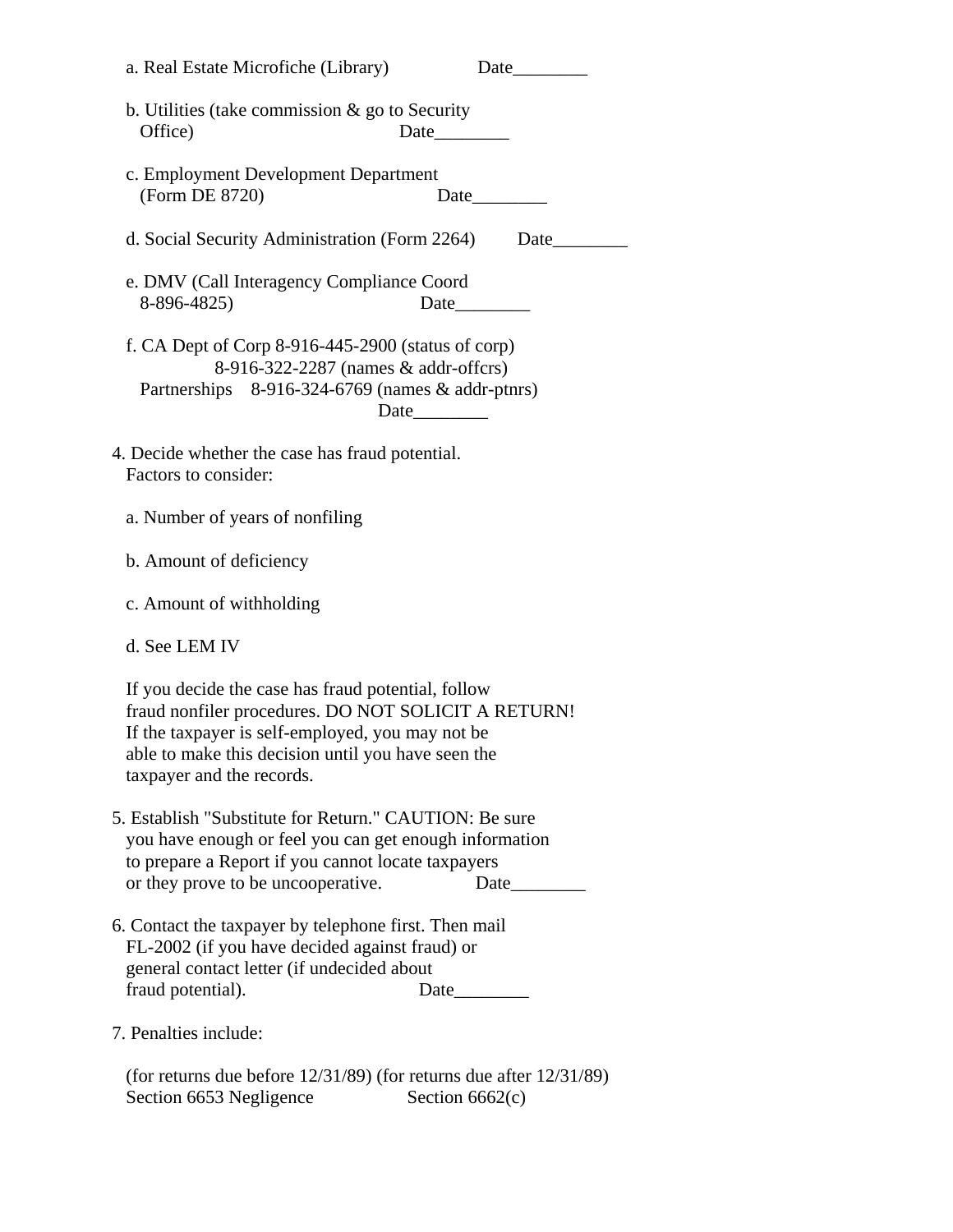| a. Real Estate Microfiche (Library)                                                                                                                                                       |                                                                                                                          |
|-------------------------------------------------------------------------------------------------------------------------------------------------------------------------------------------|--------------------------------------------------------------------------------------------------------------------------|
| b. Utilities (take commission $\&$ go to Security<br>Office)                                                                                                                              |                                                                                                                          |
| c. Employment Development Department<br>(Form DE 8720)                                                                                                                                    |                                                                                                                          |
|                                                                                                                                                                                           | d. Social Security Administration (Form 2264) Date                                                                       |
| e. DMV (Call Interagency Compliance Coord<br>8-896-4825)                                                                                                                                  |                                                                                                                          |
| f. CA Dept of Corp $8-916-445-2900$ (status of corp)                                                                                                                                      | 8-916-322-2287 (names & addr-offcrs)<br>Partnerships 8-916-324-6769 (names & addr-ptnrs)                                 |
| 4. Decide whether the case has fraud potential.<br>Factors to consider:                                                                                                                   |                                                                                                                          |
| a. Number of years of nonfiling                                                                                                                                                           |                                                                                                                          |
| b. Amount of deficiency                                                                                                                                                                   |                                                                                                                          |
| c. Amount of withholding                                                                                                                                                                  |                                                                                                                          |
| d. See LEM IV                                                                                                                                                                             |                                                                                                                          |
| If you decide the case has fraud potential, follow<br>If the taxpayer is self-employed, you may not be<br>able to make this decision until you have seen the<br>taxpayer and the records. | fraud nonfiler procedures. DO NOT SOLICIT A RETURN!                                                                      |
| to prepare a Report if you cannot locate taxpayers<br>or they prove to be uncooperative.                                                                                                  | 5. Establish "Substitute for Return." CAUTION: Be sure<br>you have enough or feel you can get enough information<br>Date |
| 6. Contact the taxpayer by telephone first. Then mail<br>FL-2002 (if you have decided against fraud) or<br>general contact letter (if undecided about<br>fraud potential).                |                                                                                                                          |
| 7. Penalties include:                                                                                                                                                                     |                                                                                                                          |
| Section 6653 Negligence                                                                                                                                                                   | (for returns due before $12/31/89$ ) (for returns due after $12/31/89$ )<br>Section $6662(c)$                            |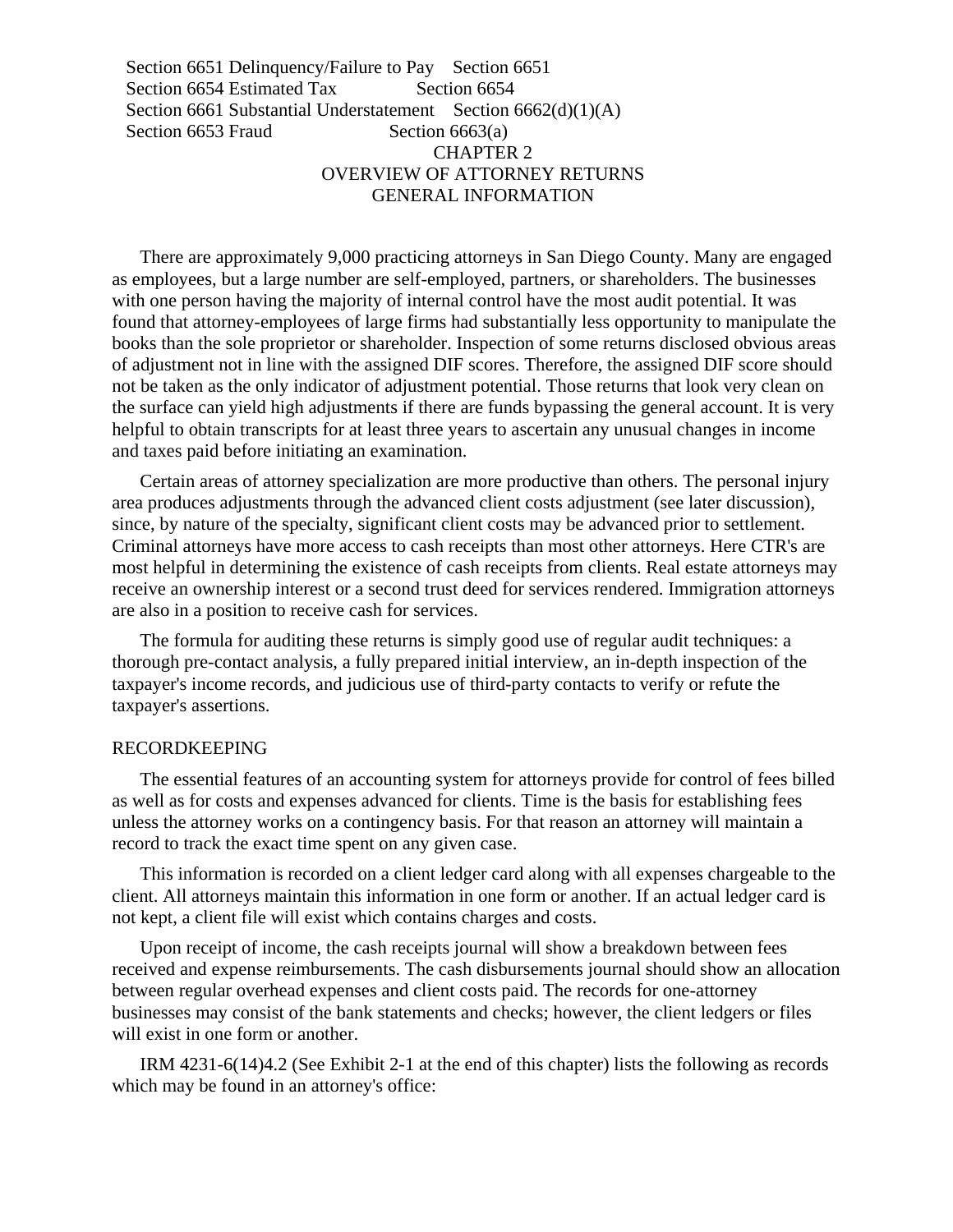Section 6651 Delinquency/Failure to Pay Section 6651 Section 6654 Estimated Tax Section 6654 Section 6661 Substantial Understatement Section 6662(d)(1)(A) Section 6653 Fraud Section 6663(a) CHAPTER 2 OVERVIEW OF ATTORNEY RETURNS GENERAL INFORMATION

There are approximately 9,000 practicing attorneys in San Diego County. Many are engaged as employees, but a large number are self-employed, partners, or shareholders. The businesses with one person having the majority of internal control have the most audit potential. It was found that attorney-employees of large firms had substantially less opportunity to manipulate the books than the sole proprietor or shareholder. Inspection of some returns disclosed obvious areas of adjustment not in line with the assigned DIF scores. Therefore, the assigned DIF score should not be taken as the only indicator of adjustment potential. Those returns that look very clean on the surface can yield high adjustments if there are funds bypassing the general account. It is very helpful to obtain transcripts for at least three years to ascertain any unusual changes in income and taxes paid before initiating an examination.

Certain areas of attorney specialization are more productive than others. The personal injury area produces adjustments through the advanced client costs adjustment (see later discussion), since, by nature of the specialty, significant client costs may be advanced prior to settlement. Criminal attorneys have more access to cash receipts than most other attorneys. Here CTR's are most helpful in determining the existence of cash receipts from clients. Real estate attorneys may receive an ownership interest or a second trust deed for services rendered. Immigration attorneys are also in a position to receive cash for services.

The formula for auditing these returns is simply good use of regular audit techniques: a thorough pre-contact analysis, a fully prepared initial interview, an in-depth inspection of the taxpayer's income records, and judicious use of third-party contacts to verify or refute the taxpayer's assertions.

# RECORDKEEPING

The essential features of an accounting system for attorneys provide for control of fees billed as well as for costs and expenses advanced for clients. Time is the basis for establishing fees unless the attorney works on a contingency basis. For that reason an attorney will maintain a record to track the exact time spent on any given case.

This information is recorded on a client ledger card along with all expenses chargeable to the client. All attorneys maintain this information in one form or another. If an actual ledger card is not kept, a client file will exist which contains charges and costs.

Upon receipt of income, the cash receipts journal will show a breakdown between fees received and expense reimbursements. The cash disbursements journal should show an allocation between regular overhead expenses and client costs paid. The records for one-attorney businesses may consist of the bank statements and checks; however, the client ledgers or files will exist in one form or another.

IRM 4231-6(14)4.2 (See Exhibit 2-1 at the end of this chapter) lists the following as records which may be found in an attorney's office: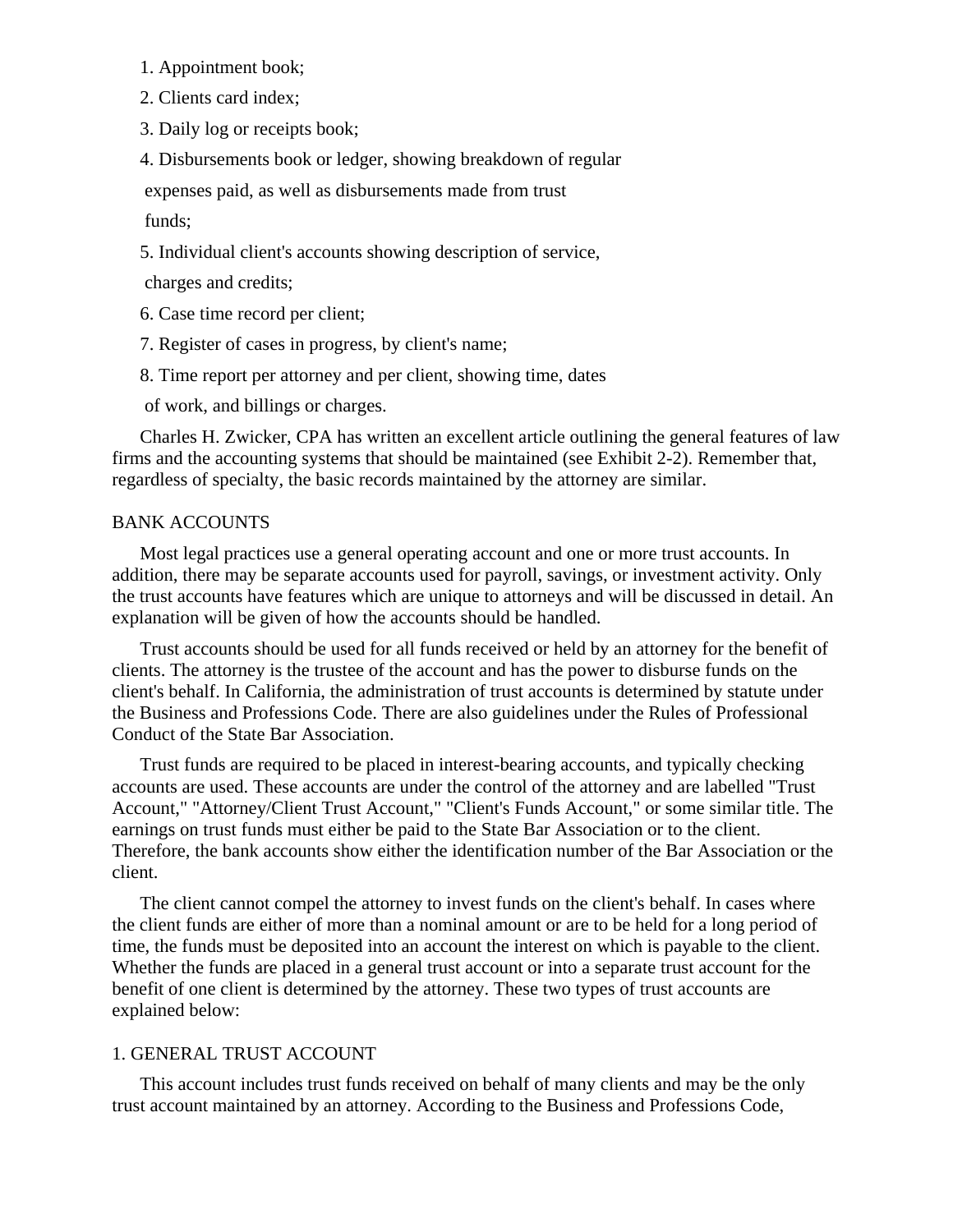1. Appointment book;

2. Clients card index;

3. Daily log or receipts book;

4. Disbursements book or ledger, showing breakdown of regular

expenses paid, as well as disbursements made from trust

funds;

5. Individual client's accounts showing description of service,

charges and credits;

6. Case time record per client;

7. Register of cases in progress, by client's name;

8. Time report per attorney and per client, showing time, dates

of work, and billings or charges.

Charles H. Zwicker, CPA has written an excellent article outlining the general features of law firms and the accounting systems that should be maintained (see Exhibit 2-2). Remember that, regardless of specialty, the basic records maintained by the attorney are similar.

# BANK ACCOUNTS

Most legal practices use a general operating account and one or more trust accounts. In addition, there may be separate accounts used for payroll, savings, or investment activity. Only the trust accounts have features which are unique to attorneys and will be discussed in detail. An explanation will be given of how the accounts should be handled.

Trust accounts should be used for all funds received or held by an attorney for the benefit of clients. The attorney is the trustee of the account and has the power to disburse funds on the client's behalf. In California, the administration of trust accounts is determined by statute under the Business and Professions Code. There are also guidelines under the Rules of Professional Conduct of the State Bar Association.

Trust funds are required to be placed in interest-bearing accounts, and typically checking accounts are used. These accounts are under the control of the attorney and are labelled "Trust Account," "Attorney/Client Trust Account," "Client's Funds Account," or some similar title. The earnings on trust funds must either be paid to the State Bar Association or to the client. Therefore, the bank accounts show either the identification number of the Bar Association or the client.

The client cannot compel the attorney to invest funds on the client's behalf. In cases where the client funds are either of more than a nominal amount or are to be held for a long period of time, the funds must be deposited into an account the interest on which is payable to the client. Whether the funds are placed in a general trust account or into a separate trust account for the benefit of one client is determined by the attorney. These two types of trust accounts are explained below:

# 1. GENERAL TRUST ACCOUNT

This account includes trust funds received on behalf of many clients and may be the only trust account maintained by an attorney. According to the Business and Professions Code,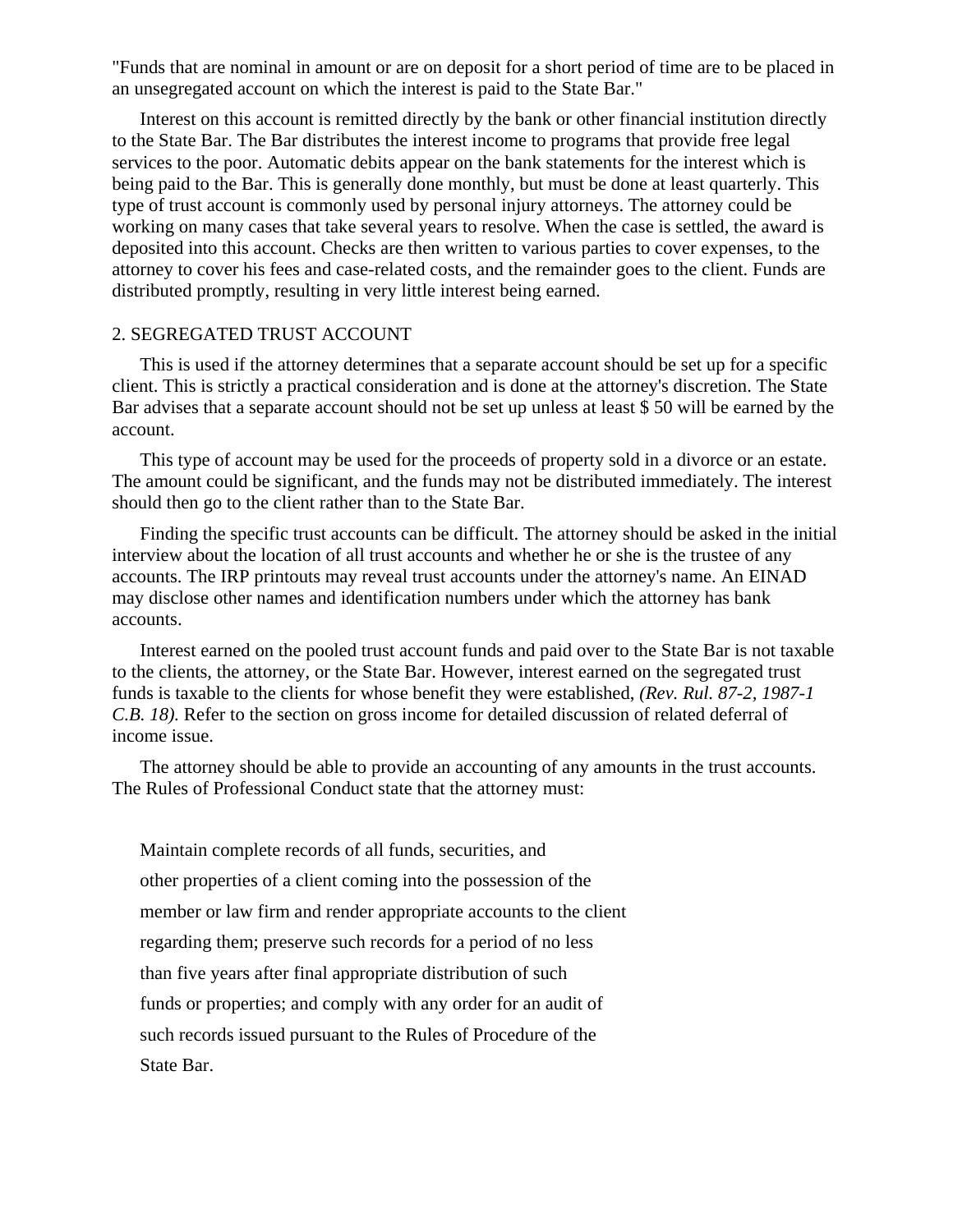"Funds that are nominal in amount or are on deposit for a short period of time are to be placed in an unsegregated account on which the interest is paid to the State Bar."

Interest on this account is remitted directly by the bank or other financial institution directly to the State Bar. The Bar distributes the interest income to programs that provide free legal services to the poor. Automatic debits appear on the bank statements for the interest which is being paid to the Bar. This is generally done monthly, but must be done at least quarterly. This type of trust account is commonly used by personal injury attorneys. The attorney could be working on many cases that take several years to resolve. When the case is settled, the award is deposited into this account. Checks are then written to various parties to cover expenses, to the attorney to cover his fees and case-related costs, and the remainder goes to the client. Funds are distributed promptly, resulting in very little interest being earned.

# 2. SEGREGATED TRUST ACCOUNT

This is used if the attorney determines that a separate account should be set up for a specific client. This is strictly a practical consideration and is done at the attorney's discretion. The State Bar advises that a separate account should not be set up unless at least \$ 50 will be earned by the account.

This type of account may be used for the proceeds of property sold in a divorce or an estate. The amount could be significant, and the funds may not be distributed immediately. The interest should then go to the client rather than to the State Bar.

Finding the specific trust accounts can be difficult. The attorney should be asked in the initial interview about the location of all trust accounts and whether he or she is the trustee of any accounts. The IRP printouts may reveal trust accounts under the attorney's name. An EINAD may disclose other names and identification numbers under which the attorney has bank accounts.

Interest earned on the pooled trust account funds and paid over to the State Bar is not taxable to the clients, the attorney, or the State Bar. However, interest earned on the segregated trust funds is taxable to the clients for whose benefit they were established, *(Rev. Rul. 87-2, 1987-1 C.B. 18).* Refer to the section on gross income for detailed discussion of related deferral of income issue.

The attorney should be able to provide an accounting of any amounts in the trust accounts. The Rules of Professional Conduct state that the attorney must:

Maintain complete records of all funds, securities, and other properties of a client coming into the possession of the member or law firm and render appropriate accounts to the client regarding them; preserve such records for a period of no less than five years after final appropriate distribution of such funds or properties; and comply with any order for an audit of such records issued pursuant to the Rules of Procedure of the State Bar.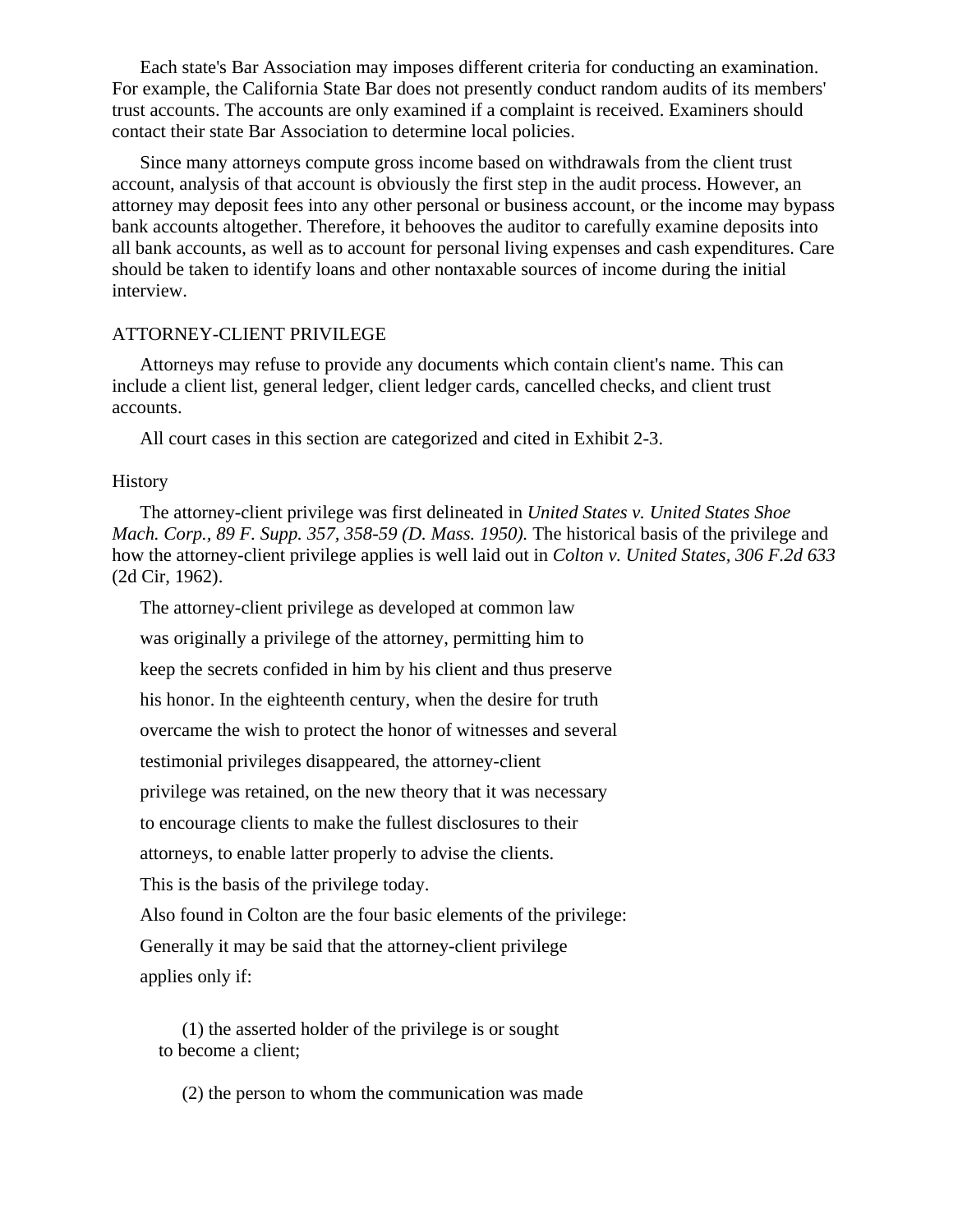Each state's Bar Association may imposes different criteria for conducting an examination. For example, the California State Bar does not presently conduct random audits of its members' trust accounts. The accounts are only examined if a complaint is received. Examiners should contact their state Bar Association to determine local policies.

Since many attorneys compute gross income based on withdrawals from the client trust account, analysis of that account is obviously the first step in the audit process. However, an attorney may deposit fees into any other personal or business account, or the income may bypass bank accounts altogether. Therefore, it behooves the auditor to carefully examine deposits into all bank accounts, as well as to account for personal living expenses and cash expenditures. Care should be taken to identify loans and other nontaxable sources of income during the initial interview.

### ATTORNEY-CLIENT PRIVILEGE

Attorneys may refuse to provide any documents which contain client's name. This can include a client list, general ledger, client ledger cards, cancelled checks, and client trust accounts.

All court cases in this section are categorized and cited in Exhibit 2-3.

#### **History**

The attorney-client privilege was first delineated in *United States v. United States Shoe Mach. Corp., 89 F. Supp. 357, 358-59 (D. Mass. 1950).* The historical basis of the privilege and how the attorney-client privilege applies is well laid out in *Colton v. United States, 306 F.2d 633* (2d Cir, 1962).

The attorney-client privilege as developed at common law was originally a privilege of the attorney, permitting him to keep the secrets confided in him by his client and thus preserve his honor. In the eighteenth century, when the desire for truth overcame the wish to protect the honor of witnesses and several testimonial privileges disappeared, the attorney-client privilege was retained, on the new theory that it was necessary to encourage clients to make the fullest disclosures to their attorneys, to enable latter properly to advise the clients. This is the basis of the privilege today. Also found in Colton are the four basic elements of the privilege: Generally it may be said that the attorney-client privilege

applies only if:

 (1) the asserted holder of the privilege is or sought to become a client;

(2) the person to whom the communication was made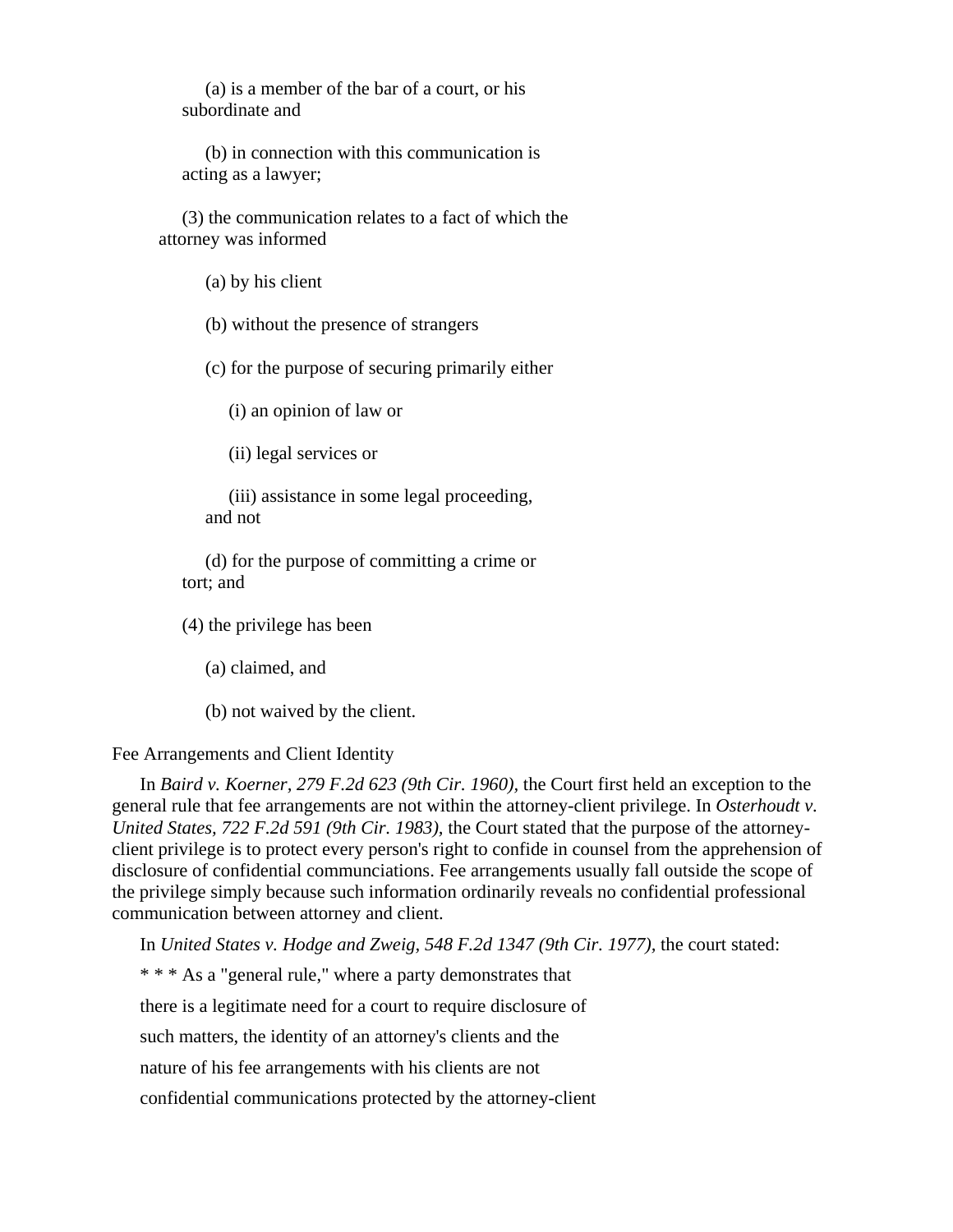(a) is a member of the bar of a court, or his subordinate and

 (b) in connection with this communication is acting as a lawyer;

 (3) the communication relates to a fact of which the attorney was informed

(a) by his client

(b) without the presence of strangers

(c) for the purpose of securing primarily either

(i) an opinion of law or

(ii) legal services or

 (iii) assistance in some legal proceeding, and not

 (d) for the purpose of committing a crime or tort; and

(4) the privilege has been

(a) claimed, and

(b) not waived by the client.

Fee Arrangements and Client Identity

In *Baird v. Koerner, 279 F.2d 623 (9th Cir. 1960),* the Court first held an exception to the general rule that fee arrangements are not within the attorney-client privilege. In *Osterhoudt v. United States, 722 F.2d 591 (9th Cir. 1983),* the Court stated that the purpose of the attorneyclient privilege is to protect every person's right to confide in counsel from the apprehension of disclosure of confidential communciations. Fee arrangements usually fall outside the scope of the privilege simply because such information ordinarily reveals no confidential professional communication between attorney and client.

In *United States v. Hodge and Zweig, 548 F.2d 1347 (9th Cir. 1977),* the court stated: \* \* \* As a "general rule," where a party demonstrates that there is a legitimate need for a court to require disclosure of such matters, the identity of an attorney's clients and the nature of his fee arrangements with his clients are not confidential communications protected by the attorney-client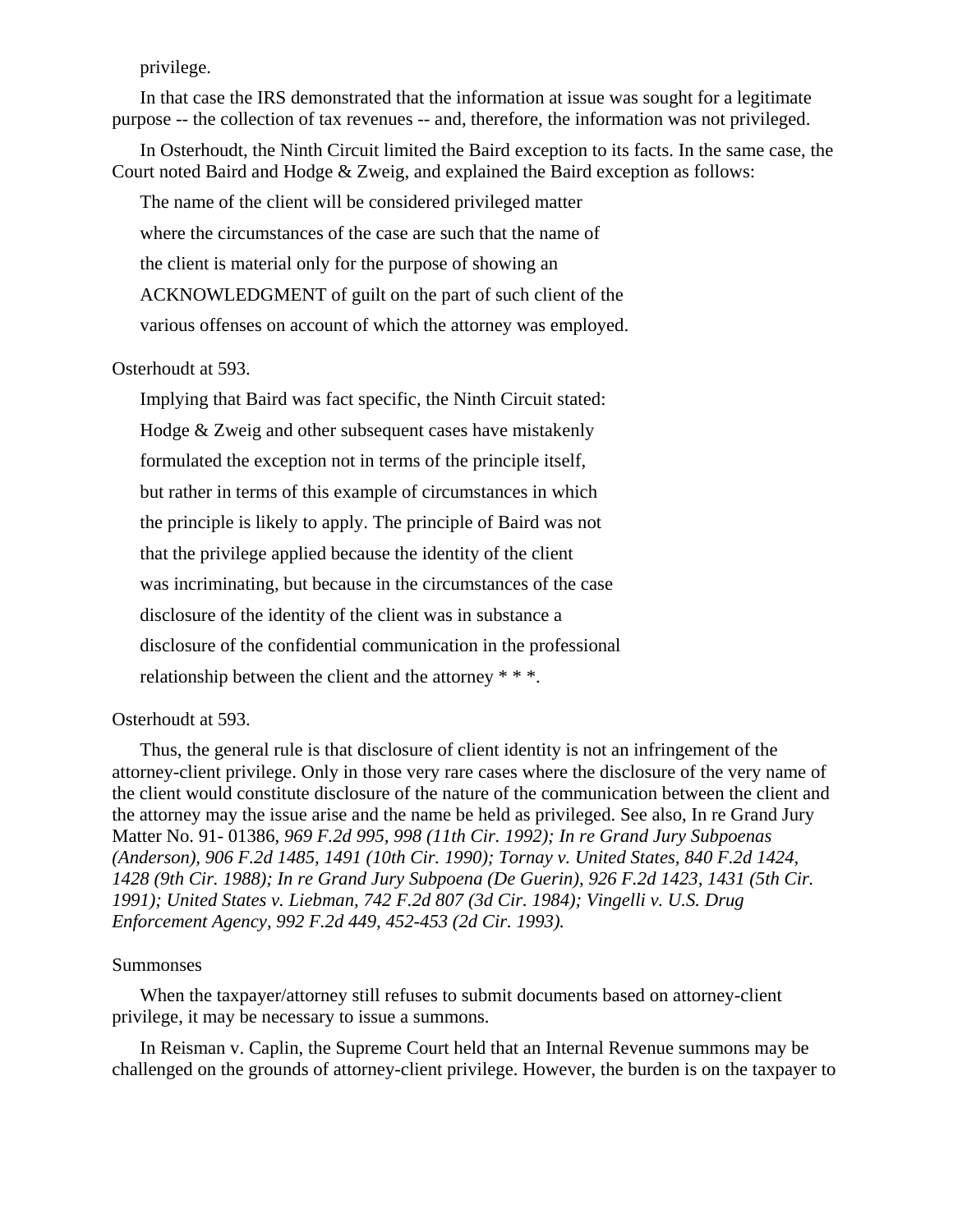privilege.

In that case the IRS demonstrated that the information at issue was sought for a legitimate purpose -- the collection of tax revenues -- and, therefore, the information was not privileged.

In Osterhoudt, the Ninth Circuit limited the Baird exception to its facts. In the same case, the Court noted Baird and Hodge & Zweig, and explained the Baird exception as follows:

The name of the client will be considered privileged matter where the circumstances of the case are such that the name of the client is material only for the purpose of showing an ACKNOWLEDGMENT of guilt on the part of such client of the various offenses on account of which the attorney was employed.

# Osterhoudt at 593.

Implying that Baird was fact specific, the Ninth Circuit stated: Hodge & Zweig and other subsequent cases have mistakenly formulated the exception not in terms of the principle itself, but rather in terms of this example of circumstances in which the principle is likely to apply. The principle of Baird was not that the privilege applied because the identity of the client was incriminating, but because in the circumstances of the case disclosure of the identity of the client was in substance a disclosure of the confidential communication in the professional relationship between the client and the attorney \* \* \*.

#### Osterhoudt at 593.

Thus, the general rule is that disclosure of client identity is not an infringement of the attorney-client privilege. Only in those very rare cases where the disclosure of the very name of the client would constitute disclosure of the nature of the communication between the client and the attorney may the issue arise and the name be held as privileged. See also, In re Grand Jury Matter No. 91- 01386, *969 F.2d 995, 998 (11th Cir. 1992); In re Grand Jury Subpoenas (Anderson), 906 F.2d 1485, 1491 (10th Cir. 1990); Tornay v. United States, 840 F.2d 1424, 1428 (9th Cir. 1988); In re Grand Jury Subpoena (De Guerin), 926 F.2d 1423, 1431 (5th Cir. 1991); United States v. Liebman, 742 F.2d 807 (3d Cir. 1984); Vingelli v. U.S. Drug Enforcement Agency, 992 F.2d 449, 452-453 (2d Cir. 1993).*

#### Summonses

When the taxpayer/attorney still refuses to submit documents based on attorney-client privilege, it may be necessary to issue a summons.

In Reisman v. Caplin, the Supreme Court held that an Internal Revenue summons may be challenged on the grounds of attorney-client privilege. However, the burden is on the taxpayer to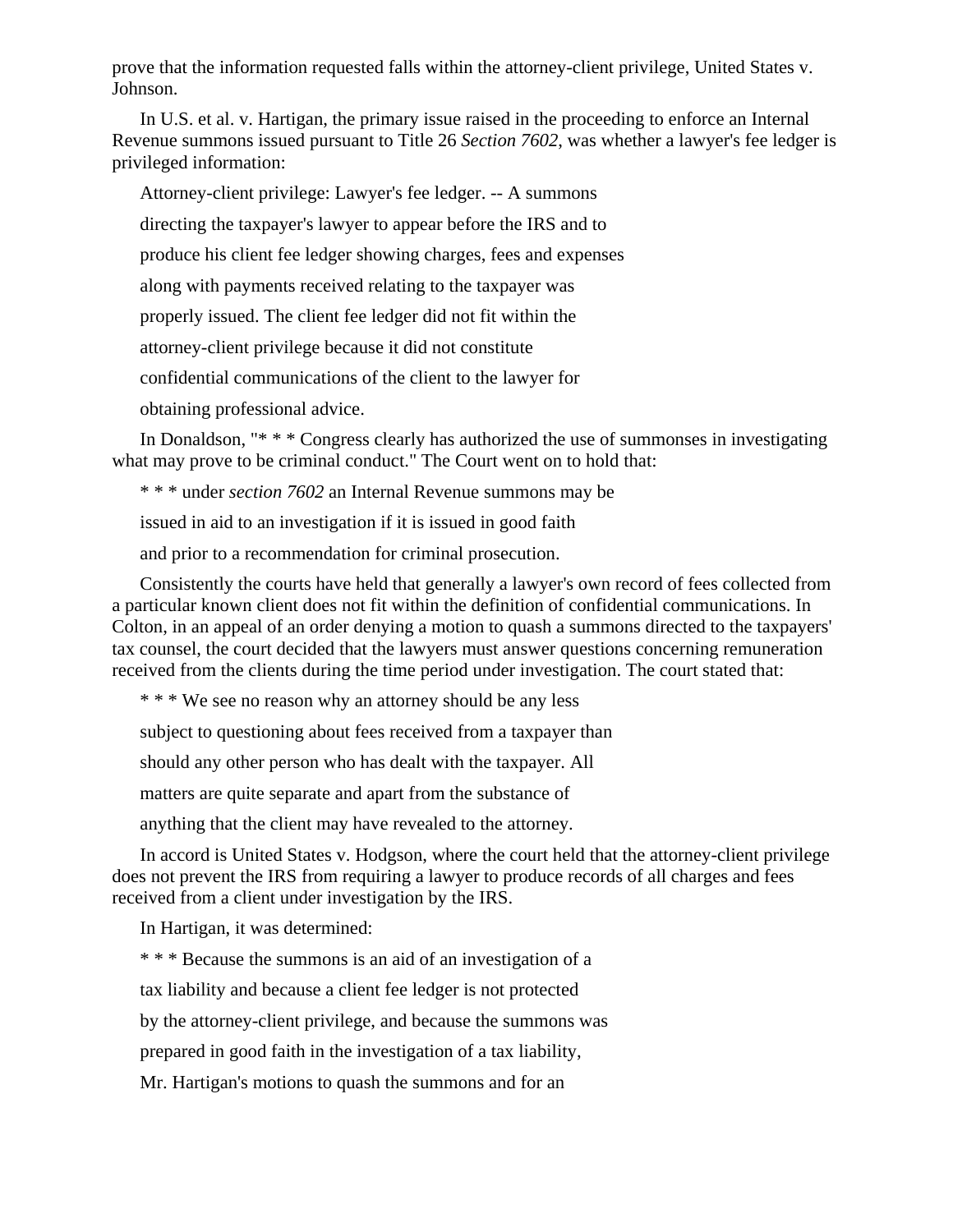prove that the information requested falls within the attorney-client privilege, United States v. Johnson.

In U.S. et al. v. Hartigan, the primary issue raised in the proceeding to enforce an Internal Revenue summons issued pursuant to Title 26 *Section 7602*, was whether a lawyer's fee ledger is privileged information:

Attorney-client privilege: Lawyer's fee ledger. -- A summons

directing the taxpayer's lawyer to appear before the IRS and to

produce his client fee ledger showing charges, fees and expenses

along with payments received relating to the taxpayer was

properly issued. The client fee ledger did not fit within the

attorney-client privilege because it did not constitute

confidential communications of the client to the lawyer for

obtaining professional advice.

In Donaldson, "\* \* \* Congress clearly has authorized the use of summonses in investigating what may prove to be criminal conduct." The Court went on to hold that:

\* \* \* under *section 7602* an Internal Revenue summons may be

issued in aid to an investigation if it is issued in good faith

and prior to a recommendation for criminal prosecution.

Consistently the courts have held that generally a lawyer's own record of fees collected from a particular known client does not fit within the definition of confidential communications. In Colton, in an appeal of an order denying a motion to quash a summons directed to the taxpayers' tax counsel, the court decided that the lawyers must answer questions concerning remuneration received from the clients during the time period under investigation. The court stated that:

\* \* \* We see no reason why an attorney should be any less

subject to questioning about fees received from a taxpayer than

should any other person who has dealt with the taxpayer. All

matters are quite separate and apart from the substance of

anything that the client may have revealed to the attorney.

In accord is United States v. Hodgson, where the court held that the attorney-client privilege does not prevent the IRS from requiring a lawyer to produce records of all charges and fees received from a client under investigation by the IRS.

In Hartigan, it was determined:

\* \* \* Because the summons is an aid of an investigation of a

tax liability and because a client fee ledger is not protected

by the attorney-client privilege, and because the summons was

prepared in good faith in the investigation of a tax liability,

Mr. Hartigan's motions to quash the summons and for an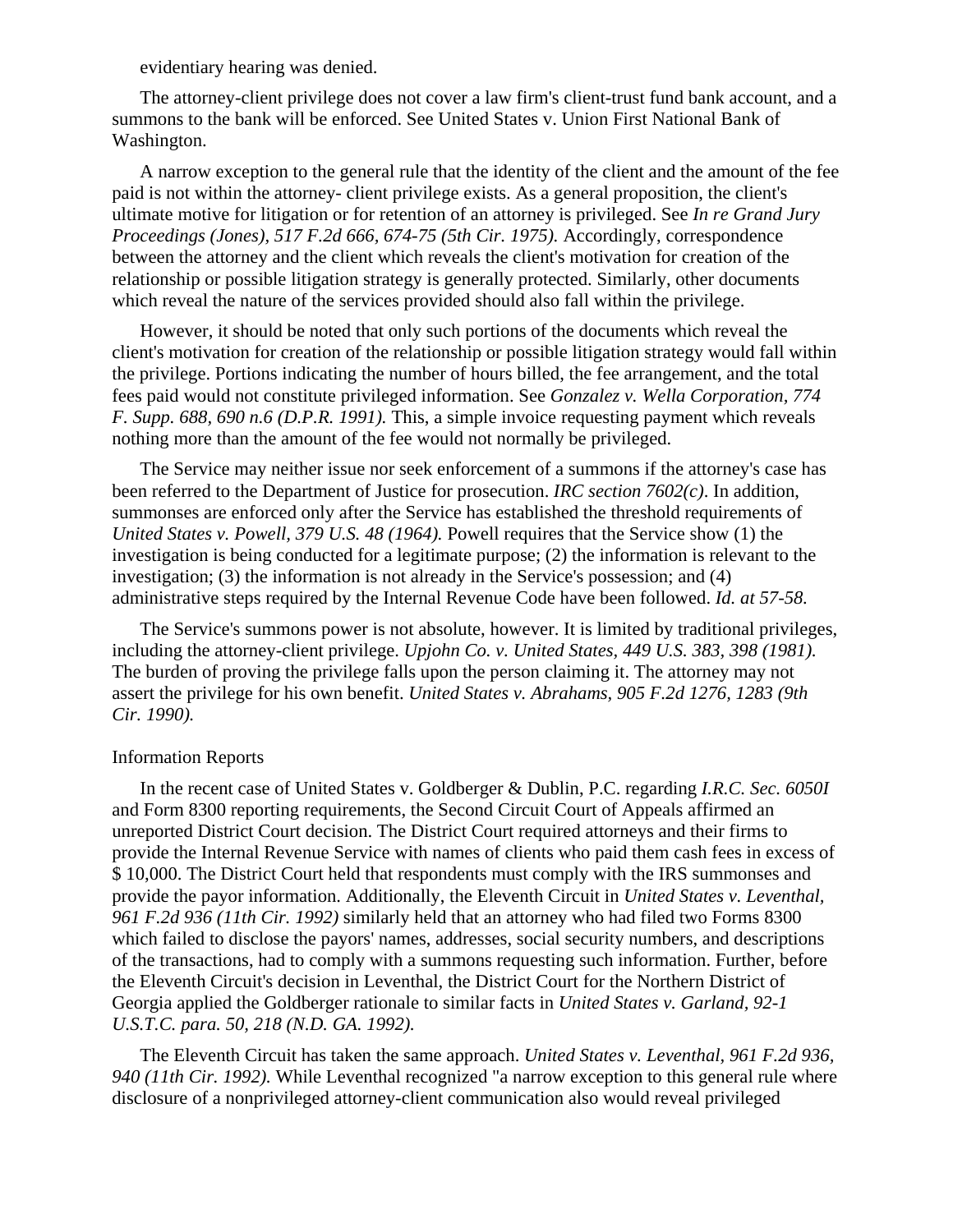evidentiary hearing was denied.

The attorney-client privilege does not cover a law firm's client-trust fund bank account, and a summons to the bank will be enforced. See United States v. Union First National Bank of Washington.

A narrow exception to the general rule that the identity of the client and the amount of the fee paid is not within the attorney- client privilege exists. As a general proposition, the client's ultimate motive for litigation or for retention of an attorney is privileged. See *In re Grand Jury Proceedings (Jones), 517 F.2d 666, 674-75 (5th Cir. 1975).* Accordingly, correspondence between the attorney and the client which reveals the client's motivation for creation of the relationship or possible litigation strategy is generally protected. Similarly, other documents which reveal the nature of the services provided should also fall within the privilege.

However, it should be noted that only such portions of the documents which reveal the client's motivation for creation of the relationship or possible litigation strategy would fall within the privilege. Portions indicating the number of hours billed, the fee arrangement, and the total fees paid would not constitute privileged information. See *Gonzalez v. Wella Corporation, 774 F. Supp. 688, 690 n.6 (D.P.R. 1991).* This, a simple invoice requesting payment which reveals nothing more than the amount of the fee would not normally be privileged.

The Service may neither issue nor seek enforcement of a summons if the attorney's case has been referred to the Department of Justice for prosecution. *IRC section 7602(c)*. In addition, summonses are enforced only after the Service has established the threshold requirements of *United States v. Powell, 379 U.S. 48 (1964).* Powell requires that the Service show (1) the investigation is being conducted for a legitimate purpose; (2) the information is relevant to the investigation; (3) the information is not already in the Service's possession; and (4) administrative steps required by the Internal Revenue Code have been followed. *Id. at 57-58.*

The Service's summons power is not absolute, however. It is limited by traditional privileges, including the attorney-client privilege. *Upjohn Co. v. United States, 449 U.S. 383, 398 (1981).* The burden of proving the privilege falls upon the person claiming it. The attorney may not assert the privilege for his own benefit. *United States v. Abrahams, 905 F.2d 1276, 1283 (9th Cir. 1990).*

#### Information Reports

In the recent case of United States v. Goldberger & Dublin, P.C. regarding *I.R.C. Sec. 6050I* and Form 8300 reporting requirements, the Second Circuit Court of Appeals affirmed an unreported District Court decision. The District Court required attorneys and their firms to provide the Internal Revenue Service with names of clients who paid them cash fees in excess of \$ 10,000. The District Court held that respondents must comply with the IRS summonses and provide the payor information. Additionally, the Eleventh Circuit in *United States v. Leventhal, 961 F.2d 936 (11th Cir. 1992)* similarly held that an attorney who had filed two Forms 8300 which failed to disclose the payors' names, addresses, social security numbers, and descriptions of the transactions, had to comply with a summons requesting such information. Further, before the Eleventh Circuit's decision in Leventhal, the District Court for the Northern District of Georgia applied the Goldberger rationale to similar facts in *United States v. Garland, 92-1 U.S.T.C. para. 50, 218 (N.D. GA. 1992).*

The Eleventh Circuit has taken the same approach. *United States v. Leventhal, 961 F.2d 936, 940 (11th Cir. 1992).* While Leventhal recognized "a narrow exception to this general rule where disclosure of a nonprivileged attorney-client communication also would reveal privileged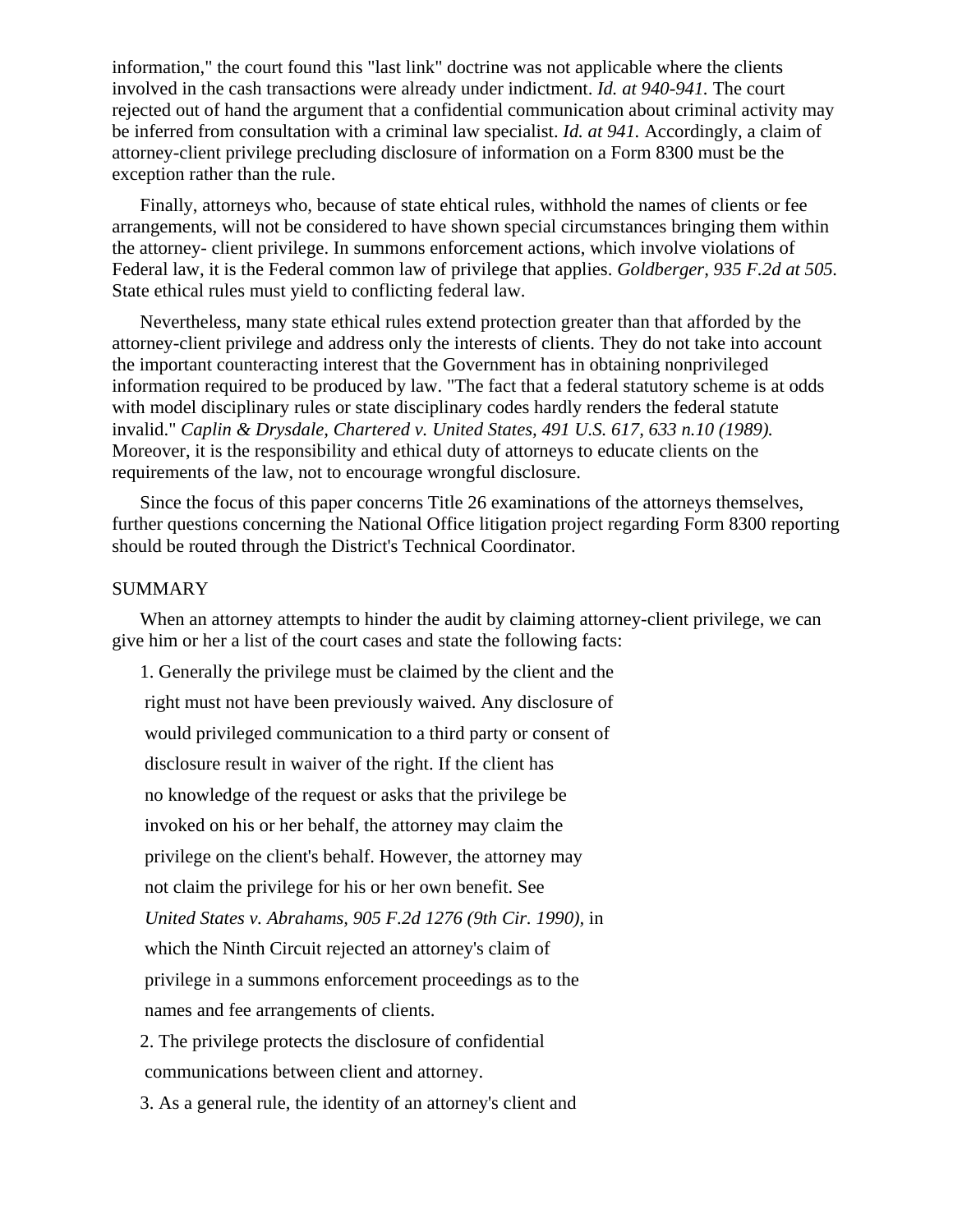information," the court found this "last link" doctrine was not applicable where the clients involved in the cash transactions were already under indictment. *Id. at 940-941.* The court rejected out of hand the argument that a confidential communication about criminal activity may be inferred from consultation with a criminal law specialist. *Id. at 941.* Accordingly, a claim of attorney-client privilege precluding disclosure of information on a Form 8300 must be the exception rather than the rule.

Finally, attorneys who, because of state ehtical rules, withhold the names of clients or fee arrangements, will not be considered to have shown special circumstances bringing them within the attorney- client privilege. In summons enforcement actions, which involve violations of Federal law, it is the Federal common law of privilege that applies. *Goldberger, 935 F.2d at 505.* State ethical rules must yield to conflicting federal law.

Nevertheless, many state ethical rules extend protection greater than that afforded by the attorney-client privilege and address only the interests of clients. They do not take into account the important counteracting interest that the Government has in obtaining nonprivileged information required to be produced by law. "The fact that a federal statutory scheme is at odds with model disciplinary rules or state disciplinary codes hardly renders the federal statute invalid." *Caplin & Drysdale, Chartered v. United States, 491 U.S. 617, 633 n.10 (1989).* Moreover, it is the responsibility and ethical duty of attorneys to educate clients on the requirements of the law, not to encourage wrongful disclosure.

Since the focus of this paper concerns Title 26 examinations of the attorneys themselves, further questions concerning the National Office litigation project regarding Form 8300 reporting should be routed through the District's Technical Coordinator.

#### SUMMARY

When an attorney attempts to hinder the audit by claiming attorney-client privilege, we can give him or her a list of the court cases and state the following facts:

1. Generally the privilege must be claimed by the client and the right must not have been previously waived. Any disclosure of would privileged communication to a third party or consent of disclosure result in waiver of the right. If the client has no knowledge of the request or asks that the privilege be invoked on his or her behalf, the attorney may claim the privilege on the client's behalf. However, the attorney may not claim the privilege for his or her own benefit. See *United States v. Abrahams, 905 F.2d 1276 (9th Cir. 1990),* in which the Ninth Circuit rejected an attorney's claim of privilege in a summons enforcement proceedings as to the names and fee arrangements of clients. 2. The privilege protects the disclosure of confidential

communications between client and attorney.

3. As a general rule, the identity of an attorney's client and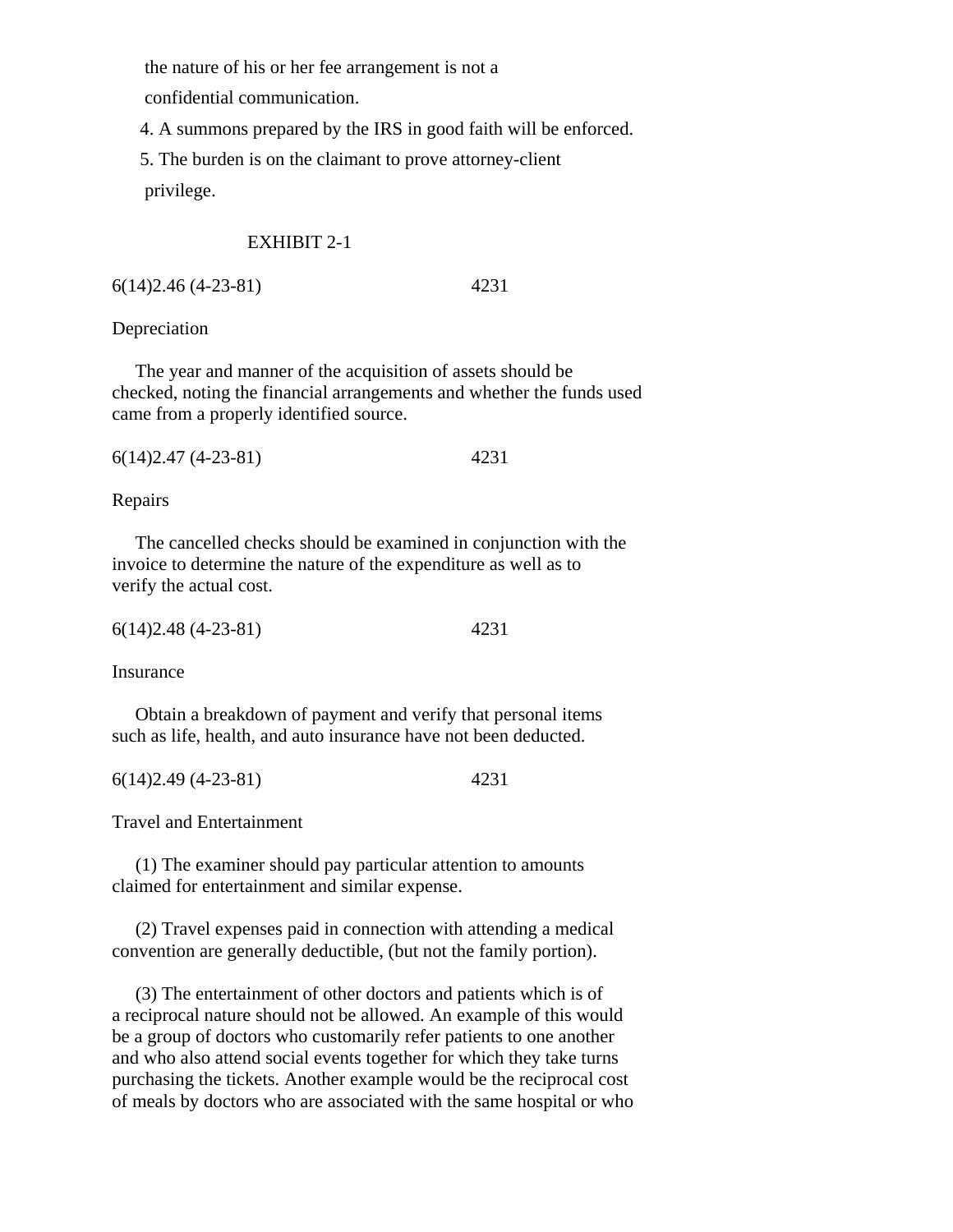the nature of his or her fee arrangement is not a

confidential communication.

4. A summons prepared by the IRS in good faith will be enforced.

5. The burden is on the claimant to prove attorney-client privilege.

# EXHIBIT 2-1

6(14)2.46 (4-23-81) 4231

Depreciation

 The year and manner of the acquisition of assets should be checked, noting the financial arrangements and whether the funds used came from a properly identified source.

6(14)2.47 (4-23-81) 4231

Repairs

 The cancelled checks should be examined in conjunction with the invoice to determine the nature of the expenditure as well as to verify the actual cost.

| $6(14)2.48(4-23-81)$ | 4231 |
|----------------------|------|
|                      |      |

Insurance

 Obtain a breakdown of payment and verify that personal items such as life, health, and auto insurance have not been deducted.

6(14)2.49 (4-23-81) 4231

Travel and Entertainment

 (1) The examiner should pay particular attention to amounts claimed for entertainment and similar expense.

 (2) Travel expenses paid in connection with attending a medical convention are generally deductible, (but not the family portion).

 (3) The entertainment of other doctors and patients which is of a reciprocal nature should not be allowed. An example of this would be a group of doctors who customarily refer patients to one another and who also attend social events together for which they take turns purchasing the tickets. Another example would be the reciprocal cost of meals by doctors who are associated with the same hospital or who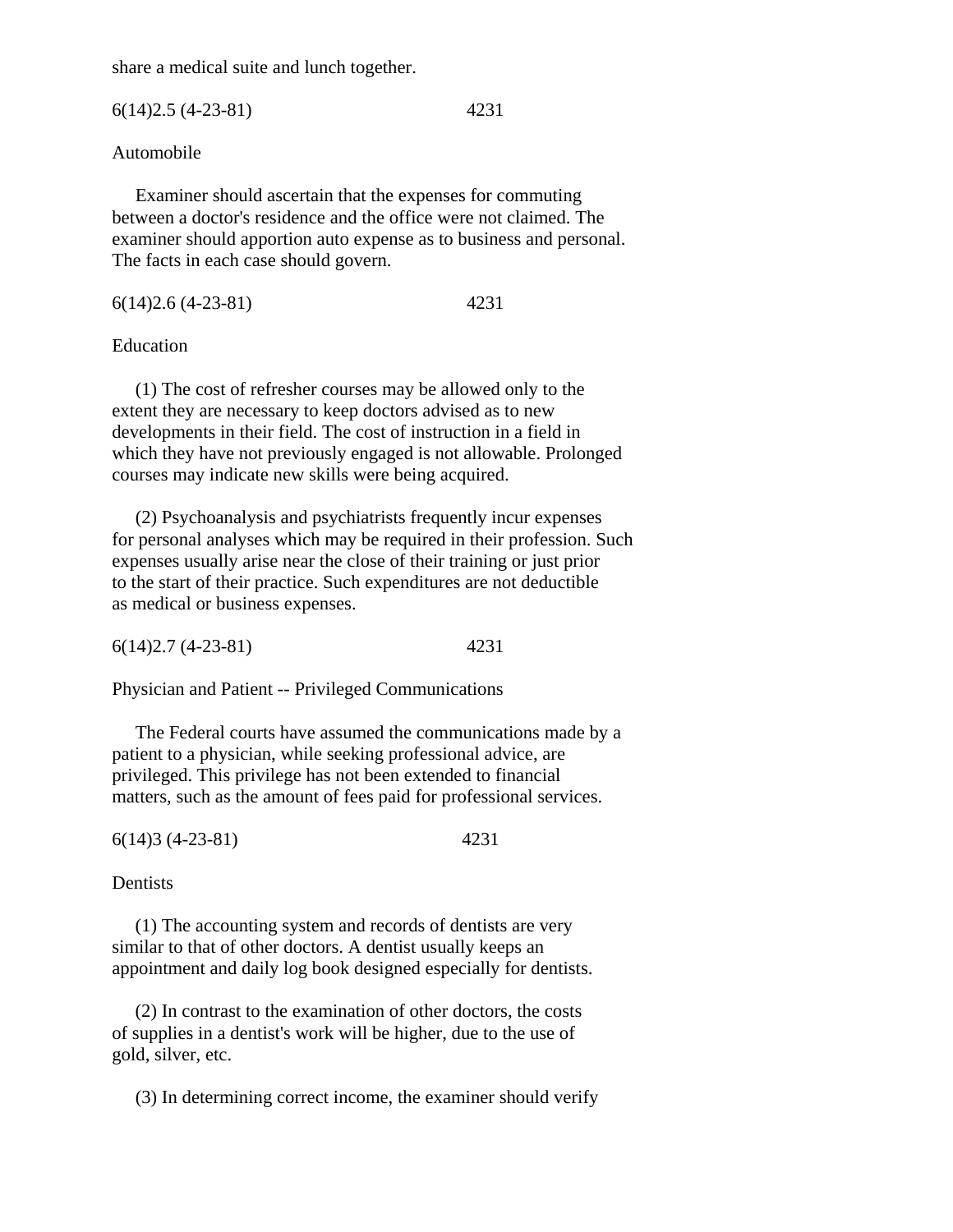share a medical suite and lunch together.

6(14)2.5 (4-23-81) 4231

Automobile

 Examiner should ascertain that the expenses for commuting between a doctor's residence and the office were not claimed. The examiner should apportion auto expense as to business and personal. The facts in each case should govern.

6(14)2.6 (4-23-81) 4231

Education

 (1) The cost of refresher courses may be allowed only to the extent they are necessary to keep doctors advised as to new developments in their field. The cost of instruction in a field in which they have not previously engaged is not allowable. Prolonged courses may indicate new skills were being acquired.

 (2) Psychoanalysis and psychiatrists frequently incur expenses for personal analyses which may be required in their profession. Such expenses usually arise near the close of their training or just prior to the start of their practice. Such expenditures are not deductible as medical or business expenses.

6(14)2.7 (4-23-81) 4231

Physician and Patient -- Privileged Communications

 The Federal courts have assumed the communications made by a patient to a physician, while seeking professional advice, are privileged. This privilege has not been extended to financial matters, such as the amount of fees paid for professional services.

6(14)3 (4-23-81) 4231

Dentists

 (1) The accounting system and records of dentists are very similar to that of other doctors. A dentist usually keeps an appointment and daily log book designed especially for dentists.

 (2) In contrast to the examination of other doctors, the costs of supplies in a dentist's work will be higher, due to the use of gold, silver, etc.

(3) In determining correct income, the examiner should verify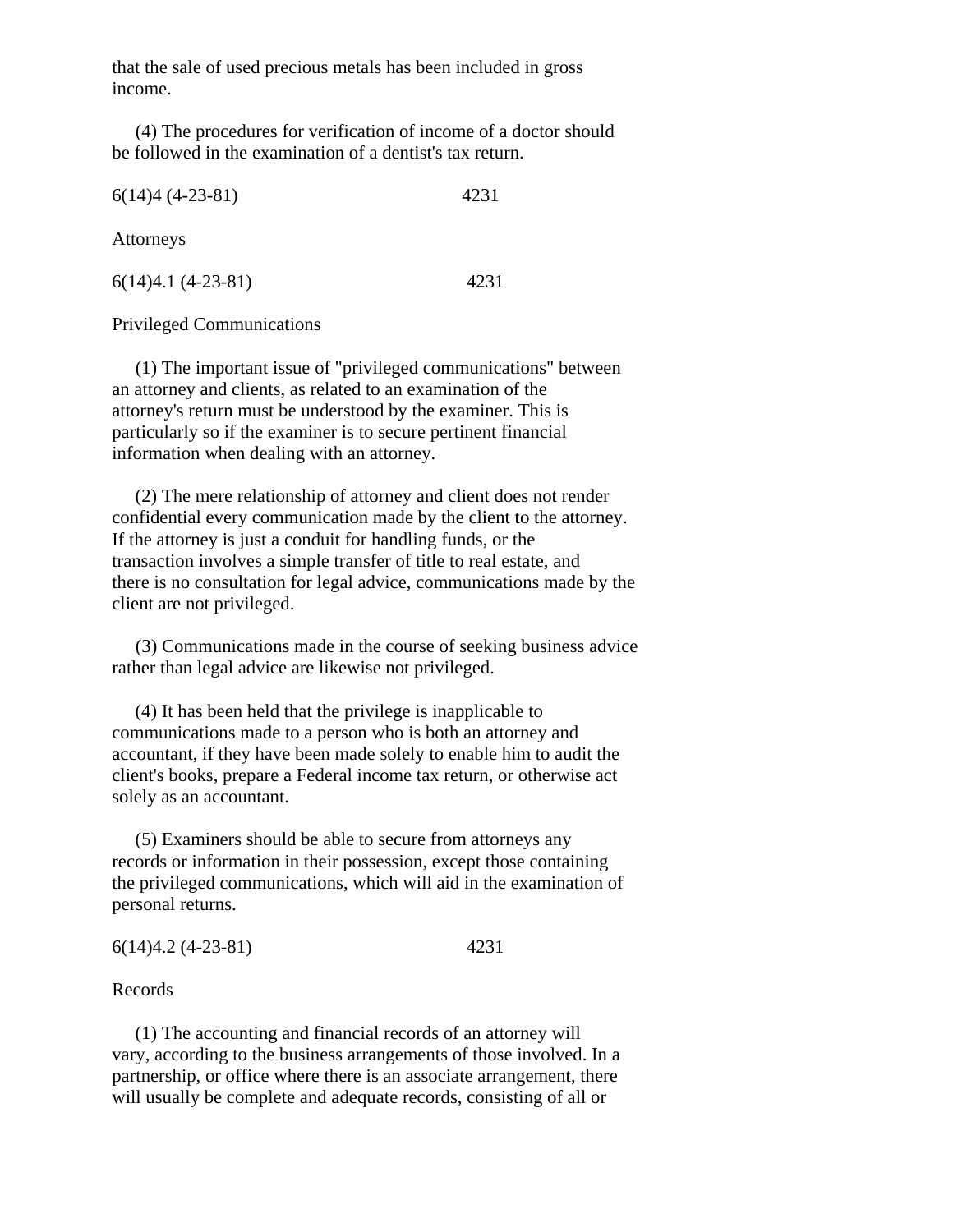that the sale of used precious metals has been included in gross income.

 (4) The procedures for verification of income of a doctor should be followed in the examination of a dentist's tax return.

6(14)4 (4-23-81) 4231

Attorneys

6(14)4.1 (4-23-81) 4231

Privileged Communications

 (1) The important issue of "privileged communications" between an attorney and clients, as related to an examination of the attorney's return must be understood by the examiner. This is particularly so if the examiner is to secure pertinent financial information when dealing with an attorney.

 (2) The mere relationship of attorney and client does not render confidential every communication made by the client to the attorney. If the attorney is just a conduit for handling funds, or the transaction involves a simple transfer of title to real estate, and there is no consultation for legal advice, communications made by the client are not privileged.

 (3) Communications made in the course of seeking business advice rather than legal advice are likewise not privileged.

 (4) It has been held that the privilege is inapplicable to communications made to a person who is both an attorney and accountant, if they have been made solely to enable him to audit the client's books, prepare a Federal income tax return, or otherwise act solely as an accountant.

 (5) Examiners should be able to secure from attorneys any records or information in their possession, except those containing the privileged communications, which will aid in the examination of personal returns.

|  | $6(14)4.2(4-23-81)$ | 4231 |
|--|---------------------|------|
|--|---------------------|------|

Records

 (1) The accounting and financial records of an attorney will vary, according to the business arrangements of those involved. In a partnership, or office where there is an associate arrangement, there will usually be complete and adequate records, consisting of all or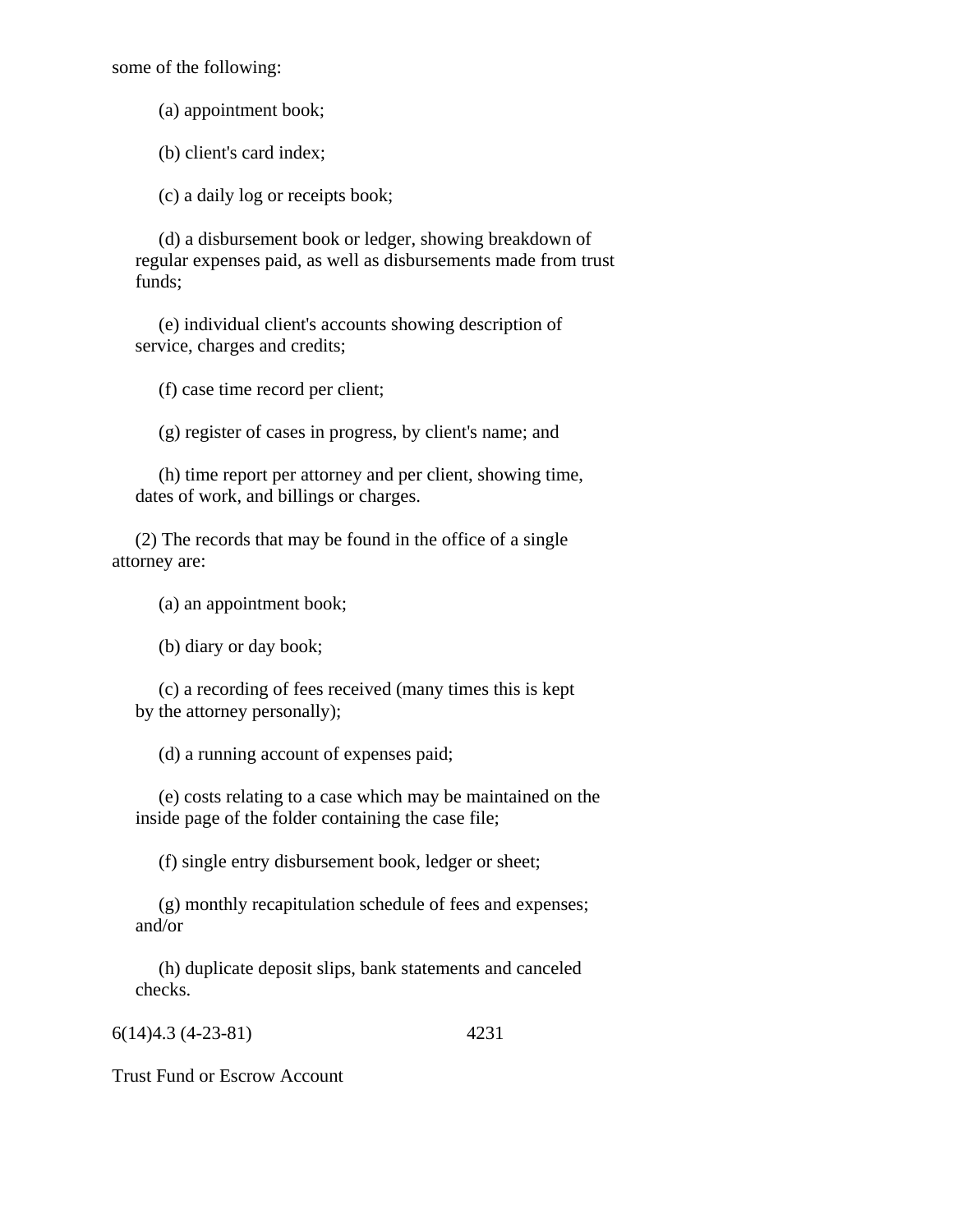some of the following:

(a) appointment book;

(b) client's card index;

(c) a daily log or receipts book;

 (d) a disbursement book or ledger, showing breakdown of regular expenses paid, as well as disbursements made from trust funds;

 (e) individual client's accounts showing description of service, charges and credits;

(f) case time record per client;

(g) register of cases in progress, by client's name; and

 (h) time report per attorney and per client, showing time, dates of work, and billings or charges.

 (2) The records that may be found in the office of a single attorney are:

(a) an appointment book;

(b) diary or day book;

 (c) a recording of fees received (many times this is kept by the attorney personally);

(d) a running account of expenses paid;

 (e) costs relating to a case which may be maintained on the inside page of the folder containing the case file;

(f) single entry disbursement book, ledger or sheet;

 (g) monthly recapitulation schedule of fees and expenses; and/or

 (h) duplicate deposit slips, bank statements and canceled checks.

6(14)4.3 (4-23-81) 4231

Trust Fund or Escrow Account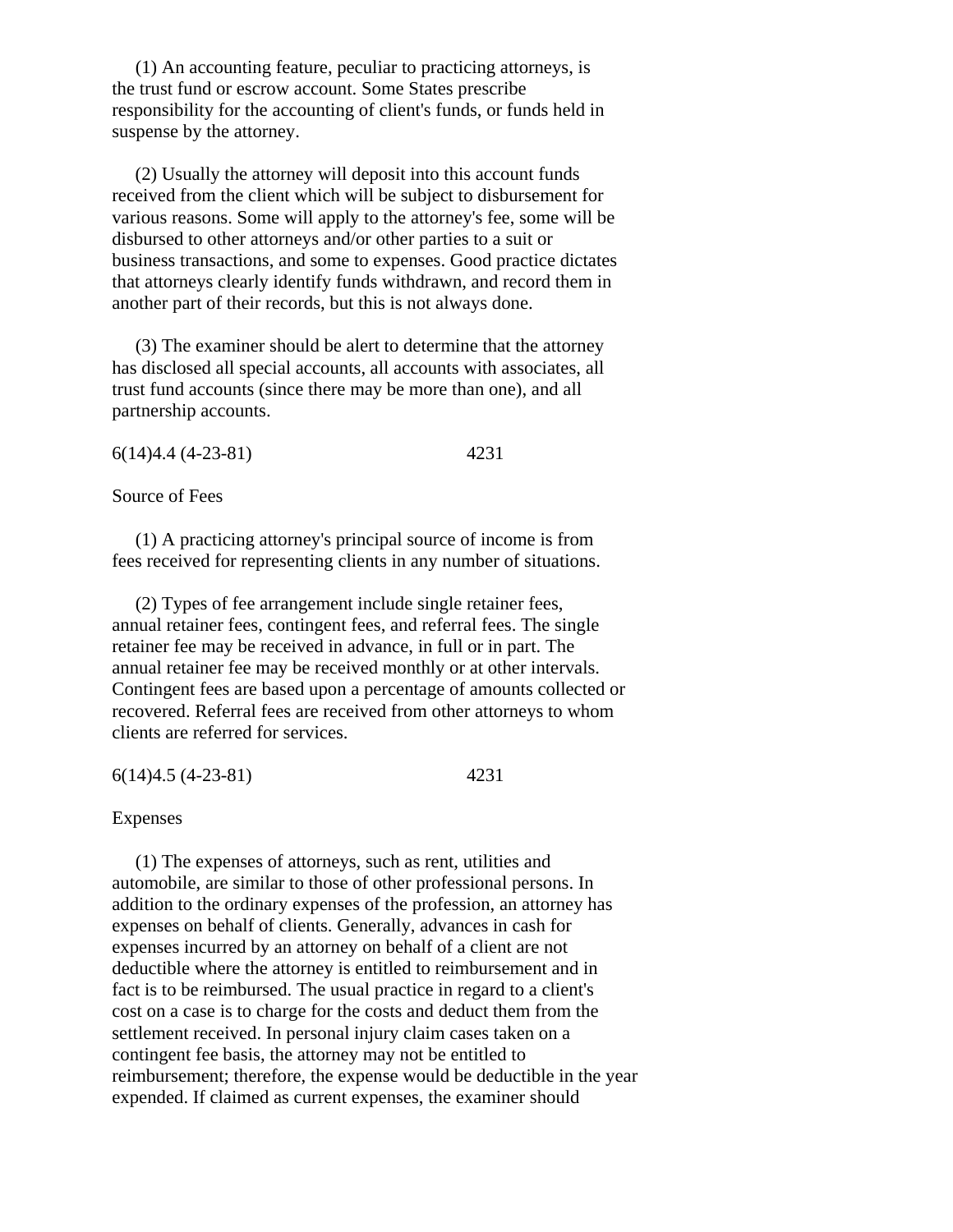(1) An accounting feature, peculiar to practicing attorneys, is the trust fund or escrow account. Some States prescribe responsibility for the accounting of client's funds, or funds held in suspense by the attorney.

 (2) Usually the attorney will deposit into this account funds received from the client which will be subject to disbursement for various reasons. Some will apply to the attorney's fee, some will be disbursed to other attorneys and/or other parties to a suit or business transactions, and some to expenses. Good practice dictates that attorneys clearly identify funds withdrawn, and record them in another part of their records, but this is not always done.

 (3) The examiner should be alert to determine that the attorney has disclosed all special accounts, all accounts with associates, all trust fund accounts (since there may be more than one), and all partnership accounts.

6(14)4.4 (4-23-81) 4231

Source of Fees

 (1) A practicing attorney's principal source of income is from fees received for representing clients in any number of situations.

 (2) Types of fee arrangement include single retainer fees, annual retainer fees, contingent fees, and referral fees. The single retainer fee may be received in advance, in full or in part. The annual retainer fee may be received monthly or at other intervals. Contingent fees are based upon a percentage of amounts collected or recovered. Referral fees are received from other attorneys to whom clients are referred for services.

6(14)4.5 (4-23-81) 4231

Expenses

 (1) The expenses of attorneys, such as rent, utilities and automobile, are similar to those of other professional persons. In addition to the ordinary expenses of the profession, an attorney has expenses on behalf of clients. Generally, advances in cash for expenses incurred by an attorney on behalf of a client are not deductible where the attorney is entitled to reimbursement and in fact is to be reimbursed. The usual practice in regard to a client's cost on a case is to charge for the costs and deduct them from the settlement received. In personal injury claim cases taken on a contingent fee basis, the attorney may not be entitled to reimbursement; therefore, the expense would be deductible in the year expended. If claimed as current expenses, the examiner should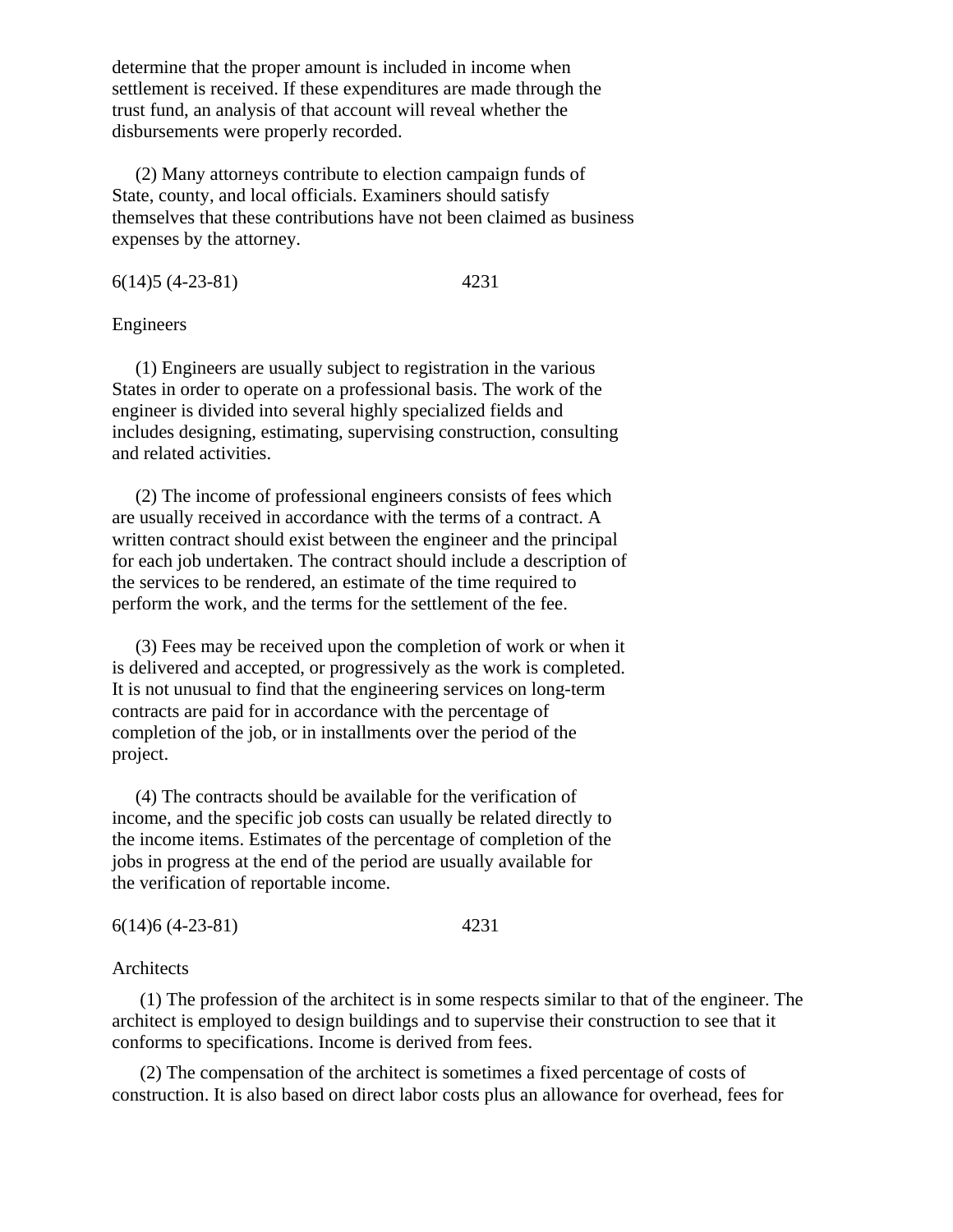determine that the proper amount is included in income when settlement is received. If these expenditures are made through the trust fund, an analysis of that account will reveal whether the disbursements were properly recorded.

 (2) Many attorneys contribute to election campaign funds of State, county, and local officials. Examiners should satisfy themselves that these contributions have not been claimed as business expenses by the attorney.

6(14)5 (4-23-81) 4231

#### Engineers

 (1) Engineers are usually subject to registration in the various States in order to operate on a professional basis. The work of the engineer is divided into several highly specialized fields and includes designing, estimating, supervising construction, consulting and related activities.

 (2) The income of professional engineers consists of fees which are usually received in accordance with the terms of a contract. A written contract should exist between the engineer and the principal for each job undertaken. The contract should include a description of the services to be rendered, an estimate of the time required to perform the work, and the terms for the settlement of the fee.

 (3) Fees may be received upon the completion of work or when it is delivered and accepted, or progressively as the work is completed. It is not unusual to find that the engineering services on long-term contracts are paid for in accordance with the percentage of completion of the job, or in installments over the period of the project.

 (4) The contracts should be available for the verification of income, and the specific job costs can usually be related directly to the income items. Estimates of the percentage of completion of the jobs in progress at the end of the period are usually available for the verification of reportable income.

# 6(14)6 (4-23-81) 4231

#### Architects

(1) The profession of the architect is in some respects similar to that of the engineer. The architect is employed to design buildings and to supervise their construction to see that it conforms to specifications. Income is derived from fees.

(2) The compensation of the architect is sometimes a fixed percentage of costs of construction. It is also based on direct labor costs plus an allowance for overhead, fees for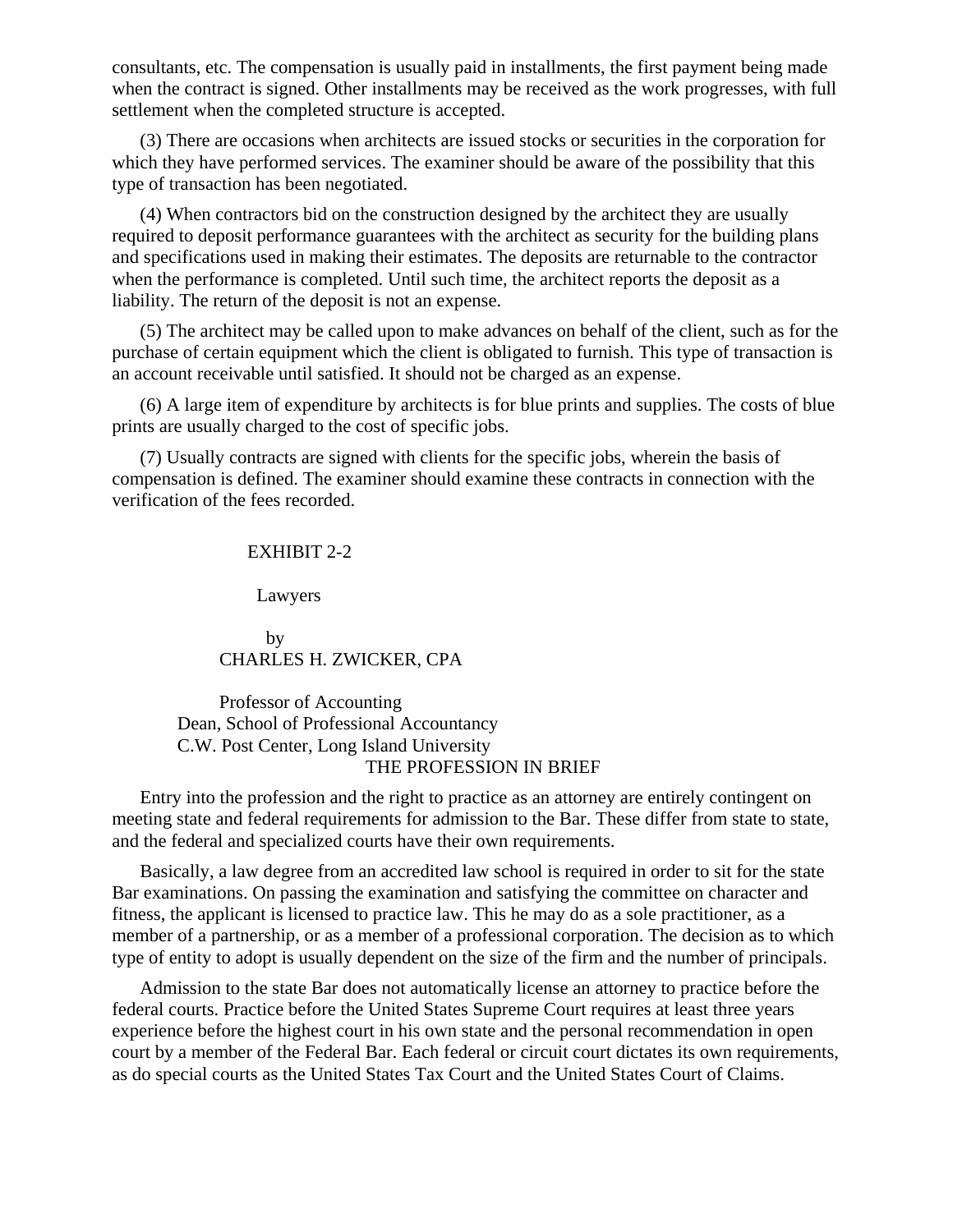consultants, etc. The compensation is usually paid in installments, the first payment being made when the contract is signed. Other installments may be received as the work progresses, with full settlement when the completed structure is accepted.

(3) There are occasions when architects are issued stocks or securities in the corporation for which they have performed services. The examiner should be aware of the possibility that this type of transaction has been negotiated.

(4) When contractors bid on the construction designed by the architect they are usually required to deposit performance guarantees with the architect as security for the building plans and specifications used in making their estimates. The deposits are returnable to the contractor when the performance is completed. Until such time, the architect reports the deposit as a liability. The return of the deposit is not an expense.

(5) The architect may be called upon to make advances on behalf of the client, such as for the purchase of certain equipment which the client is obligated to furnish. This type of transaction is an account receivable until satisfied. It should not be charged as an expense.

(6) A large item of expenditure by architects is for blue prints and supplies. The costs of blue prints are usually charged to the cost of specific jobs.

(7) Usually contracts are signed with clients for the specific jobs, wherein the basis of compensation is defined. The examiner should examine these contracts in connection with the verification of the fees recorded.

#### EXHIBIT 2-2

Lawyers

 by CHARLES H. ZWICKER, CPA

 Professor of Accounting Dean, School of Professional Accountancy C.W. Post Center, Long Island University THE PROFESSION IN BRIEF

Entry into the profession and the right to practice as an attorney are entirely contingent on meeting state and federal requirements for admission to the Bar. These differ from state to state, and the federal and specialized courts have their own requirements.

Basically, a law degree from an accredited law school is required in order to sit for the state Bar examinations. On passing the examination and satisfying the committee on character and fitness, the applicant is licensed to practice law. This he may do as a sole practitioner, as a member of a partnership, or as a member of a professional corporation. The decision as to which type of entity to adopt is usually dependent on the size of the firm and the number of principals.

Admission to the state Bar does not automatically license an attorney to practice before the federal courts. Practice before the United States Supreme Court requires at least three years experience before the highest court in his own state and the personal recommendation in open court by a member of the Federal Bar. Each federal or circuit court dictates its own requirements, as do special courts as the United States Tax Court and the United States Court of Claims.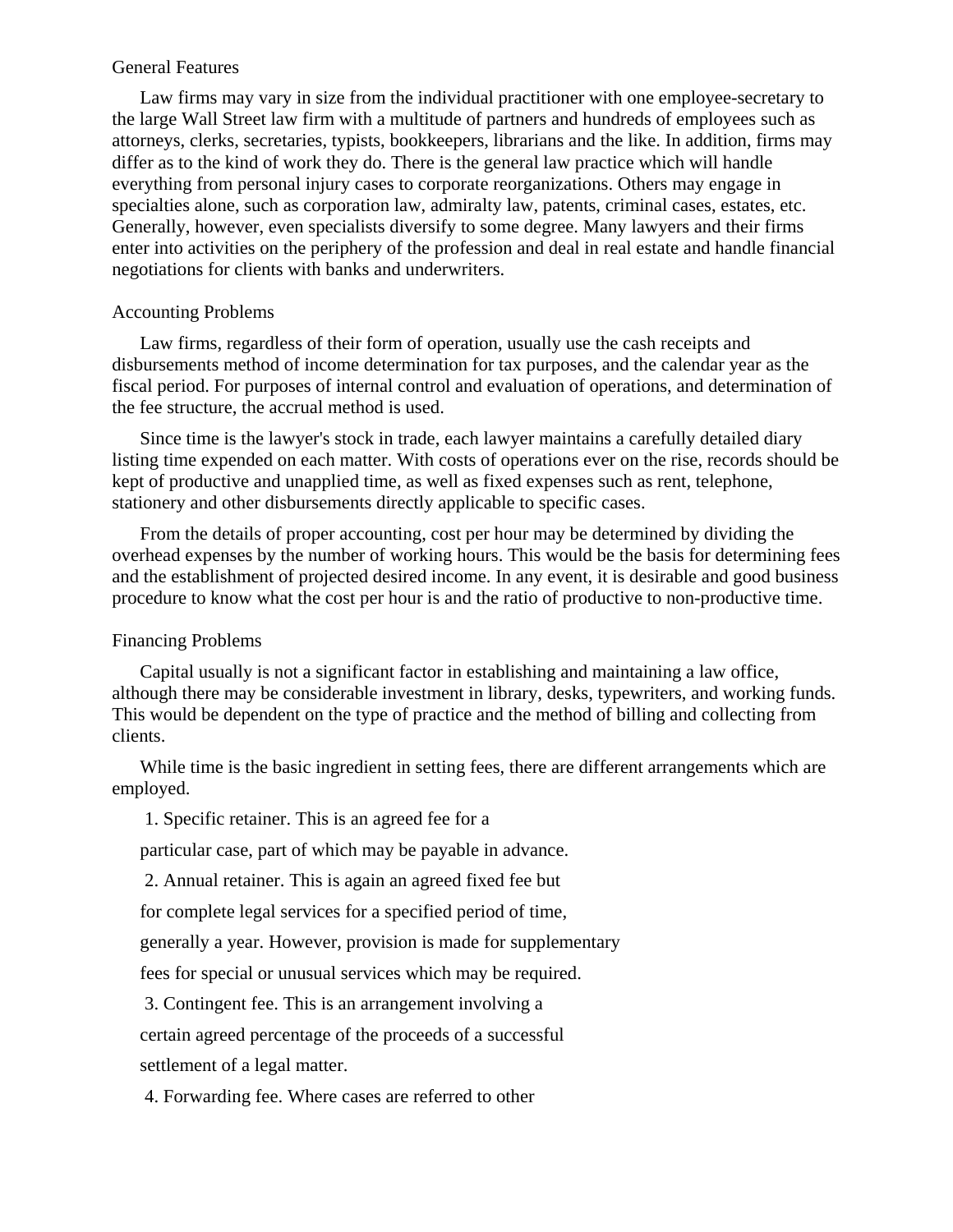#### General Features

Law firms may vary in size from the individual practitioner with one employee-secretary to the large Wall Street law firm with a multitude of partners and hundreds of employees such as attorneys, clerks, secretaries, typists, bookkeepers, librarians and the like. In addition, firms may differ as to the kind of work they do. There is the general law practice which will handle everything from personal injury cases to corporate reorganizations. Others may engage in specialties alone, such as corporation law, admiralty law, patents, criminal cases, estates, etc. Generally, however, even specialists diversify to some degree. Many lawyers and their firms enter into activities on the periphery of the profession and deal in real estate and handle financial negotiations for clients with banks and underwriters.

# Accounting Problems

Law firms, regardless of their form of operation, usually use the cash receipts and disbursements method of income determination for tax purposes, and the calendar year as the fiscal period. For purposes of internal control and evaluation of operations, and determination of the fee structure, the accrual method is used.

Since time is the lawyer's stock in trade, each lawyer maintains a carefully detailed diary listing time expended on each matter. With costs of operations ever on the rise, records should be kept of productive and unapplied time, as well as fixed expenses such as rent, telephone, stationery and other disbursements directly applicable to specific cases.

From the details of proper accounting, cost per hour may be determined by dividing the overhead expenses by the number of working hours. This would be the basis for determining fees and the establishment of projected desired income. In any event, it is desirable and good business procedure to know what the cost per hour is and the ratio of productive to non-productive time.

# Financing Problems

Capital usually is not a significant factor in establishing and maintaining a law office, although there may be considerable investment in library, desks, typewriters, and working funds. This would be dependent on the type of practice and the method of billing and collecting from clients.

While time is the basic ingredient in setting fees, there are different arrangements which are employed.

1. Specific retainer. This is an agreed fee for a

particular case, part of which may be payable in advance.

2. Annual retainer. This is again an agreed fixed fee but

for complete legal services for a specified period of time,

generally a year. However, provision is made for supplementary

fees for special or unusual services which may be required.

3. Contingent fee. This is an arrangement involving a

certain agreed percentage of the proceeds of a successful

settlement of a legal matter.

4. Forwarding fee. Where cases are referred to other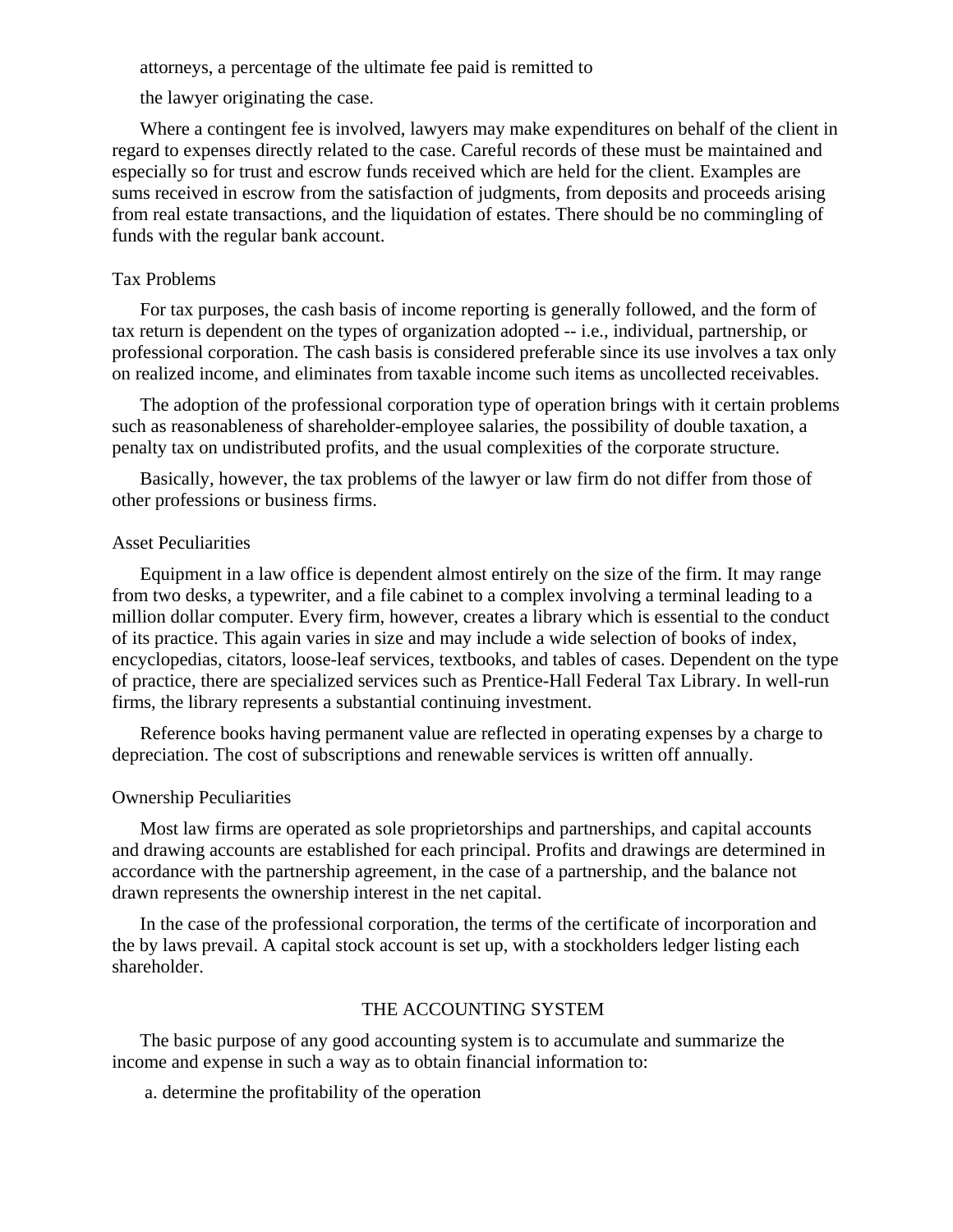attorneys, a percentage of the ultimate fee paid is remitted to

the lawyer originating the case.

Where a contingent fee is involved, lawyers may make expenditures on behalf of the client in regard to expenses directly related to the case. Careful records of these must be maintained and especially so for trust and escrow funds received which are held for the client. Examples are sums received in escrow from the satisfaction of judgments, from deposits and proceeds arising from real estate transactions, and the liquidation of estates. There should be no commingling of funds with the regular bank account.

#### Tax Problems

For tax purposes, the cash basis of income reporting is generally followed, and the form of tax return is dependent on the types of organization adopted -- i.e., individual, partnership, or professional corporation. The cash basis is considered preferable since its use involves a tax only on realized income, and eliminates from taxable income such items as uncollected receivables.

The adoption of the professional corporation type of operation brings with it certain problems such as reasonableness of shareholder-employee salaries, the possibility of double taxation, a penalty tax on undistributed profits, and the usual complexities of the corporate structure.

Basically, however, the tax problems of the lawyer or law firm do not differ from those of other professions or business firms.

#### Asset Peculiarities

Equipment in a law office is dependent almost entirely on the size of the firm. It may range from two desks, a typewriter, and a file cabinet to a complex involving a terminal leading to a million dollar computer. Every firm, however, creates a library which is essential to the conduct of its practice. This again varies in size and may include a wide selection of books of index, encyclopedias, citators, loose-leaf services, textbooks, and tables of cases. Dependent on the type of practice, there are specialized services such as Prentice-Hall Federal Tax Library. In well-run firms, the library represents a substantial continuing investment.

Reference books having permanent value are reflected in operating expenses by a charge to depreciation. The cost of subscriptions and renewable services is written off annually.

#### Ownership Peculiarities

Most law firms are operated as sole proprietorships and partnerships, and capital accounts and drawing accounts are established for each principal. Profits and drawings are determined in accordance with the partnership agreement, in the case of a partnership, and the balance not drawn represents the ownership interest in the net capital.

In the case of the professional corporation, the terms of the certificate of incorporation and the by laws prevail. A capital stock account is set up, with a stockholders ledger listing each shareholder.

# THE ACCOUNTING SYSTEM

The basic purpose of any good accounting system is to accumulate and summarize the income and expense in such a way as to obtain financial information to:

a. determine the profitability of the operation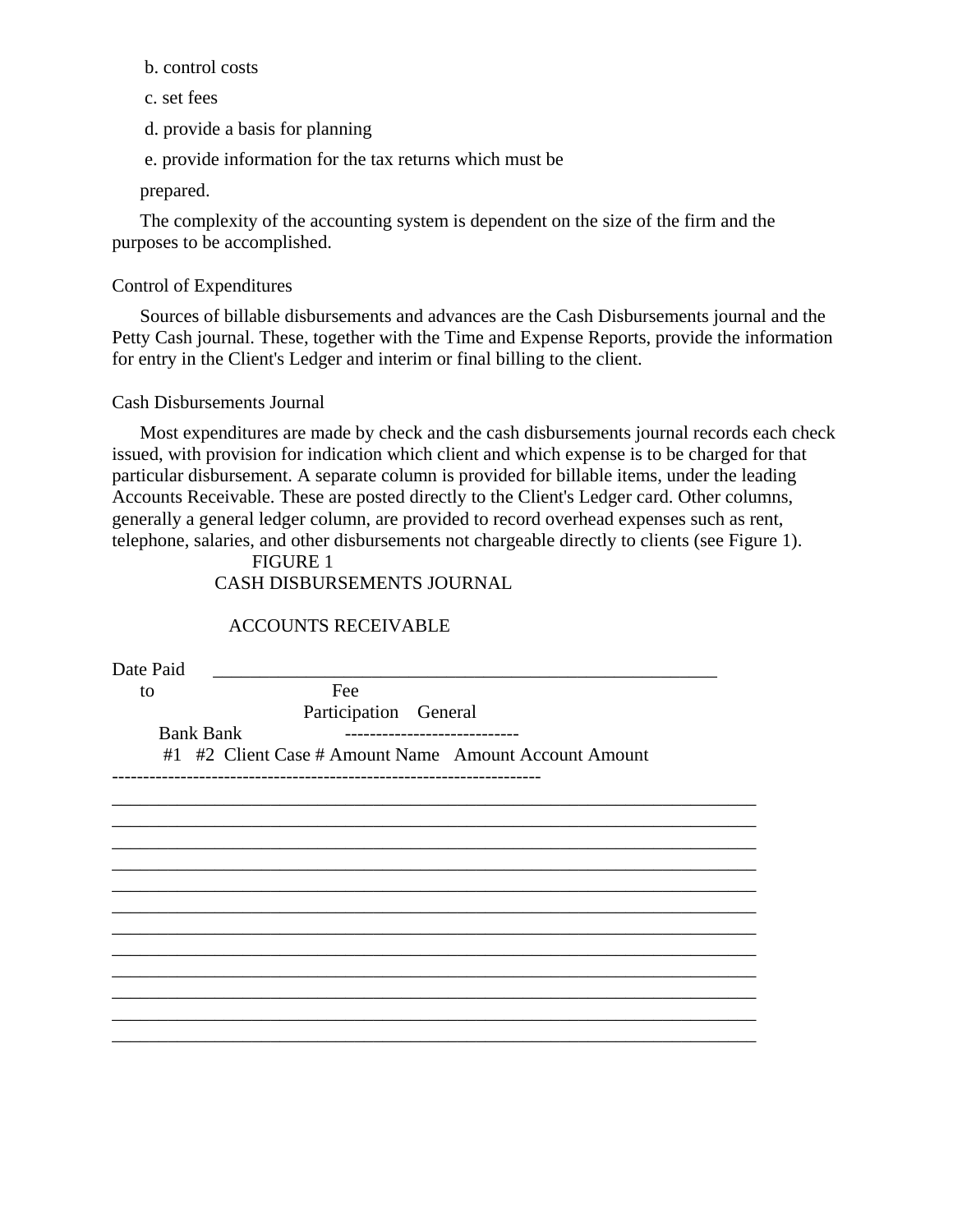b. control costs

c. set fees

d. provide a basis for planning

e. provide information for the tax returns which must be

prepared.

The complexity of the accounting system is dependent on the size of the firm and the purposes to be accomplished.

# Control of Expenditures

Sources of billable disbursements and advances are the Cash Disbursements journal and the Petty Cash journal. These, together with the Time and Expense Reports, provide the information for entry in the Client's Ledger and interim or final billing to the client.

### Cash Disbursements Journal

Most expenditures are made by check and the cash disbursements journal records each check issued, with provision for indication which client and which expense is to be charged for that particular disbursement. A separate column is provided for billable items, under the leading Accounts Receivable. These are posted directly to the Client's Ledger card. Other columns, generally a general ledger column, are provided to record overhead expenses such as rent, telephone, salaries, and other disbursements not chargeable directly to clients (see Figure 1).

> FIGURE 1 CASH DISBURSEMENTS JOURNAL

# ACCOUNTS RECEIVABLE

| Date Paid |                                                       |
|-----------|-------------------------------------------------------|
| to        | Fee                                                   |
|           | Participation General                                 |
|           | <b>Bank Bank</b>                                      |
|           | #1 #2 Client Case # Amount Name Amount Account Amount |
|           |                                                       |
|           |                                                       |
|           |                                                       |
|           |                                                       |
|           |                                                       |
|           |                                                       |
|           |                                                       |
|           |                                                       |
|           |                                                       |
|           |                                                       |
|           |                                                       |
|           |                                                       |
|           |                                                       |
|           |                                                       |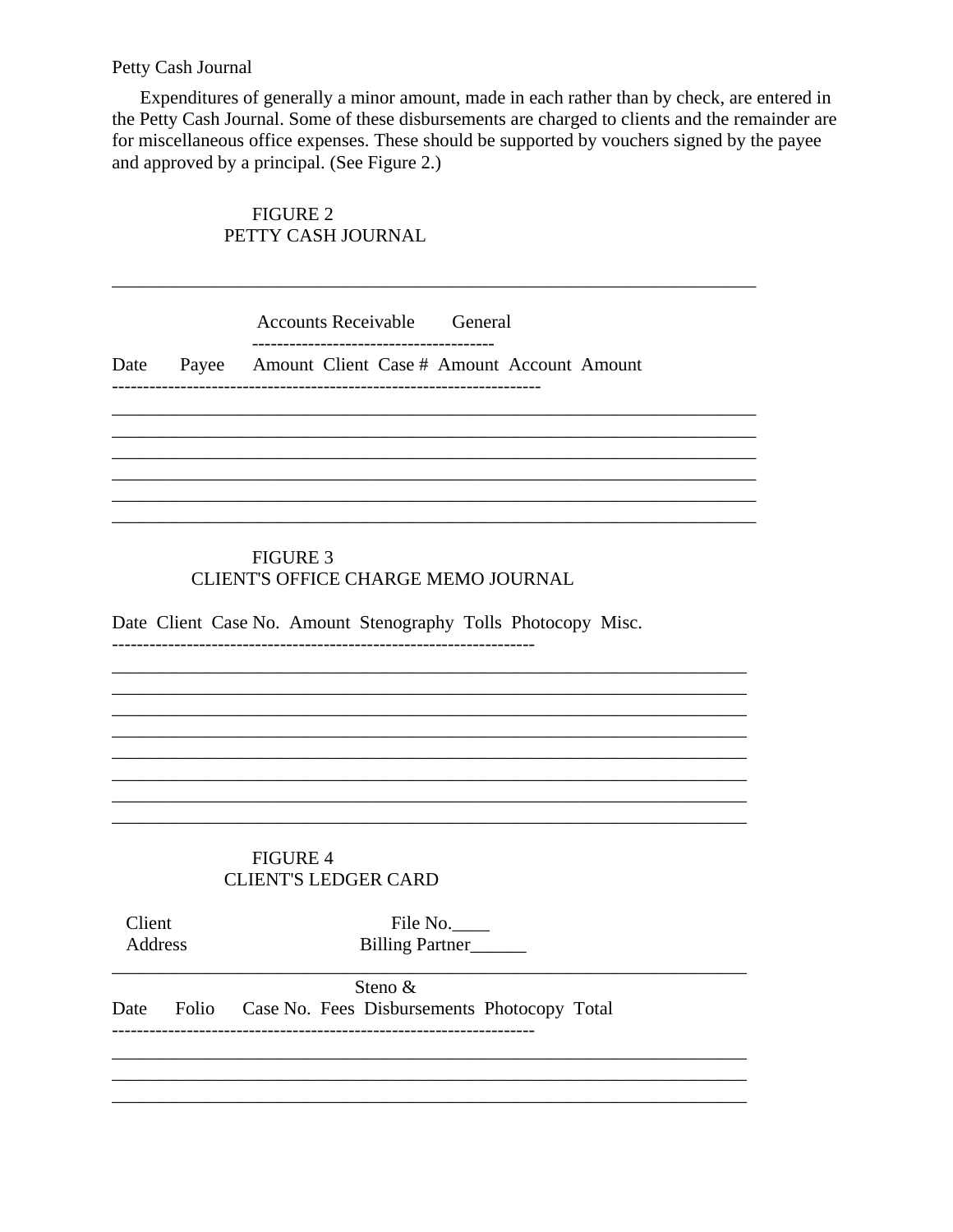Petty Cash Journal

Expenditures of generally a minor amount, made in each rather than by check, are entered in the Petty Cash Journal. Some of these disbursements are charged to clients and the remainder are for miscellaneous office expenses. These should be supported by vouchers signed by the payee and approved by a principal. (See Figure 2.)

# **FIGURE 2** PETTY CASH JOURNAL

|      | Accounts Receivable General<br>-------------------------------------- |
|------|-----------------------------------------------------------------------|
| Date | Payee Amount Client Case # Amount Account Amount                      |
|      |                                                                       |
|      |                                                                       |
|      |                                                                       |
|      |                                                                       |
|      |                                                                       |
|      |                                                                       |

# FIGURE 3 CLIENT'S OFFICE CHARGE MEMO JOURNAL

Date Client Case No. Amount Stenography Tolls Photocopy Misc.

# **FIGURE 4 CLIENT'S LEDGER CARD**

File No. Client Billing Partner Address

Steno  $\&$ Date Folio Case No. Fees Disbursements Photocopy Total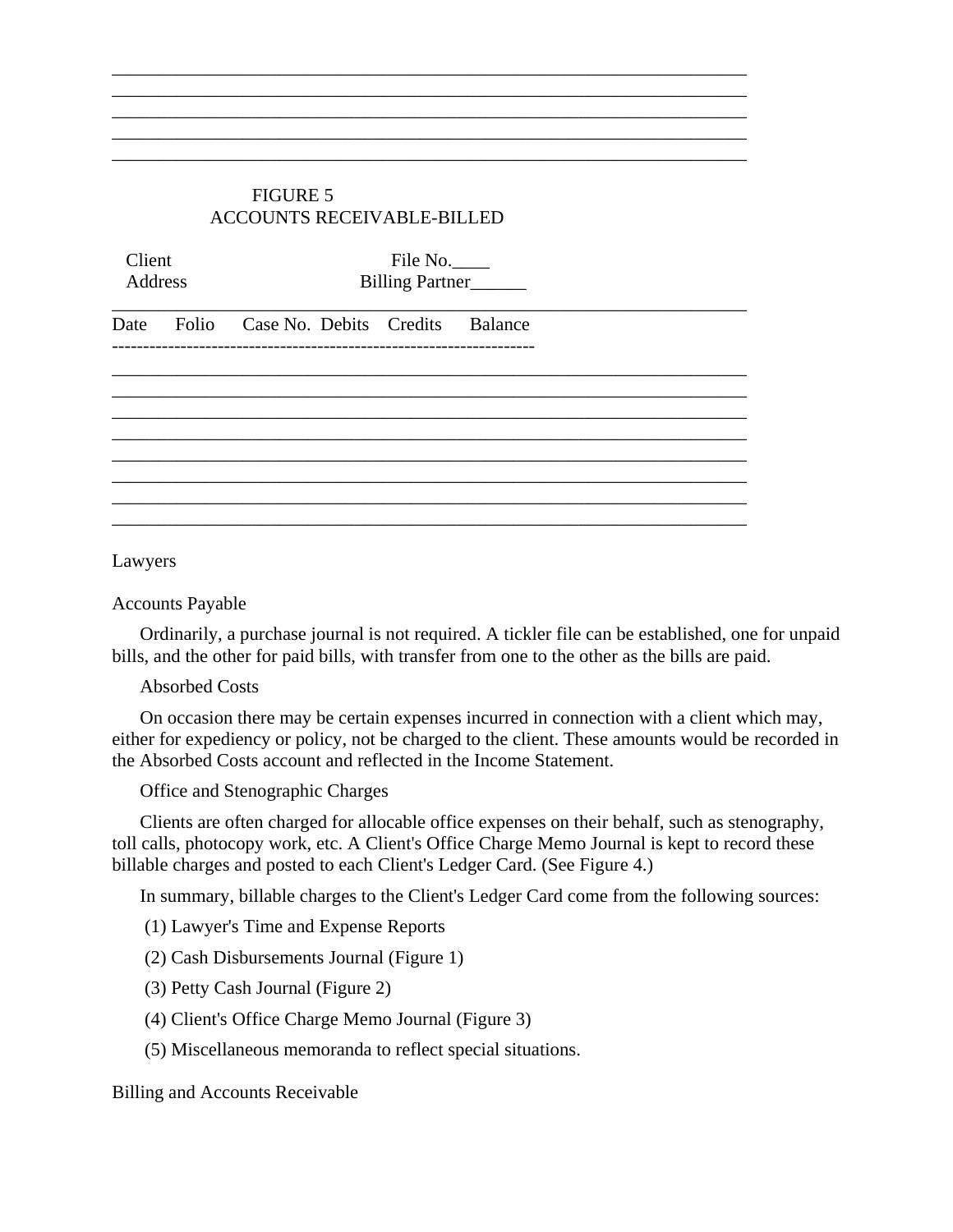# FIGURE 5 ACCOUNTS RECEIVABLE-BILLED

| Client<br>Address | File No.<br>Billing Partner                |  |  |  |
|-------------------|--------------------------------------------|--|--|--|
|                   | Date Folio Case No. Debits Credits Balance |  |  |  |
|                   |                                            |  |  |  |
|                   |                                            |  |  |  |
|                   |                                            |  |  |  |
|                   |                                            |  |  |  |
|                   |                                            |  |  |  |
|                   |                                            |  |  |  |

\_\_\_\_\_\_\_\_\_\_\_\_\_\_\_\_\_\_\_\_\_\_\_\_\_\_\_\_\_\_\_\_\_\_\_\_\_\_\_\_\_\_\_\_\_\_\_\_\_\_\_\_\_\_\_\_\_\_\_\_\_\_\_\_\_\_\_\_ \_\_\_\_\_\_\_\_\_\_\_\_\_\_\_\_\_\_\_\_\_\_\_\_\_\_\_\_\_\_\_\_\_\_\_\_\_\_\_\_\_\_\_\_\_\_\_\_\_\_\_\_\_\_\_\_\_\_\_\_\_\_\_\_\_\_\_\_ \_\_\_\_\_\_\_\_\_\_\_\_\_\_\_\_\_\_\_\_\_\_\_\_\_\_\_\_\_\_\_\_\_\_\_\_\_\_\_\_\_\_\_\_\_\_\_\_\_\_\_\_\_\_\_\_\_\_\_\_\_\_\_\_\_\_\_\_ \_\_\_\_\_\_\_\_\_\_\_\_\_\_\_\_\_\_\_\_\_\_\_\_\_\_\_\_\_\_\_\_\_\_\_\_\_\_\_\_\_\_\_\_\_\_\_\_\_\_\_\_\_\_\_\_\_\_\_\_\_\_\_\_\_\_\_\_ \_\_\_\_\_\_\_\_\_\_\_\_\_\_\_\_\_\_\_\_\_\_\_\_\_\_\_\_\_\_\_\_\_\_\_\_\_\_\_\_\_\_\_\_\_\_\_\_\_\_\_\_\_\_\_\_\_\_\_\_\_\_\_\_\_\_\_\_

Lawyers

Accounts Payable

Ordinarily, a purchase journal is not required. A tickler file can be established, one for unpaid bills, and the other for paid bills, with transfer from one to the other as the bills are paid.

#### Absorbed Costs

On occasion there may be certain expenses incurred in connection with a client which may, either for expediency or policy, not be charged to the client. These amounts would be recorded in the Absorbed Costs account and reflected in the Income Statement.

Office and Stenographic Charges

Clients are often charged for allocable office expenses on their behalf, such as stenography, toll calls, photocopy work, etc. A Client's Office Charge Memo Journal is kept to record these billable charges and posted to each Client's Ledger Card. (See Figure 4.)

In summary, billable charges to the Client's Ledger Card come from the following sources:

(1) Lawyer's Time and Expense Reports

(2) Cash Disbursements Journal (Figure 1)

- (3) Petty Cash Journal (Figure 2)
- (4) Client's Office Charge Memo Journal (Figure 3)
- (5) Miscellaneous memoranda to reflect special situations.

Billing and Accounts Receivable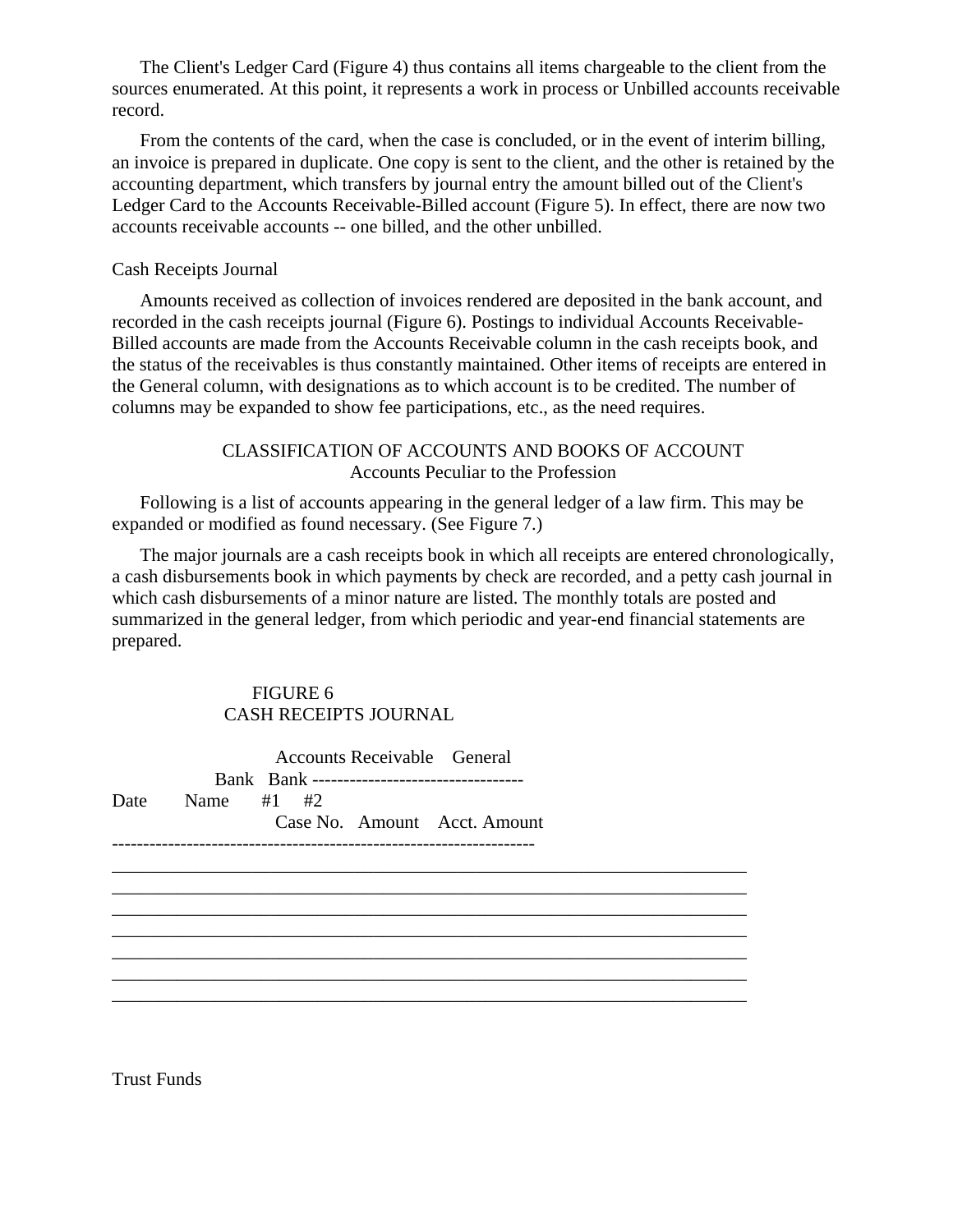The Client's Ledger Card (Figure 4) thus contains all items chargeable to the client from the sources enumerated. At this point, it represents a work in process or Unbilled accounts receivable record.

From the contents of the card, when the case is concluded, or in the event of interim billing, an invoice is prepared in duplicate. One copy is sent to the client, and the other is retained by the accounting department, which transfers by journal entry the amount billed out of the Client's Ledger Card to the Accounts Receivable-Billed account (Figure 5). In effect, there are now two accounts receivable accounts -- one billed, and the other unbilled.

#### Cash Receipts Journal

Amounts received as collection of invoices rendered are deposited in the bank account, and recorded in the cash receipts journal (Figure 6). Postings to individual Accounts Receivable-Billed accounts are made from the Accounts Receivable column in the cash receipts book, and the status of the receivables is thus constantly maintained. Other items of receipts are entered in the General column, with designations as to which account is to be credited. The number of columns may be expanded to show fee participations, etc., as the need requires.

# CLASSIFICATION OF ACCOUNTS AND BOOKS OF ACCOUNT Accounts Peculiar to the Profession

Following is a list of accounts appearing in the general ledger of a law firm. This may be expanded or modified as found necessary. (See Figure 7.)

The major journals are a cash receipts book in which all receipts are entered chronologically, a cash disbursements book in which payments by check are recorded, and a petty cash journal in which cash disbursements of a minor nature are listed. The monthly totals are posted and summarized in the general ledger, from which periodic and year-end financial statements are prepared.

\_\_\_\_\_\_\_\_\_\_\_\_\_\_\_\_\_\_\_\_\_\_\_\_\_\_\_\_\_\_\_\_\_\_\_\_\_\_\_\_\_\_\_\_\_\_\_\_\_\_\_\_\_\_\_\_\_\_\_\_\_\_\_\_\_\_\_\_ \_\_\_\_\_\_\_\_\_\_\_\_\_\_\_\_\_\_\_\_\_\_\_\_\_\_\_\_\_\_\_\_\_\_\_\_\_\_\_\_\_\_\_\_\_\_\_\_\_\_\_\_\_\_\_\_\_\_\_\_\_\_\_\_\_\_\_\_ \_\_\_\_\_\_\_\_\_\_\_\_\_\_\_\_\_\_\_\_\_\_\_\_\_\_\_\_\_\_\_\_\_\_\_\_\_\_\_\_\_\_\_\_\_\_\_\_\_\_\_\_\_\_\_\_\_\_\_\_\_\_\_\_\_\_\_\_ \_\_\_\_\_\_\_\_\_\_\_\_\_\_\_\_\_\_\_\_\_\_\_\_\_\_\_\_\_\_\_\_\_\_\_\_\_\_\_\_\_\_\_\_\_\_\_\_\_\_\_\_\_\_\_\_\_\_\_\_\_\_\_\_\_\_\_\_ \_\_\_\_\_\_\_\_\_\_\_\_\_\_\_\_\_\_\_\_\_\_\_\_\_\_\_\_\_\_\_\_\_\_\_\_\_\_\_\_\_\_\_\_\_\_\_\_\_\_\_\_\_\_\_\_\_\_\_\_\_\_\_\_\_\_\_\_ \_\_\_\_\_\_\_\_\_\_\_\_\_\_\_\_\_\_\_\_\_\_\_\_\_\_\_\_\_\_\_\_\_\_\_\_\_\_\_\_\_\_\_\_\_\_\_\_\_\_\_\_\_\_\_\_\_\_\_\_\_\_\_\_\_\_\_\_ \_\_\_\_\_\_\_\_\_\_\_\_\_\_\_\_\_\_\_\_\_\_\_\_\_\_\_\_\_\_\_\_\_\_\_\_\_\_\_\_\_\_\_\_\_\_\_\_\_\_\_\_\_\_\_\_\_\_\_\_\_\_\_\_\_\_\_\_

# FIGURE 6 CASH RECEIPTS JOURNAL

 Accounts Receivable General Bank Bank ---------------------------------- Date Name #1 #2 Case No. Amount Acct. Amount --------------------------------------------------------------------

Trust Funds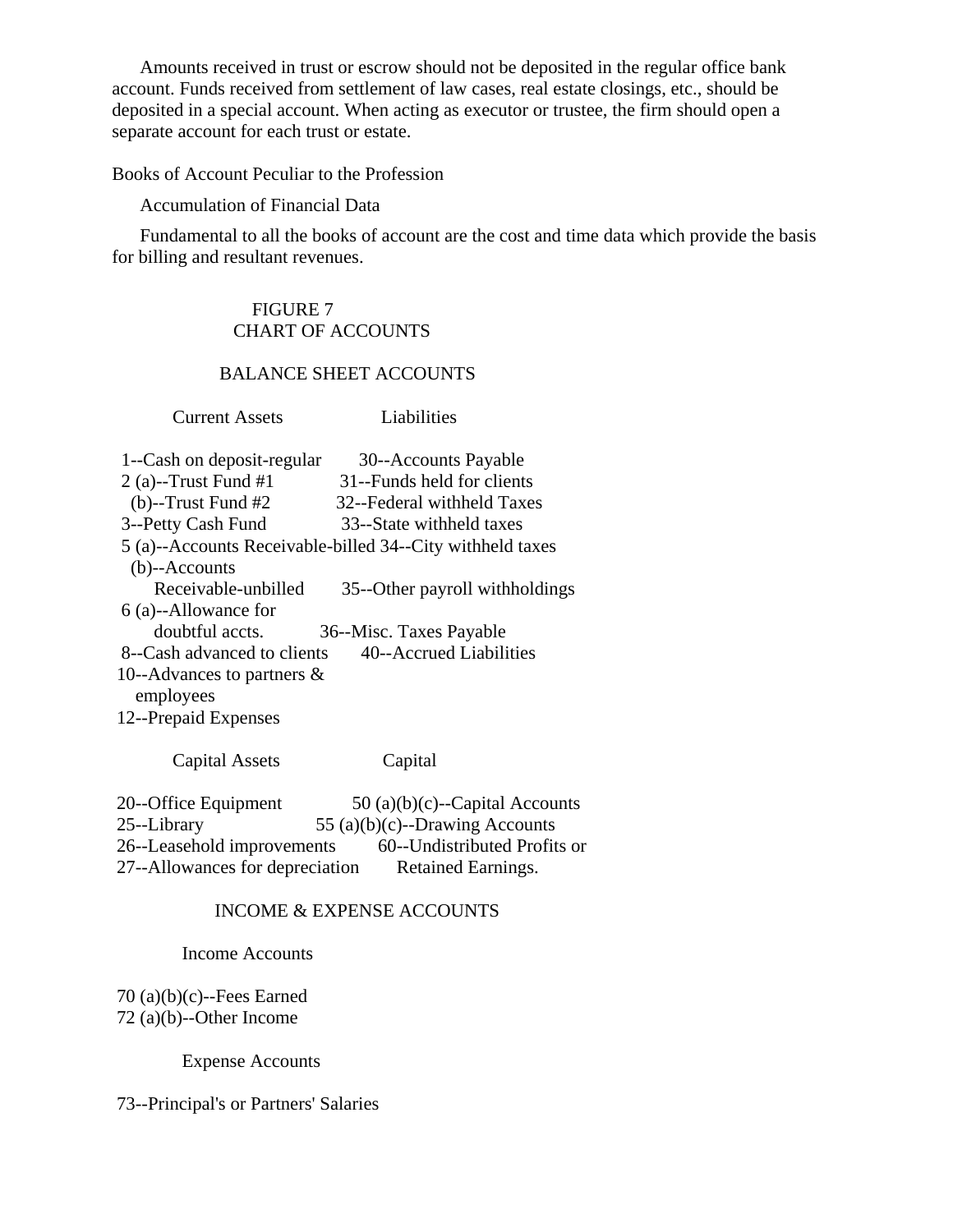Amounts received in trust or escrow should not be deposited in the regular office bank account. Funds received from settlement of law cases, real estate closings, etc., should be deposited in a special account. When acting as executor or trustee, the firm should open a separate account for each trust or estate.

Books of Account Peculiar to the Profession

Accumulation of Financial Data

Fundamental to all the books of account are the cost and time data which provide the basis for billing and resultant revenues.

# FIGURE 7 CHART OF ACCOUNTS

#### BALANCE SHEET ACCOUNTS

Current Assets Liabilities

| 1--Cash on deposit-regular    | 30--Accounts Payable                                      |
|-------------------------------|-----------------------------------------------------------|
| $2(a)$ --Trust Fund #1        | 31--Funds held for clients                                |
| $(b)$ --Trust Fund #2         | 32--Federal withheld Taxes                                |
| 3--Petty Cash Fund            | 33--State withheld taxes                                  |
|                               | 5 (a)--Accounts Receivable-billed 34--City withheld taxes |
| $(b)$ --Accounts              |                                                           |
| Receivable-unbilled           | 35--Other payroll withholdings                            |
| 6 (a)--Allowance for          |                                                           |
| doubtful accts.               | 36--Misc. Taxes Payable                                   |
| 8--Cash advanced to clients   | 40--Accrued Liabilities                                   |
| 10--Advances to partners $\&$ |                                                           |
| employees                     |                                                           |
| 12--Prepaid Expenses          |                                                           |

Capital Assets Capital

20--Office Equipment  $50 (a)(b)(c)$ --Capital Accounts 25--Library  $55 (a)(b)(c)$ --Drawing Accounts 26--Leasehold improvements 60--Undistributed Profits or 27--Allowances for depreciation Retained Earnings.

# INCOME & EXPENSE ACCOUNTS

Income Accounts

 70 (a)(b)(c)--Fees Earned 72 (a)(b)--Other Income

Expense Accounts

73--Principal's or Partners' Salaries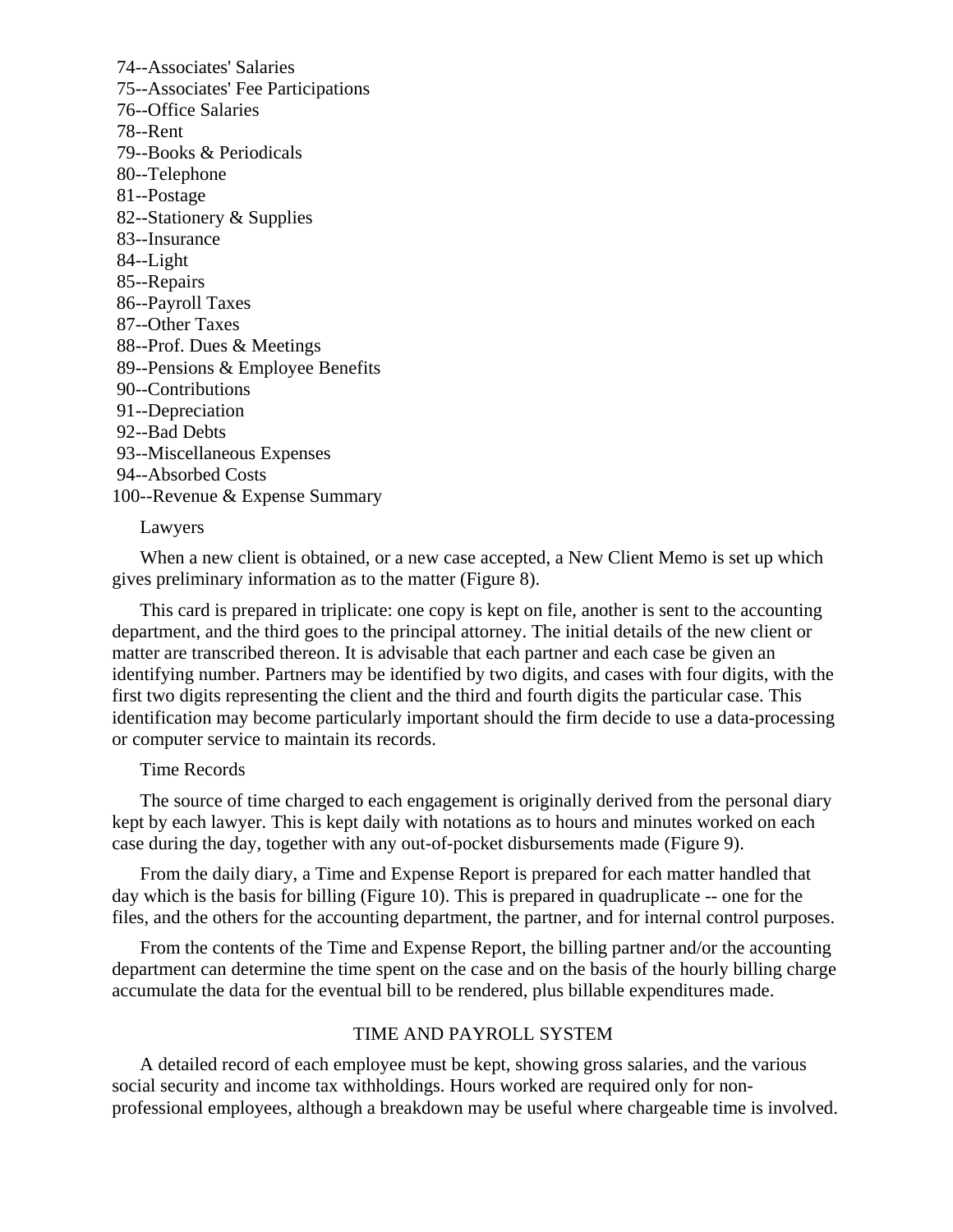74--Associates' Salaries 75--Associates' Fee Participations 76--Office Salaries 78--Rent 79--Books & Periodicals 80--Telephone 81--Postage 82--Stationery & Supplies 83--Insurance 84--Light 85--Repairs 86--Payroll Taxes 87--Other Taxes 88--Prof. Dues & Meetings 89--Pensions & Employee Benefits 90--Contributions 91--Depreciation 92--Bad Debts 93--Miscellaneous Expenses 94--Absorbed Costs 100--Revenue & Expense Summary

Lawyers

When a new client is obtained, or a new case accepted, a New Client Memo is set up which gives preliminary information as to the matter (Figure 8).

This card is prepared in triplicate: one copy is kept on file, another is sent to the accounting department, and the third goes to the principal attorney. The initial details of the new client or matter are transcribed thereon. It is advisable that each partner and each case be given an identifying number. Partners may be identified by two digits, and cases with four digits, with the first two digits representing the client and the third and fourth digits the particular case. This identification may become particularly important should the firm decide to use a data-processing or computer service to maintain its records.

Time Records

The source of time charged to each engagement is originally derived from the personal diary kept by each lawyer. This is kept daily with notations as to hours and minutes worked on each case during the day, together with any out-of-pocket disbursements made (Figure 9).

From the daily diary, a Time and Expense Report is prepared for each matter handled that day which is the basis for billing (Figure 10). This is prepared in quadruplicate -- one for the files, and the others for the accounting department, the partner, and for internal control purposes.

From the contents of the Time and Expense Report, the billing partner and/or the accounting department can determine the time spent on the case and on the basis of the hourly billing charge accumulate the data for the eventual bill to be rendered, plus billable expenditures made.

# TIME AND PAYROLL SYSTEM

A detailed record of each employee must be kept, showing gross salaries, and the various social security and income tax withholdings. Hours worked are required only for nonprofessional employees, although a breakdown may be useful where chargeable time is involved.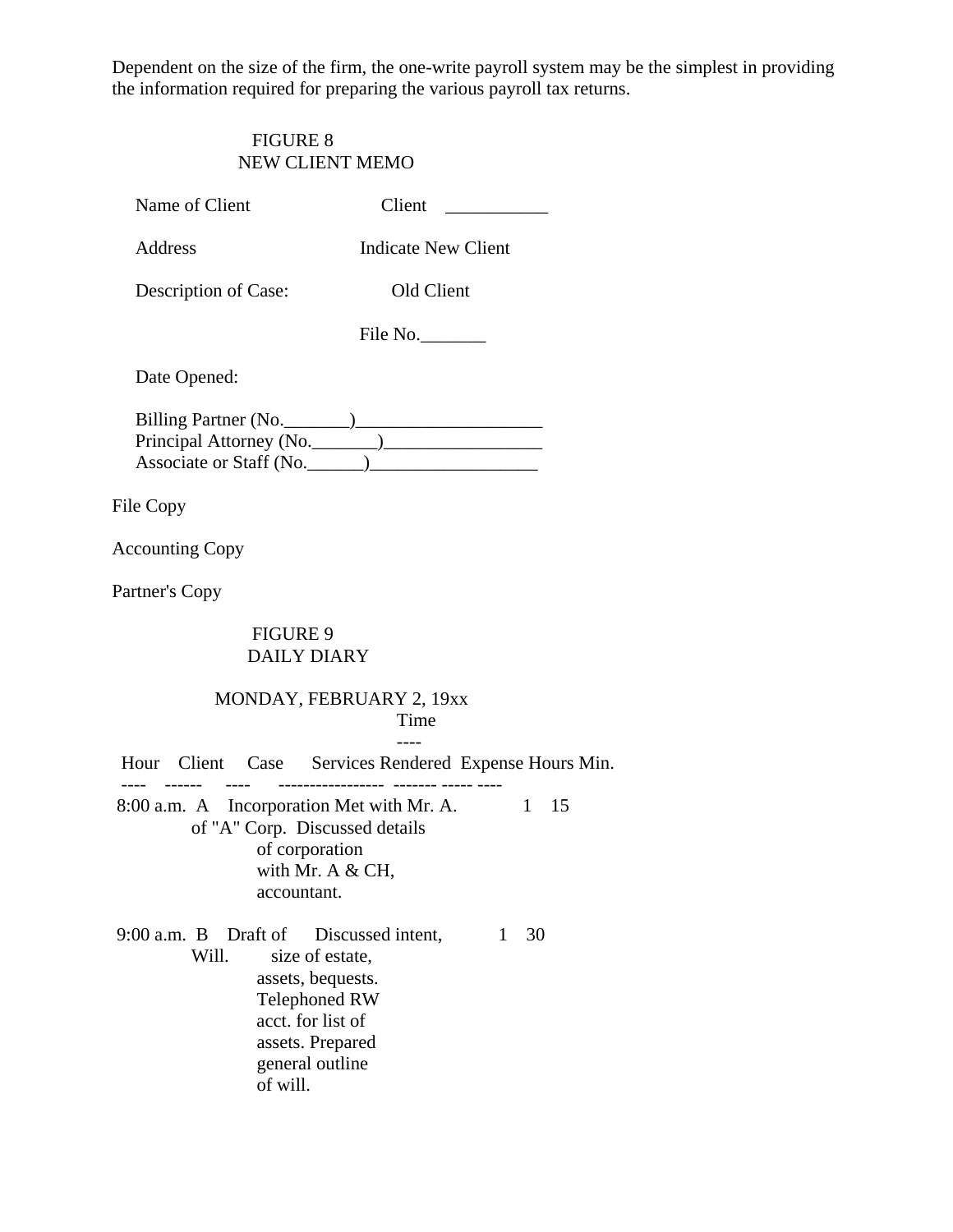Dependent on the size of the firm, the one-write payroll system may be the simplest in providing the information required for preparing the various payroll tax returns.

# FIGURE 8

|                        | <b>NEW CLIENT MEMO</b>                                                                                                                                                           |  |
|------------------------|----------------------------------------------------------------------------------------------------------------------------------------------------------------------------------|--|
| Name of Client         | Client                                                                                                                                                                           |  |
| Address                | <b>Indicate New Client</b>                                                                                                                                                       |  |
| Description of Case:   | Old Client                                                                                                                                                                       |  |
|                        | File No.                                                                                                                                                                         |  |
| Date Opened:           |                                                                                                                                                                                  |  |
|                        |                                                                                                                                                                                  |  |
| File Copy              |                                                                                                                                                                                  |  |
| <b>Accounting Copy</b> |                                                                                                                                                                                  |  |
| Partner's Copy         |                                                                                                                                                                                  |  |
|                        | FIGURE 9<br><b>DAILY DIARY</b>                                                                                                                                                   |  |
|                        | MONDAY, FEBRUARY 2, 19xx<br>Time                                                                                                                                                 |  |
|                        | Hour Client Case Services Rendered Expense Hours Min.                                                                                                                            |  |
|                        | 8:00 a.m. A Incorporation Met with Mr. A. 1<br>15<br>of "A" Corp. Discussed details<br>of corporation<br>with Mr. A & CH,<br>accountant.                                         |  |
| 9:00 a.m. B<br>Will.   | Draft of<br>Discussed intent,<br>30<br>1<br>size of estate,<br>assets, bequests.<br><b>Telephoned RW</b><br>acct. for list of<br>assets. Prepared<br>general outline<br>of will. |  |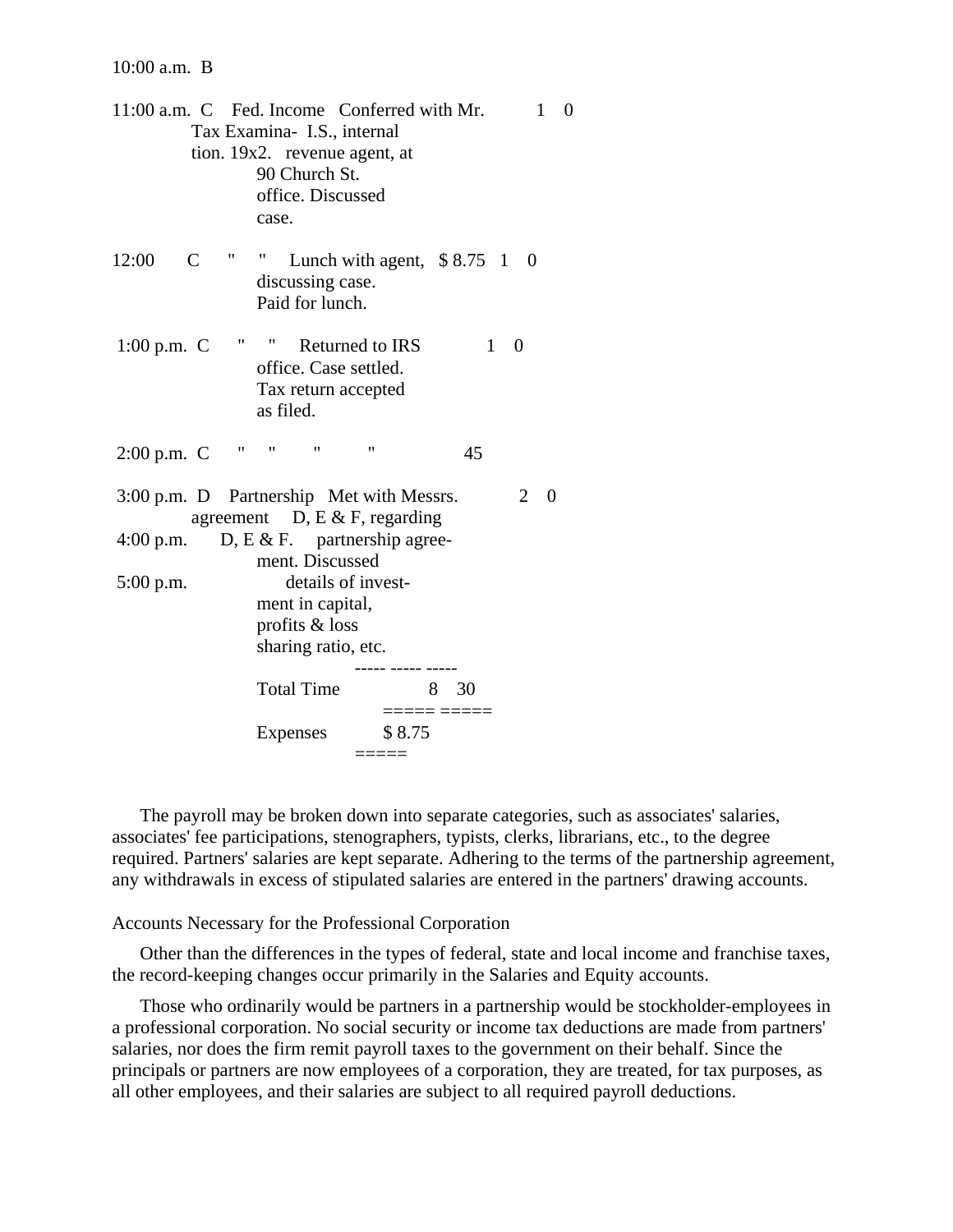|                            | 11:00 a.m. C Fed. Income Conferred with Mr.<br>Tax Examina- I.S., internal<br>tion. 19x2. revenue agent, at<br>90 Church St.<br>office. Discussed<br>case.                                  |                             |              | 1<br>$\theta$ |  |
|----------------------------|---------------------------------------------------------------------------------------------------------------------------------------------------------------------------------------------|-----------------------------|--------------|---------------|--|
| $\mathcal{C}$<br>12:00     | 11<br>discussing case.<br>Paid for lunch.                                                                                                                                                   | Lunch with agent, $$8.75$ 1 |              | $\theta$      |  |
| $1:00$ p.m. $C$            | 11<br>Π<br>office. Case settled.<br>Tax return accepted<br>as filed.                                                                                                                        | Returned to IRS             | $\mathbf{1}$ | $\Omega$      |  |
| $2:00$ p.m. $\degree$ C    | $\overline{\phantom{a}}$<br>11<br>11                                                                                                                                                        | $^{\prime}$                 | 45           |               |  |
| $4:00$ p.m.<br>$5:00$ p.m. | 3:00 p.m. D Partnership Met with Messrs.<br>agreement D, E $&$ F, regarding<br>D, E & F. partnership agree-<br>ment. Discussed<br>ment in capital,<br>profits & loss<br>sharing ratio, etc. | details of invest-          |              | 2<br>$\Omega$ |  |
|                            | <b>Total Time</b>                                                                                                                                                                           |                             | 8 30         |               |  |
|                            | Expenses                                                                                                                                                                                    | \$8.75                      |              |               |  |

The payroll may be broken down into separate categories, such as associates' salaries, associates' fee participations, stenographers, typists, clerks, librarians, etc., to the degree required. Partners' salaries are kept separate. Adhering to the terms of the partnership agreement, any withdrawals in excess of stipulated salaries are entered in the partners' drawing accounts.

#### Accounts Necessary for the Professional Corporation

Other than the differences in the types of federal, state and local income and franchise taxes, the record-keeping changes occur primarily in the Salaries and Equity accounts.

Those who ordinarily would be partners in a partnership would be stockholder-employees in a professional corporation. No social security or income tax deductions are made from partners' salaries, nor does the firm remit payroll taxes to the government on their behalf. Since the principals or partners are now employees of a corporation, they are treated, for tax purposes, as all other employees, and their salaries are subject to all required payroll deductions.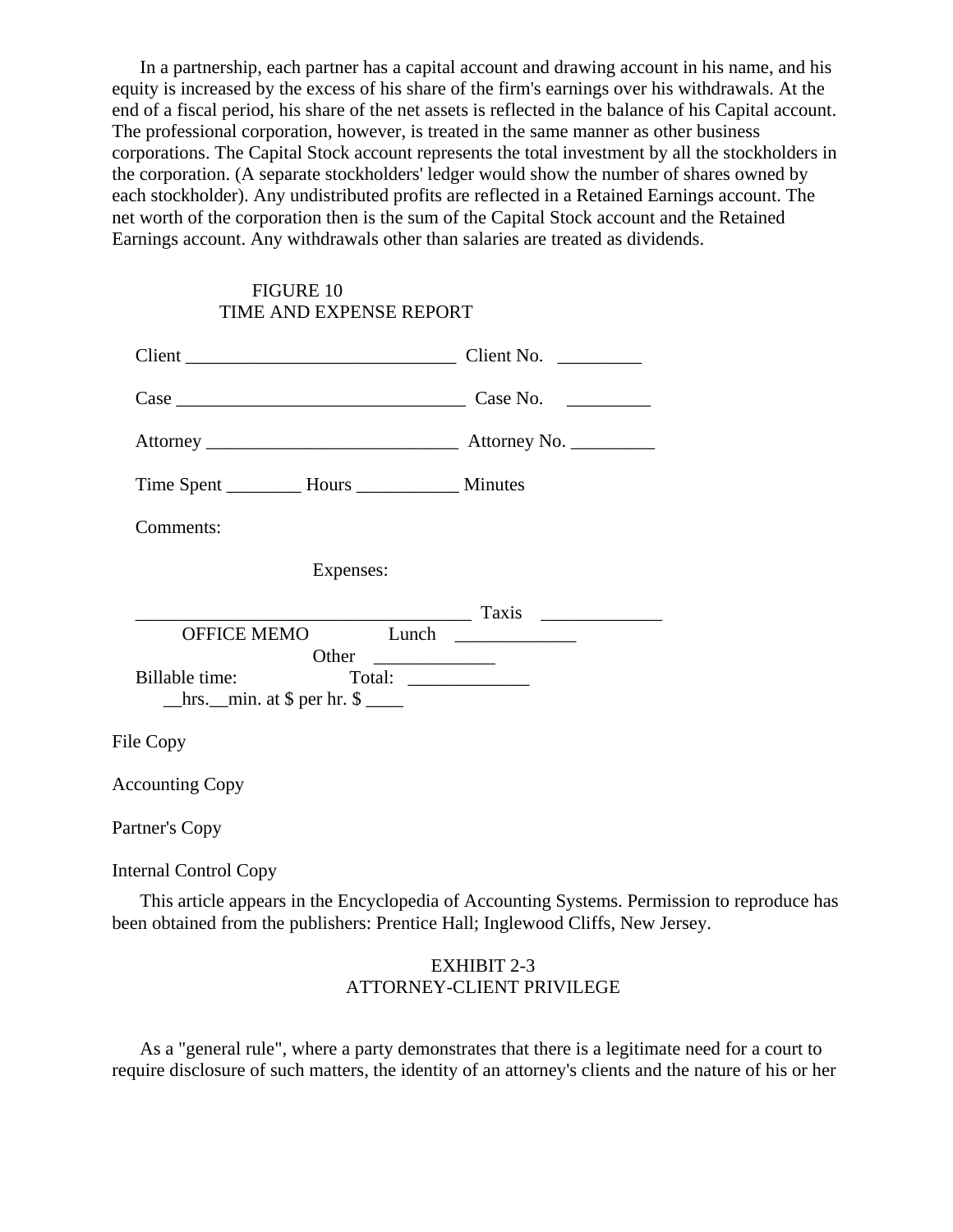In a partnership, each partner has a capital account and drawing account in his name, and his equity is increased by the excess of his share of the firm's earnings over his withdrawals. At the end of a fiscal period, his share of the net assets is reflected in the balance of his Capital account. The professional corporation, however, is treated in the same manner as other business corporations. The Capital Stock account represents the total investment by all the stockholders in the corporation. (A separate stockholders' ledger would show the number of shares owned by each stockholder). Any undistributed profits are reflected in a Retained Earnings account. The net worth of the corporation then is the sum of the Capital Stock account and the Retained Earnings account. Any withdrawals other than salaries are treated as dividends.

# FIGURE 10 TIME AND EXPENSE REPORT

| Comments:                    |                                                                                                                                                                                                                                                                                      |
|------------------------------|--------------------------------------------------------------------------------------------------------------------------------------------------------------------------------------------------------------------------------------------------------------------------------------|
| Expenses:                    |                                                                                                                                                                                                                                                                                      |
| $hrs.$ min. at \$ per hr. \$ | $\overline{\text{Taxis}}$ $\overline{\text{Laxis}}$<br>OFFICE MEMO Lunch Lunch Lunch Lunch Lunch Lunch Lunch Lunch Lunch Lunch Lunch Lunch Lunch Lunch Lunch Lunch Lunch Lunch Lunch Lunch Lunch Lunch Lunch Lunch Lunch Lunch Lunch Lunch Lunch Lunch Lunch Lunch Lunch Lunch Lunch |
| File Copy                    |                                                                                                                                                                                                                                                                                      |
| <b>Accounting Copy</b>       |                                                                                                                                                                                                                                                                                      |
| Partner's Copy               |                                                                                                                                                                                                                                                                                      |
| <b>Internal Control Copy</b> | This article appears in the Encyclopedia of Accounting Systems, Dermi                                                                                                                                                                                                                |

This article appears in the Encyclopedia of Accounting Systems. Permission to reproduce has been obtained from the publishers: Prentice Hall; Inglewood Cliffs, New Jersey.

# EXHIBIT 2-3 ATTORNEY-CLIENT PRIVILEGE

As a "general rule", where a party demonstrates that there is a legitimate need for a court to require disclosure of such matters, the identity of an attorney's clients and the nature of his or her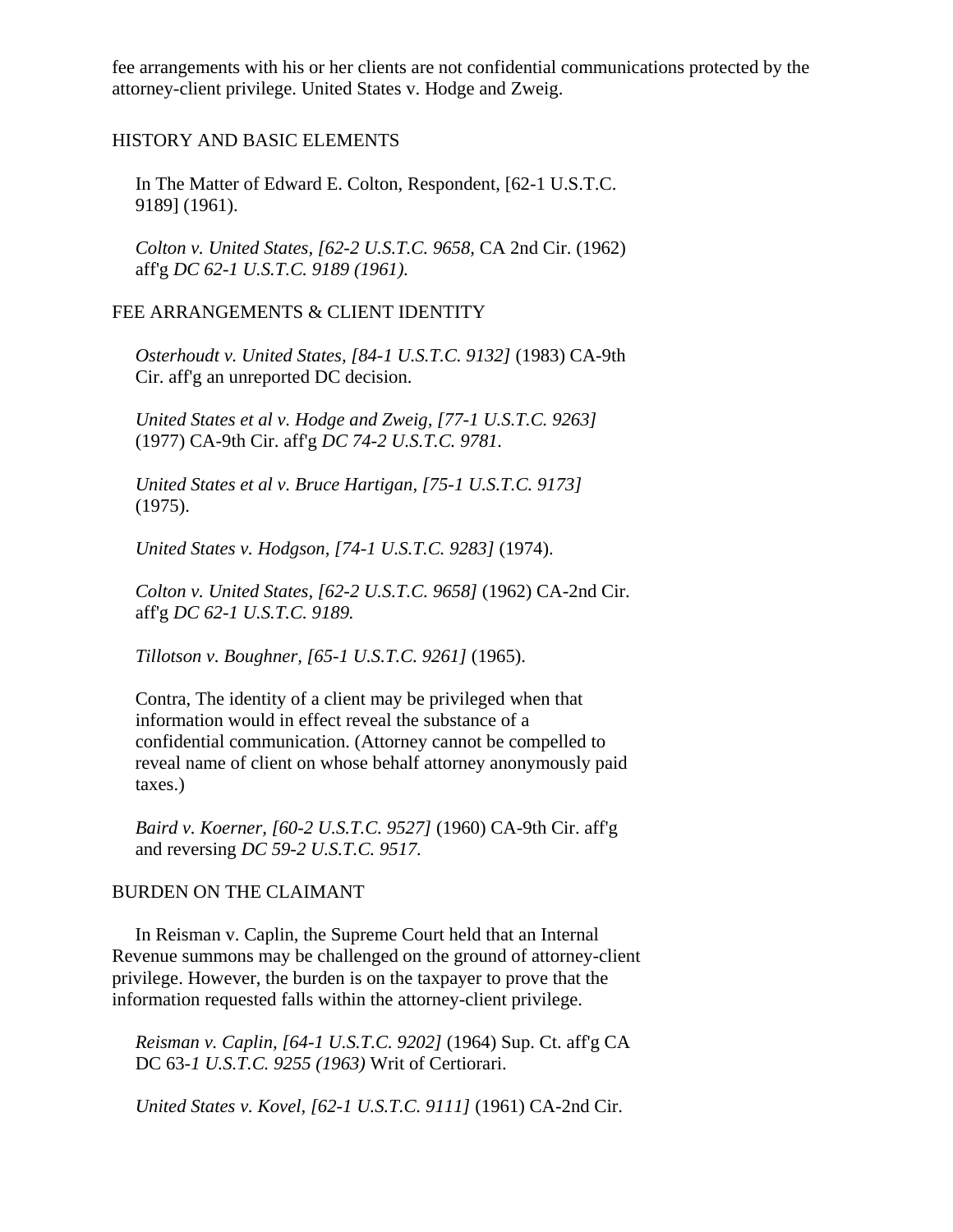fee arrangements with his or her clients are not confidential communications protected by the attorney-client privilege. United States v. Hodge and Zweig.

# HISTORY AND BASIC ELEMENTS

 In The Matter of Edward E. Colton, Respondent, [62-1 U.S.T.C. 9189] (1961).

 *Colton v. United States, [62-2 U.S.T.C. 9658,* CA 2nd Cir. (1962) aff'g *DC 62-1 U.S.T.C. 9189 (1961).*

# FEE ARRANGEMENTS & CLIENT IDENTITY

 *Osterhoudt v. United States, [84-1 U.S.T.C. 9132]* (1983) CA-9th Cir. aff'g an unreported DC decision.

 *United States et al v. Hodge and Zweig, [77-1 U.S.T.C. 9263]* (1977) CA-9th Cir. aff'g *DC 74-2 U.S.T.C. 9781.*

 *United States et al v. Bruce Hartigan, [75-1 U.S.T.C. 9173]* (1975).

*United States v. Hodgson, [74-1 U.S.T.C. 9283]* (1974).

 *Colton v. United States, [62-2 U.S.T.C. 9658]* (1962) CA-2nd Cir. aff'g *DC 62-1 U.S.T.C. 9189.*

*Tillotson v. Boughner, [65-1 U.S.T.C. 9261]* (1965).

 Contra, The identity of a client may be privileged when that information would in effect reveal the substance of a confidential communication. (Attorney cannot be compelled to reveal name of client on whose behalf attorney anonymously paid taxes.)

 *Baird v. Koerner, [60-2 U.S.T.C. 9527]* (1960) CA-9th Cir. aff'g and reversing *DC 59-2 U.S.T.C. 9517.*

#### BURDEN ON THE CLAIMANT

 In Reisman v. Caplin, the Supreme Court held that an Internal Revenue summons may be challenged on the ground of attorney-client privilege. However, the burden is on the taxpayer to prove that the information requested falls within the attorney-client privilege.

 *Reisman v. Caplin, [64-1 U.S.T.C. 9202]* (1964) Sup. Ct. aff'g CA DC 63-*1 U.S.T.C. 9255 (1963)* Writ of Certiorari.

*United States v. Kovel, [62-1 U.S.T.C. 9111]* (1961) CA-2nd Cir.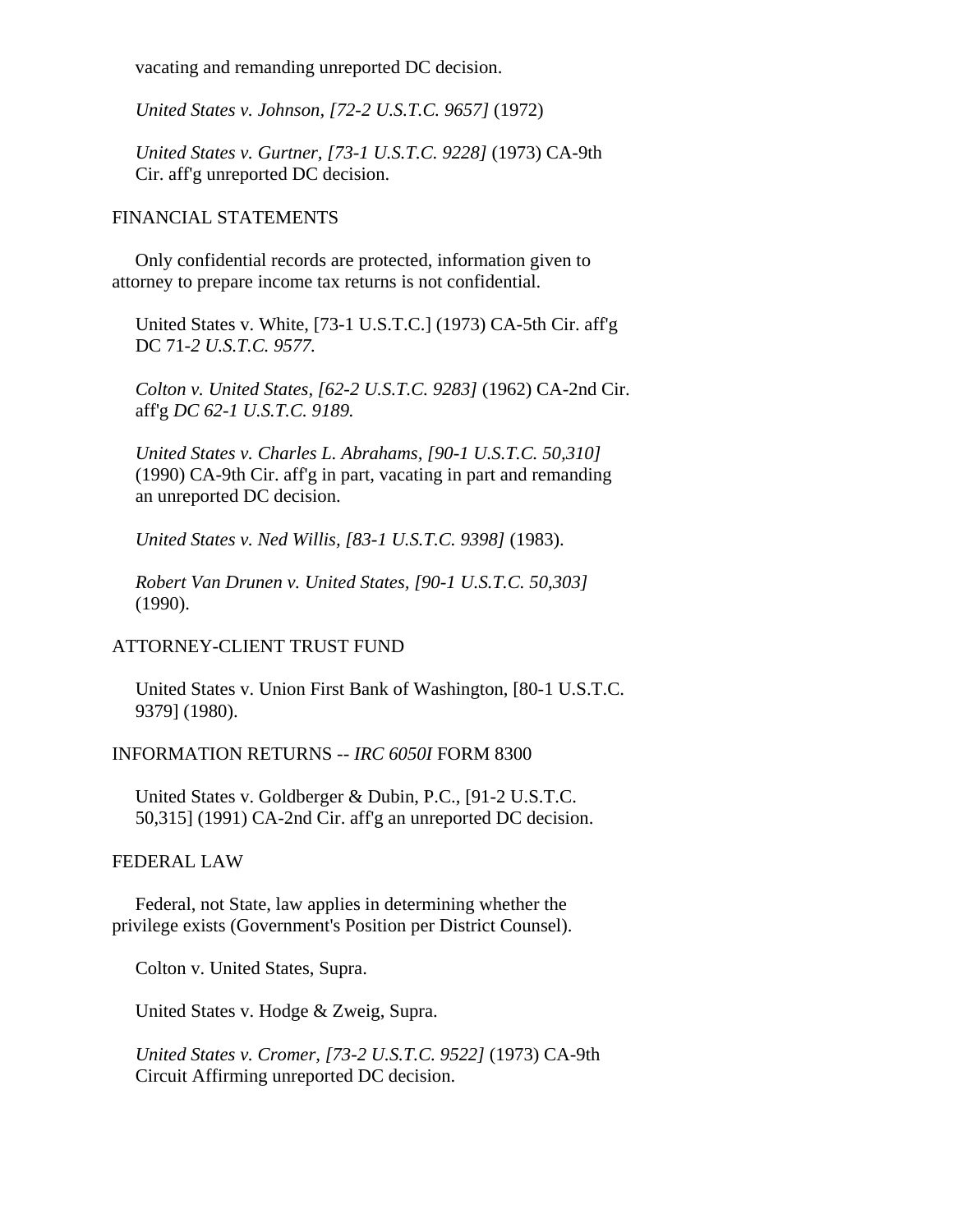vacating and remanding unreported DC decision.

*United States v. Johnson, [72-2 U.S.T.C. 9657]* (1972)

 *United States v. Gurtner, [73-1 U.S.T.C. 9228]* (1973) CA-9th Cir. aff'g unreported DC decision.

# FINANCIAL STATEMENTS

 Only confidential records are protected, information given to attorney to prepare income tax returns is not confidential.

 United States v. White, [73-1 U.S.T.C.] (1973) CA-5th Cir. aff'g DC 71-*2 U.S.T.C. 9577.*

 *Colton v. United States, [62-2 U.S.T.C. 9283]* (1962) CA-2nd Cir. aff'g *DC 62-1 U.S.T.C. 9189.*

 *United States v. Charles L. Abrahams, [90-1 U.S.T.C. 50,310]* (1990) CA-9th Cir. aff'g in part, vacating in part and remanding an unreported DC decision.

*United States v. Ned Willis, [83-1 U.S.T.C. 9398]* (1983).

 *Robert Van Drunen v. United States, [90-1 U.S.T.C. 50,303]* (1990).

# ATTORNEY-CLIENT TRUST FUND

 United States v. Union First Bank of Washington, [80-1 U.S.T.C. 9379] (1980).

INFORMATION RETURNS -- *IRC 6050I* FORM 8300

 United States v. Goldberger & Dubin, P.C., [91-2 U.S.T.C. 50,315] (1991) CA-2nd Cir. aff'g an unreported DC decision.

#### FEDERAL LAW

 Federal, not State, law applies in determining whether the privilege exists (Government's Position per District Counsel).

Colton v. United States, Supra.

United States v. Hodge & Zweig, Supra.

 *United States v. Cromer, [73-2 U.S.T.C. 9522]* (1973) CA-9th Circuit Affirming unreported DC decision.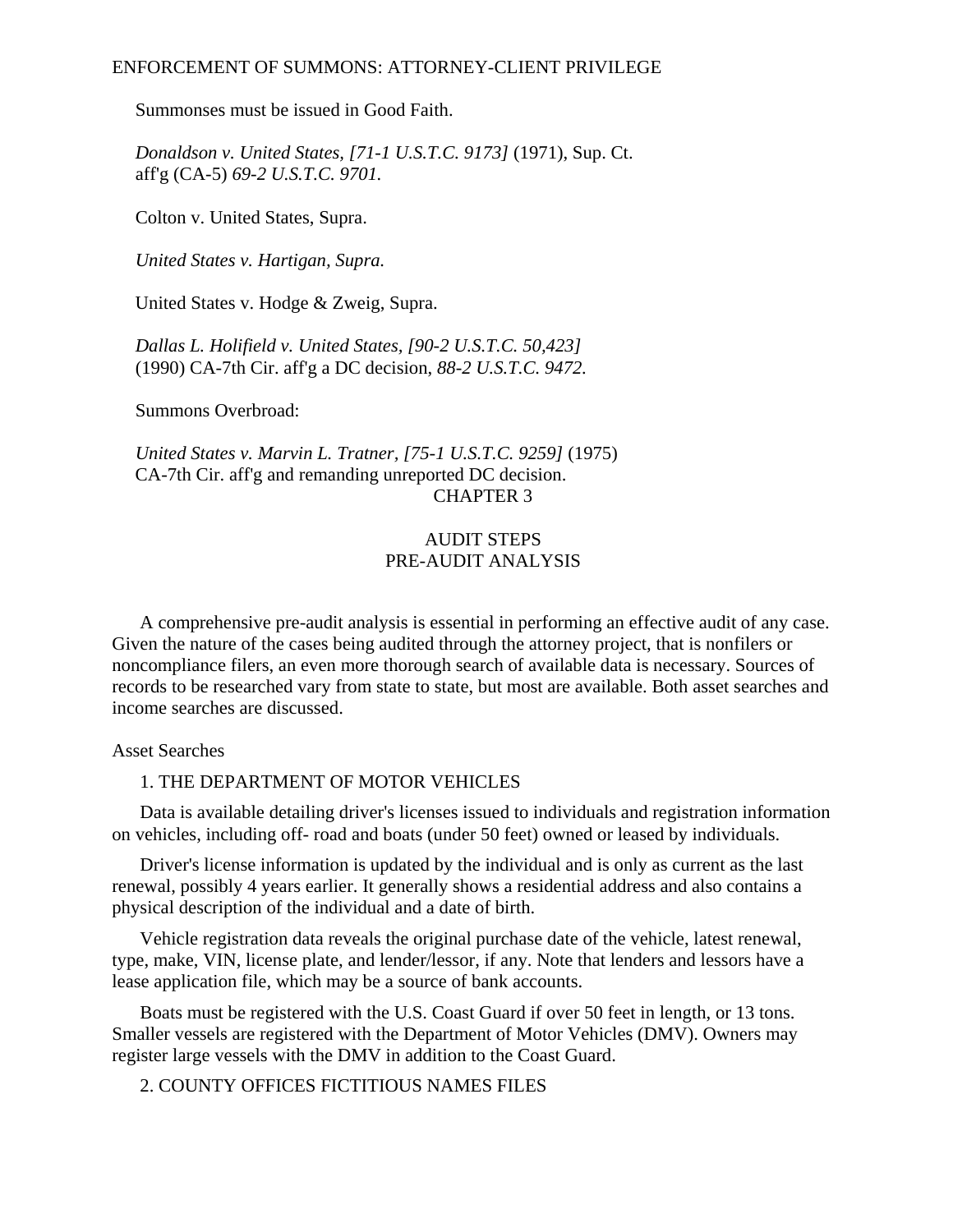Summonses must be issued in Good Faith.

 *Donaldson v. United States, [71-1 U.S.T.C. 9173]* (1971), Sup. Ct. aff'g (CA-5) *69-2 U.S.T.C. 9701.*

Colton v. United States, Supra.

*United States v. Hartigan, Supra.*

United States v. Hodge & Zweig, Supra.

 *Dallas L. Holifield v. United States, [90-2 U.S.T.C. 50,423]* (1990) CA-7th Cir. aff'g a DC decision, *88-2 U.S.T.C. 9472.*

Summons Overbroad:

 *United States v. Marvin L. Tratner, [75-1 U.S.T.C. 9259]* (1975) CA-7th Cir. aff'g and remanding unreported DC decision. CHAPTER 3

# AUDIT STEPS PRE-AUDIT ANALYSIS

A comprehensive pre-audit analysis is essential in performing an effective audit of any case. Given the nature of the cases being audited through the attorney project, that is nonfilers or noncompliance filers, an even more thorough search of available data is necessary. Sources of records to be researched vary from state to state, but most are available. Both asset searches and income searches are discussed.

Asset Searches

# 1. THE DEPARTMENT OF MOTOR VEHICLES

Data is available detailing driver's licenses issued to individuals and registration information on vehicles, including off- road and boats (under 50 feet) owned or leased by individuals.

Driver's license information is updated by the individual and is only as current as the last renewal, possibly 4 years earlier. It generally shows a residential address and also contains a physical description of the individual and a date of birth.

Vehicle registration data reveals the original purchase date of the vehicle, latest renewal, type, make, VIN, license plate, and lender/lessor, if any. Note that lenders and lessors have a lease application file, which may be a source of bank accounts.

Boats must be registered with the U.S. Coast Guard if over 50 feet in length, or 13 tons. Smaller vessels are registered with the Department of Motor Vehicles (DMV). Owners may register large vessels with the DMV in addition to the Coast Guard.

2. COUNTY OFFICES FICTITIOUS NAMES FILES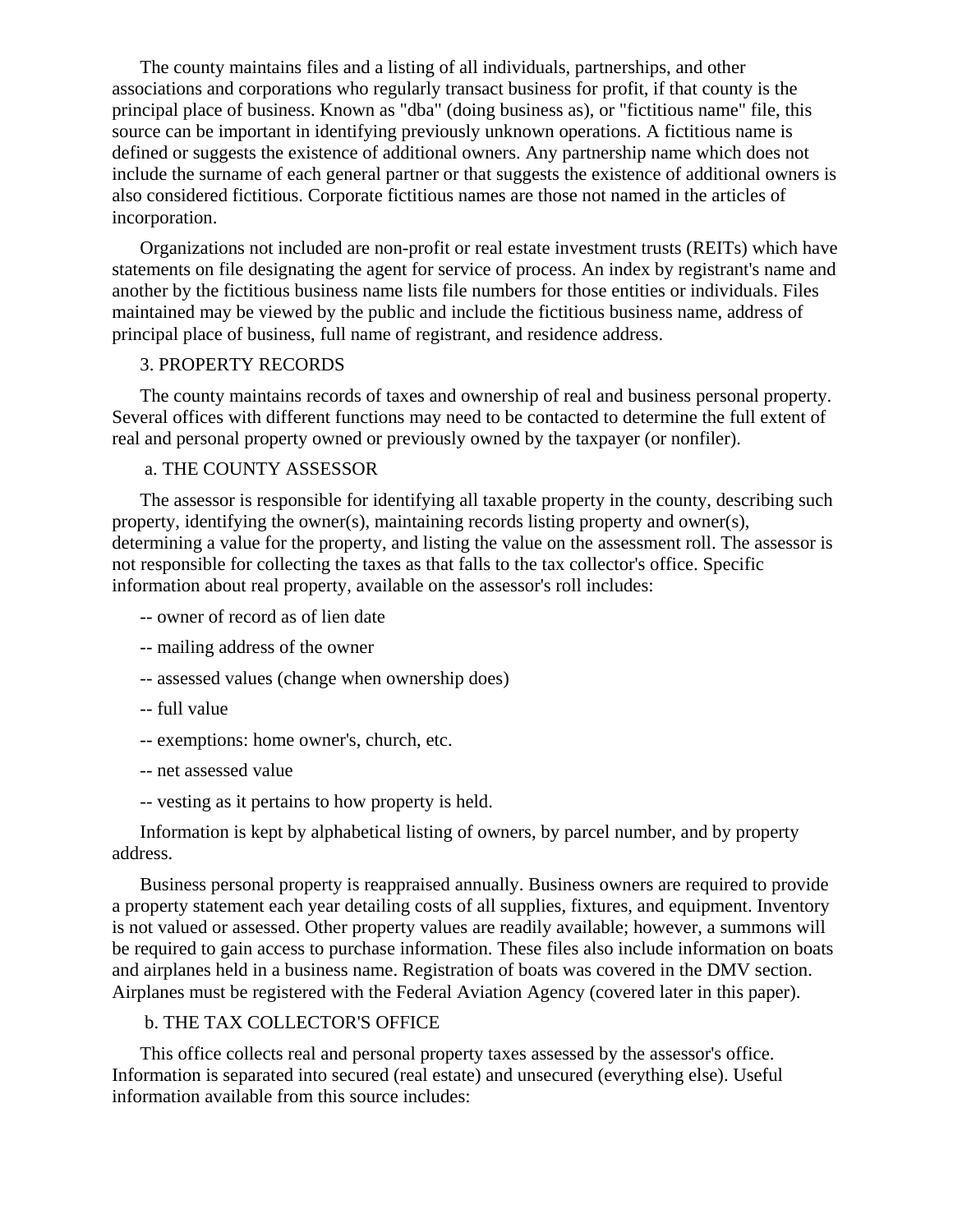The county maintains files and a listing of all individuals, partnerships, and other associations and corporations who regularly transact business for profit, if that county is the principal place of business. Known as "dba" (doing business as), or "fictitious name" file, this source can be important in identifying previously unknown operations. A fictitious name is defined or suggests the existence of additional owners. Any partnership name which does not include the surname of each general partner or that suggests the existence of additional owners is also considered fictitious. Corporate fictitious names are those not named in the articles of incorporation.

Organizations not included are non-profit or real estate investment trusts (REITs) which have statements on file designating the agent for service of process. An index by registrant's name and another by the fictitious business name lists file numbers for those entities or individuals. Files maintained may be viewed by the public and include the fictitious business name, address of principal place of business, full name of registrant, and residence address.

# 3. PROPERTY RECORDS

The county maintains records of taxes and ownership of real and business personal property. Several offices with different functions may need to be contacted to determine the full extent of real and personal property owned or previously owned by the taxpayer (or nonfiler).

# a. THE COUNTY ASSESSOR

The assessor is responsible for identifying all taxable property in the county, describing such property, identifying the owner(s), maintaining records listing property and owner(s), determining a value for the property, and listing the value on the assessment roll. The assessor is not responsible for collecting the taxes as that falls to the tax collector's office. Specific information about real property, available on the assessor's roll includes:

- -- owner of record as of lien date
- -- mailing address of the owner
- -- assessed values (change when ownership does)
- -- full value
- -- exemptions: home owner's, church, etc.
- -- net assessed value
- -- vesting as it pertains to how property is held.

Information is kept by alphabetical listing of owners, by parcel number, and by property address.

Business personal property is reappraised annually. Business owners are required to provide a property statement each year detailing costs of all supplies, fixtures, and equipment. Inventory is not valued or assessed. Other property values are readily available; however, a summons will be required to gain access to purchase information. These files also include information on boats and airplanes held in a business name. Registration of boats was covered in the DMV section. Airplanes must be registered with the Federal Aviation Agency (covered later in this paper).

#### b. THE TAX COLLECTOR'S OFFICE

This office collects real and personal property taxes assessed by the assessor's office. Information is separated into secured (real estate) and unsecured (everything else). Useful information available from this source includes: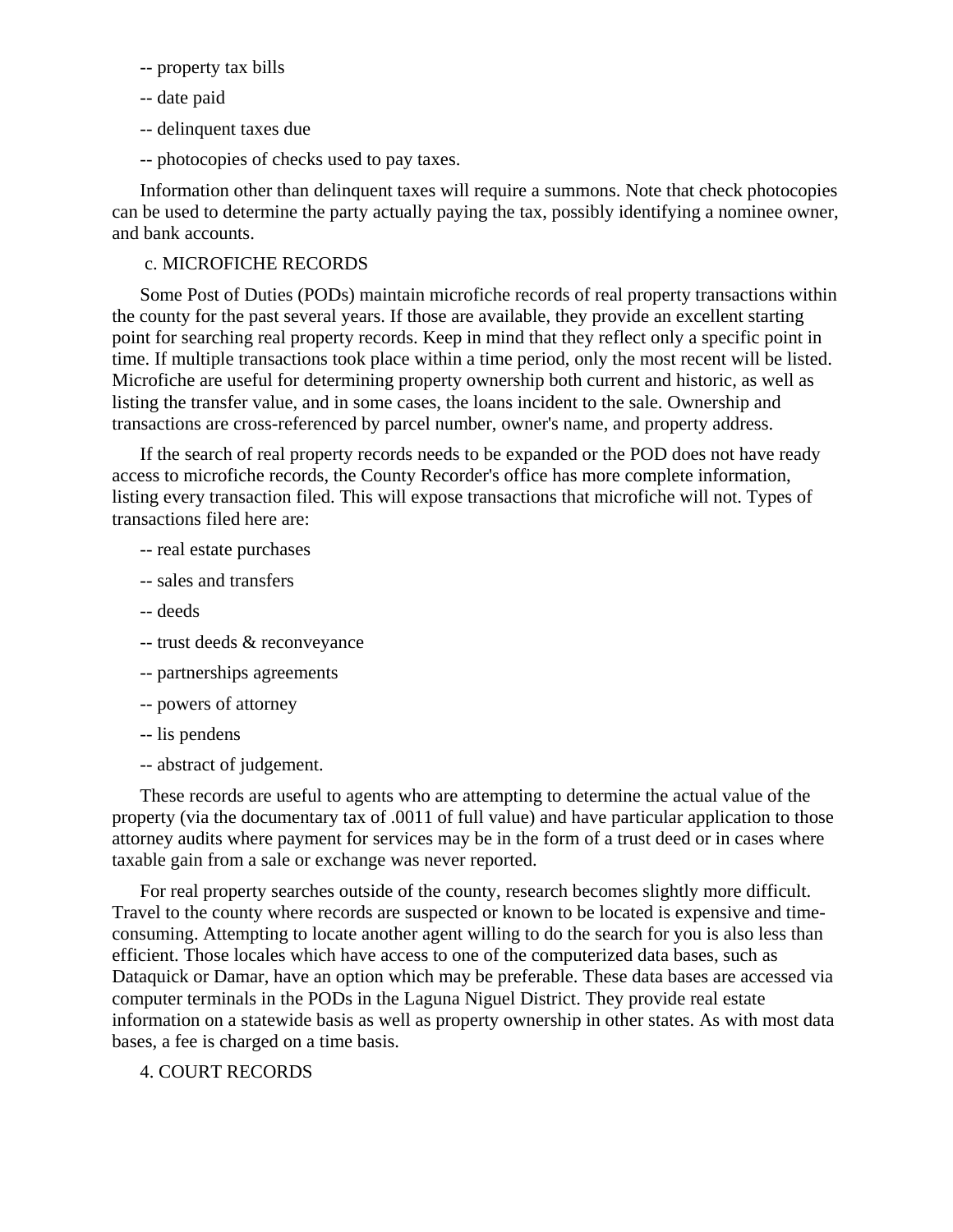- -- property tax bills
- -- date paid
- -- delinquent taxes due
- -- photocopies of checks used to pay taxes.

Information other than delinquent taxes will require a summons. Note that check photocopies can be used to determine the party actually paying the tax, possibly identifying a nominee owner, and bank accounts.

# c. MICROFICHE RECORDS

Some Post of Duties (PODs) maintain microfiche records of real property transactions within the county for the past several years. If those are available, they provide an excellent starting point for searching real property records. Keep in mind that they reflect only a specific point in time. If multiple transactions took place within a time period, only the most recent will be listed. Microfiche are useful for determining property ownership both current and historic, as well as listing the transfer value, and in some cases, the loans incident to the sale. Ownership and transactions are cross-referenced by parcel number, owner's name, and property address.

If the search of real property records needs to be expanded or the POD does not have ready access to microfiche records, the County Recorder's office has more complete information, listing every transaction filed. This will expose transactions that microfiche will not. Types of transactions filed here are:

- -- real estate purchases
- -- sales and transfers
- -- deeds
- -- trust deeds & reconveyance
- -- partnerships agreements
- -- powers of attorney
- -- lis pendens
- -- abstract of judgement.

These records are useful to agents who are attempting to determine the actual value of the property (via the documentary tax of .0011 of full value) and have particular application to those attorney audits where payment for services may be in the form of a trust deed or in cases where taxable gain from a sale or exchange was never reported.

For real property searches outside of the county, research becomes slightly more difficult. Travel to the county where records are suspected or known to be located is expensive and timeconsuming. Attempting to locate another agent willing to do the search for you is also less than efficient. Those locales which have access to one of the computerized data bases, such as Dataquick or Damar, have an option which may be preferable. These data bases are accessed via computer terminals in the PODs in the Laguna Niguel District. They provide real estate information on a statewide basis as well as property ownership in other states. As with most data bases, a fee is charged on a time basis.

4. COURT RECORDS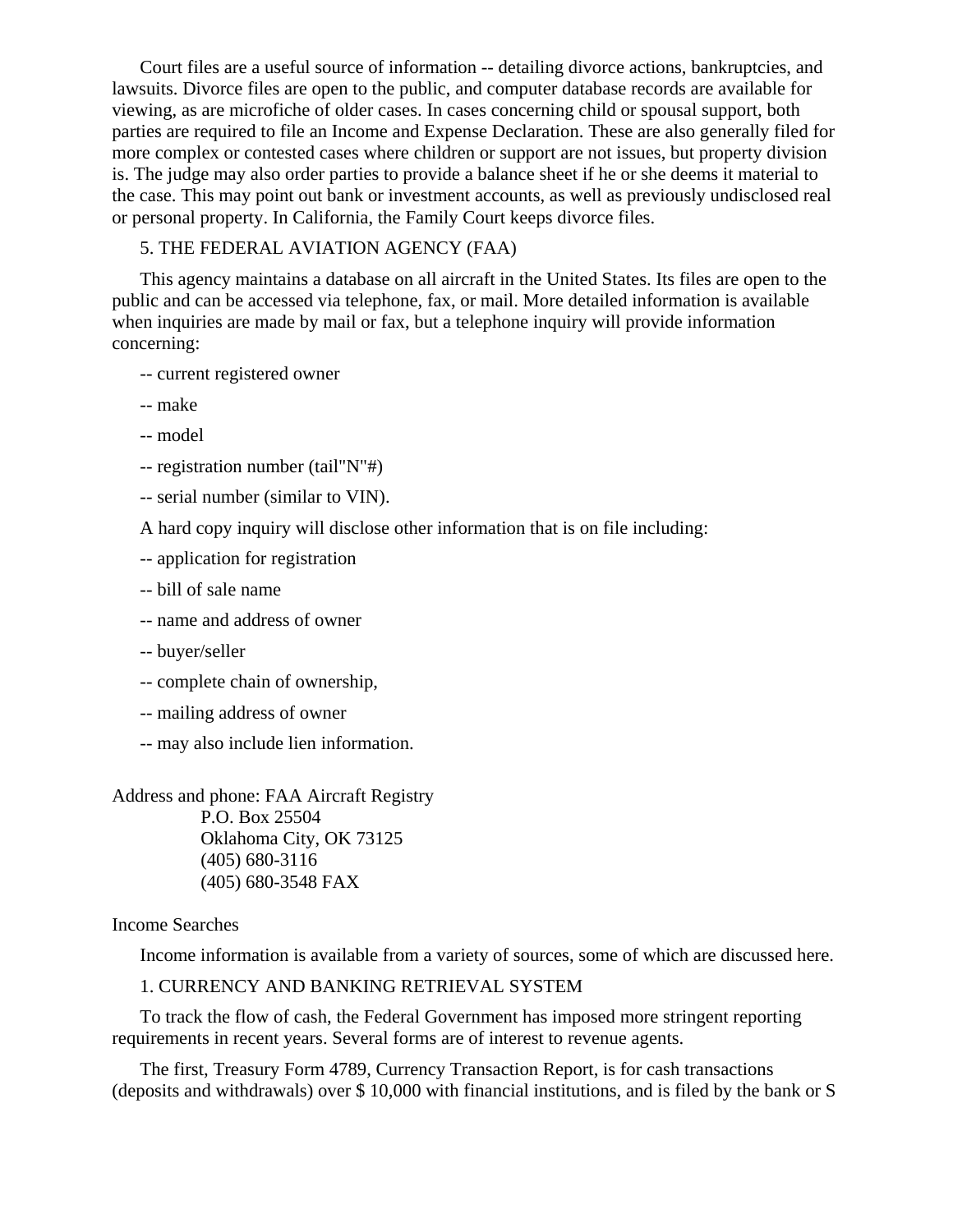Court files are a useful source of information -- detailing divorce actions, bankruptcies, and lawsuits. Divorce files are open to the public, and computer database records are available for viewing, as are microfiche of older cases. In cases concerning child or spousal support, both parties are required to file an Income and Expense Declaration. These are also generally filed for more complex or contested cases where children or support are not issues, but property division is. The judge may also order parties to provide a balance sheet if he or she deems it material to the case. This may point out bank or investment accounts, as well as previously undisclosed real or personal property. In California, the Family Court keeps divorce files.

# 5. THE FEDERAL AVIATION AGENCY (FAA)

This agency maintains a database on all aircraft in the United States. Its files are open to the public and can be accessed via telephone, fax, or mail. More detailed information is available when inquiries are made by mail or fax, but a telephone inquiry will provide information concerning:

- -- current registered owner
- -- make
- -- model
- -- registration number (tail"N"#)
- -- serial number (similar to VIN).
- A hard copy inquiry will disclose other information that is on file including:
- -- application for registration
- -- bill of sale name
- -- name and address of owner
- -- buyer/seller
- -- complete chain of ownership,
- -- mailing address of owner
- -- may also include lien information.

Address and phone: FAA Aircraft Registry

 P.O. Box 25504 Oklahoma City, OK 73125 (405) 680-3116 (405) 680-3548 FAX

# Income Searches

Income information is available from a variety of sources, some of which are discussed here.

# 1. CURRENCY AND BANKING RETRIEVAL SYSTEM

To track the flow of cash, the Federal Government has imposed more stringent reporting requirements in recent years. Several forms are of interest to revenue agents.

The first, Treasury Form 4789, Currency Transaction Report, is for cash transactions (deposits and withdrawals) over \$ 10,000 with financial institutions, and is filed by the bank or S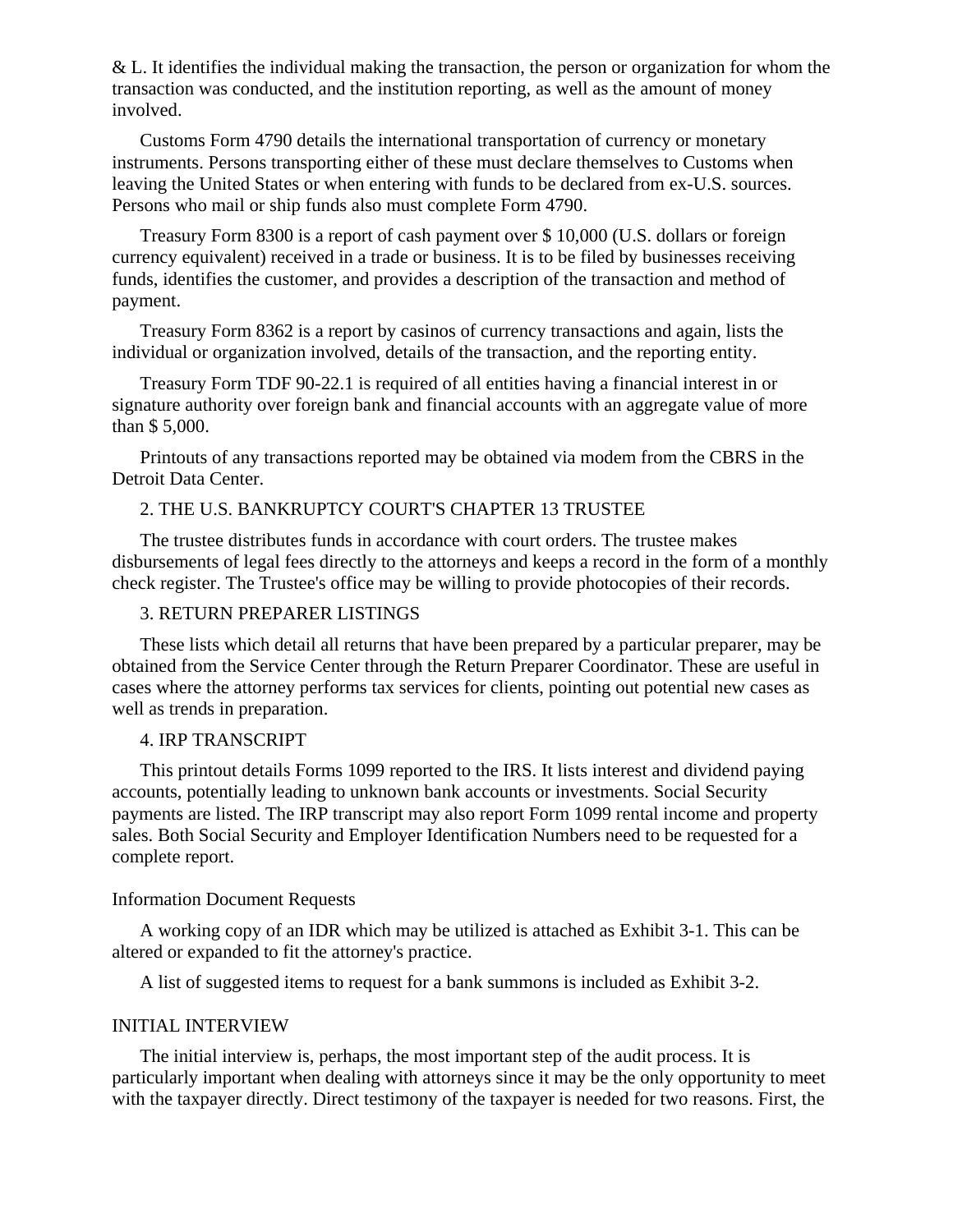& L. It identifies the individual making the transaction, the person or organization for whom the transaction was conducted, and the institution reporting, as well as the amount of money involved.

Customs Form 4790 details the international transportation of currency or monetary instruments. Persons transporting either of these must declare themselves to Customs when leaving the United States or when entering with funds to be declared from ex-U.S. sources. Persons who mail or ship funds also must complete Form 4790.

Treasury Form 8300 is a report of cash payment over \$ 10,000 (U.S. dollars or foreign currency equivalent) received in a trade or business. It is to be filed by businesses receiving funds, identifies the customer, and provides a description of the transaction and method of payment.

Treasury Form 8362 is a report by casinos of currency transactions and again, lists the individual or organization involved, details of the transaction, and the reporting entity.

Treasury Form TDF 90-22.1 is required of all entities having a financial interest in or signature authority over foreign bank and financial accounts with an aggregate value of more than \$ 5,000.

Printouts of any transactions reported may be obtained via modem from the CBRS in the Detroit Data Center.

# 2. THE U.S. BANKRUPTCY COURT'S CHAPTER 13 TRUSTEE

The trustee distributes funds in accordance with court orders. The trustee makes disbursements of legal fees directly to the attorneys and keeps a record in the form of a monthly check register. The Trustee's office may be willing to provide photocopies of their records.

# 3. RETURN PREPARER LISTINGS

These lists which detail all returns that have been prepared by a particular preparer, may be obtained from the Service Center through the Return Preparer Coordinator. These are useful in cases where the attorney performs tax services for clients, pointing out potential new cases as well as trends in preparation.

# 4. IRP TRANSCRIPT

This printout details Forms 1099 reported to the IRS. It lists interest and dividend paying accounts, potentially leading to unknown bank accounts or investments. Social Security payments are listed. The IRP transcript may also report Form 1099 rental income and property sales. Both Social Security and Employer Identification Numbers need to be requested for a complete report.

# Information Document Requests

A working copy of an IDR which may be utilized is attached as Exhibit 3-1. This can be altered or expanded to fit the attorney's practice.

A list of suggested items to request for a bank summons is included as Exhibit 3-2.

#### INITIAL INTERVIEW

The initial interview is, perhaps, the most important step of the audit process. It is particularly important when dealing with attorneys since it may be the only opportunity to meet with the taxpayer directly. Direct testimony of the taxpayer is needed for two reasons. First, the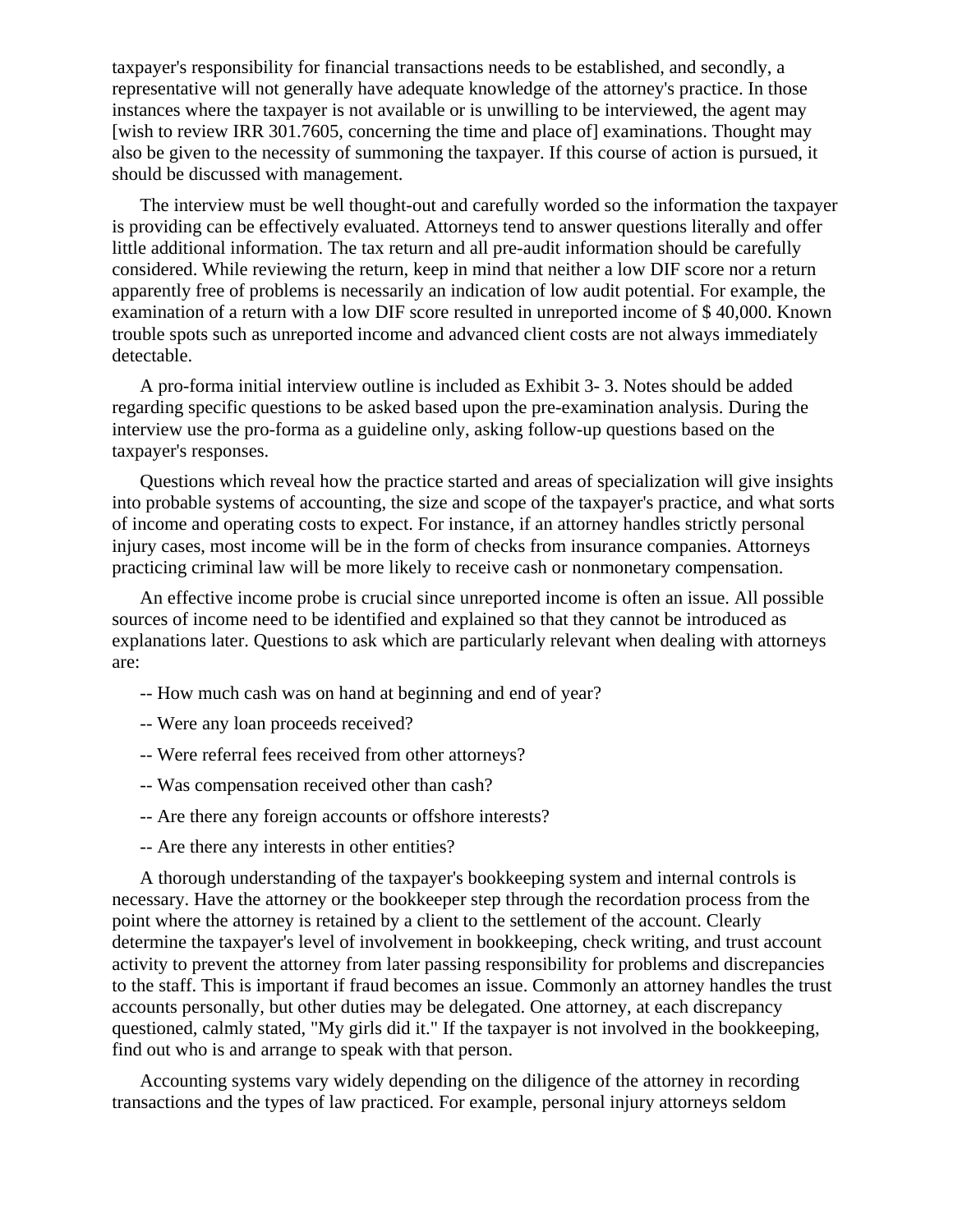taxpayer's responsibility for financial transactions needs to be established, and secondly, a representative will not generally have adequate knowledge of the attorney's practice. In those instances where the taxpayer is not available or is unwilling to be interviewed, the agent may [wish to review IRR 301.7605, concerning the time and place of] examinations. Thought may also be given to the necessity of summoning the taxpayer. If this course of action is pursued, it should be discussed with management.

The interview must be well thought-out and carefully worded so the information the taxpayer is providing can be effectively evaluated. Attorneys tend to answer questions literally and offer little additional information. The tax return and all pre-audit information should be carefully considered. While reviewing the return, keep in mind that neither a low DIF score nor a return apparently free of problems is necessarily an indication of low audit potential. For example, the examination of a return with a low DIF score resulted in unreported income of \$ 40,000. Known trouble spots such as unreported income and advanced client costs are not always immediately detectable.

A pro-forma initial interview outline is included as Exhibit 3- 3. Notes should be added regarding specific questions to be asked based upon the pre-examination analysis. During the interview use the pro-forma as a guideline only, asking follow-up questions based on the taxpayer's responses.

Questions which reveal how the practice started and areas of specialization will give insights into probable systems of accounting, the size and scope of the taxpayer's practice, and what sorts of income and operating costs to expect. For instance, if an attorney handles strictly personal injury cases, most income will be in the form of checks from insurance companies. Attorneys practicing criminal law will be more likely to receive cash or nonmonetary compensation.

An effective income probe is crucial since unreported income is often an issue. All possible sources of income need to be identified and explained so that they cannot be introduced as explanations later. Questions to ask which are particularly relevant when dealing with attorneys are:

- -- How much cash was on hand at beginning and end of year?
- -- Were any loan proceeds received?
- -- Were referral fees received from other attorneys?
- -- Was compensation received other than cash?
- -- Are there any foreign accounts or offshore interests?
- -- Are there any interests in other entities?

A thorough understanding of the taxpayer's bookkeeping system and internal controls is necessary. Have the attorney or the bookkeeper step through the recordation process from the point where the attorney is retained by a client to the settlement of the account. Clearly determine the taxpayer's level of involvement in bookkeeping, check writing, and trust account activity to prevent the attorney from later passing responsibility for problems and discrepancies to the staff. This is important if fraud becomes an issue. Commonly an attorney handles the trust accounts personally, but other duties may be delegated. One attorney, at each discrepancy questioned, calmly stated, "My girls did it." If the taxpayer is not involved in the bookkeeping, find out who is and arrange to speak with that person.

Accounting systems vary widely depending on the diligence of the attorney in recording transactions and the types of law practiced. For example, personal injury attorneys seldom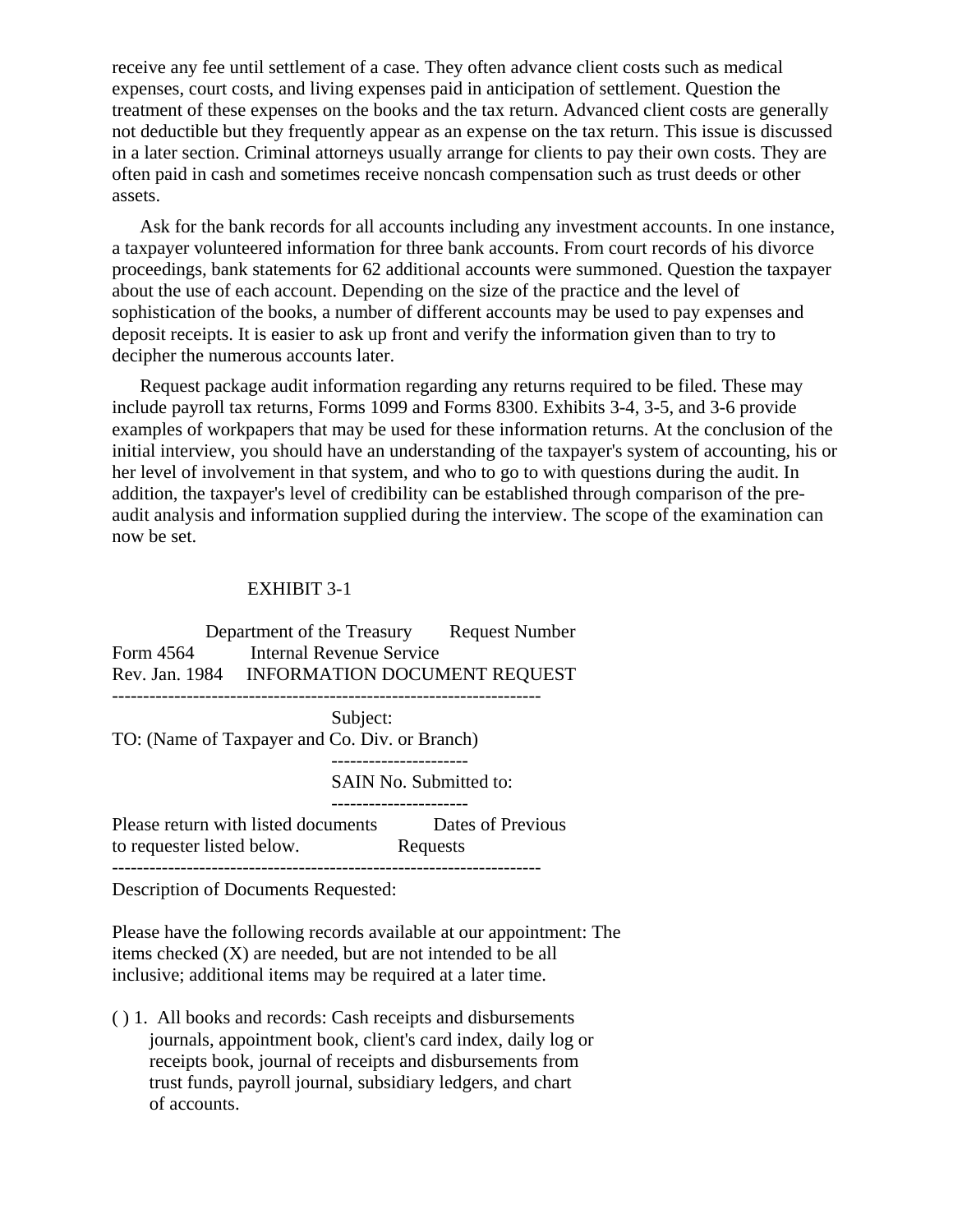receive any fee until settlement of a case. They often advance client costs such as medical expenses, court costs, and living expenses paid in anticipation of settlement. Question the treatment of these expenses on the books and the tax return. Advanced client costs are generally not deductible but they frequently appear as an expense on the tax return. This issue is discussed in a later section. Criminal attorneys usually arrange for clients to pay their own costs. They are often paid in cash and sometimes receive noncash compensation such as trust deeds or other assets.

Ask for the bank records for all accounts including any investment accounts. In one instance, a taxpayer volunteered information for three bank accounts. From court records of his divorce proceedings, bank statements for 62 additional accounts were summoned. Question the taxpayer about the use of each account. Depending on the size of the practice and the level of sophistication of the books, a number of different accounts may be used to pay expenses and deposit receipts. It is easier to ask up front and verify the information given than to try to decipher the numerous accounts later.

Request package audit information regarding any returns required to be filed. These may include payroll tax returns, Forms 1099 and Forms 8300. Exhibits 3-4, 3-5, and 3-6 provide examples of workpapers that may be used for these information returns. At the conclusion of the initial interview, you should have an understanding of the taxpayer's system of accounting, his or her level of involvement in that system, and who to go to with questions during the audit. In addition, the taxpayer's level of credibility can be established through comparison of the preaudit analysis and information supplied during the interview. The scope of the examination can now be set.

# EXHIBIT 3-1

Department of the Treasury Request Number Form 4564 Internal Revenue Service Rev. Jan. 1984 INFORMATION DOCUMENT REQUEST --------------------------------------------------------------------- Subject: TO: (Name of Taxpayer and Co. Div. or Branch) ---------------------- SAIN No. Submitted to: ---------------------- Please return with listed documents Dates of Previous to requester listed below. Requests ---------------------------------------------------------------------

Description of Documents Requested:

Please have the following records available at our appointment: The items checked (X) are needed, but are not intended to be all inclusive; additional items may be required at a later time.

( ) 1. All books and records: Cash receipts and disbursements journals, appointment book, client's card index, daily log or receipts book, journal of receipts and disbursements from trust funds, payroll journal, subsidiary ledgers, and chart of accounts.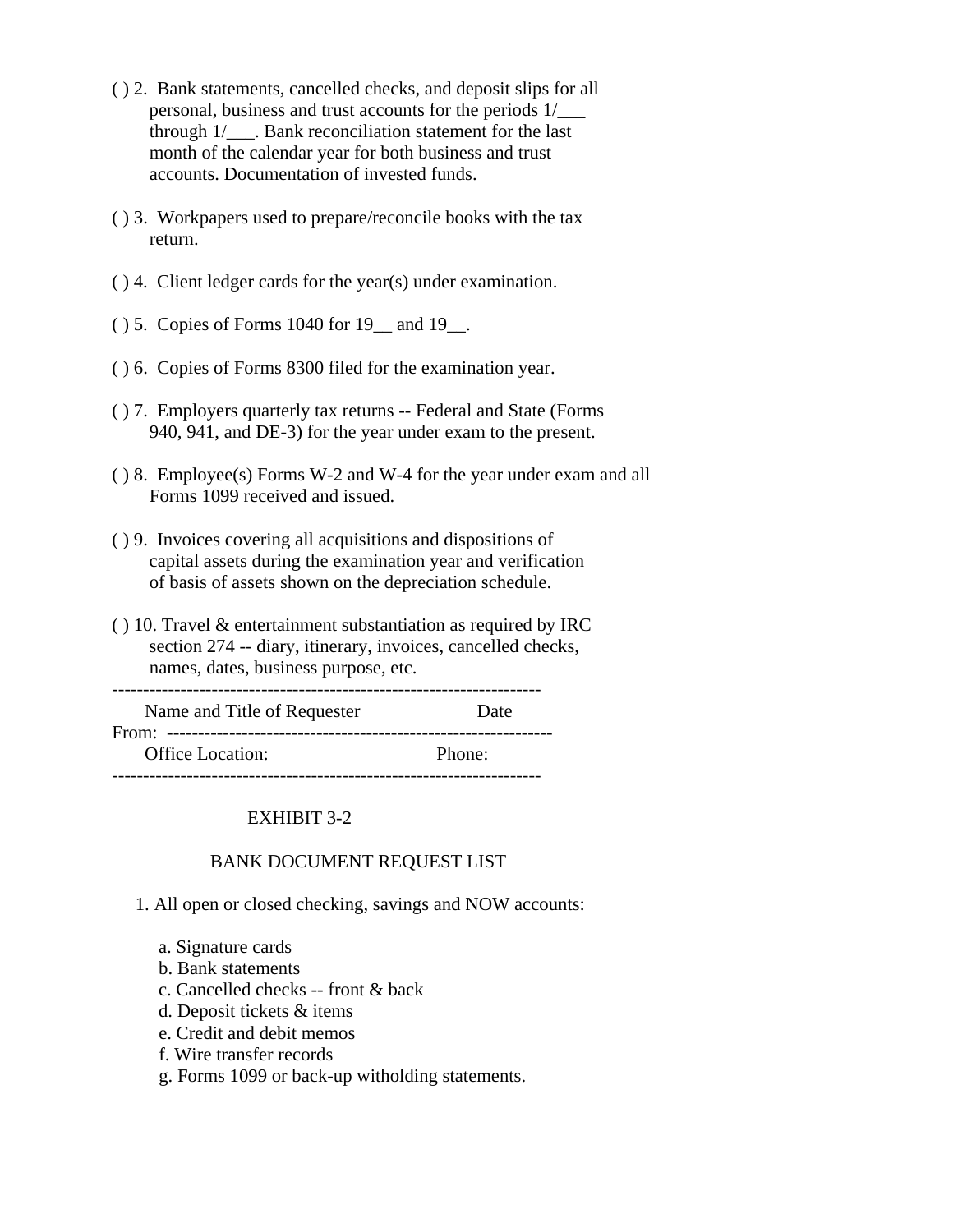- ( ) 2. Bank statements, cancelled checks, and deposit slips for all personal, business and trust accounts for the periods 1/\_\_\_ through  $1/$  . Bank reconciliation statement for the last month of the calendar year for both business and trust accounts. Documentation of invested funds.
- ( ) 3. Workpapers used to prepare/reconcile books with the tax return.
- ( ) 4. Client ledger cards for the year(s) under examination.
- ( ) 5. Copies of Forms 1040 for 19\_\_ and 19\_\_.
- ( ) 6. Copies of Forms 8300 filed for the examination year.
- ( ) 7. Employers quarterly tax returns -- Federal and State (Forms 940, 941, and DE-3) for the year under exam to the present.
- ( ) 8. Employee(s) Forms W-2 and W-4 for the year under exam and all Forms 1099 received and issued.
- ( ) 9. Invoices covering all acquisitions and dispositions of capital assets during the examination year and verification of basis of assets shown on the depreciation schedule.
- ( ) 10. Travel & entertainment substantiation as required by IRC section 274 -- diary, itinerary, invoices, cancelled checks, names, dates, business purpose, etc.

| Name and Title of Requester                   | Date   |
|-----------------------------------------------|--------|
| From:<br>------------------------------------ |        |
| <b>Office Location:</b>                       | Phone: |

---------------------------------------------------------------------

# EXHIBIT 3-2

# BANK DOCUMENT REQUEST LIST

- 1. All open or closed checking, savings and NOW accounts:
	- a. Signature cards
	- b. Bank statements
	- c. Cancelled checks -- front & back
	- d. Deposit tickets & items
	- e. Credit and debit memos
	- f. Wire transfer records
	- g. Forms 1099 or back-up witholding statements.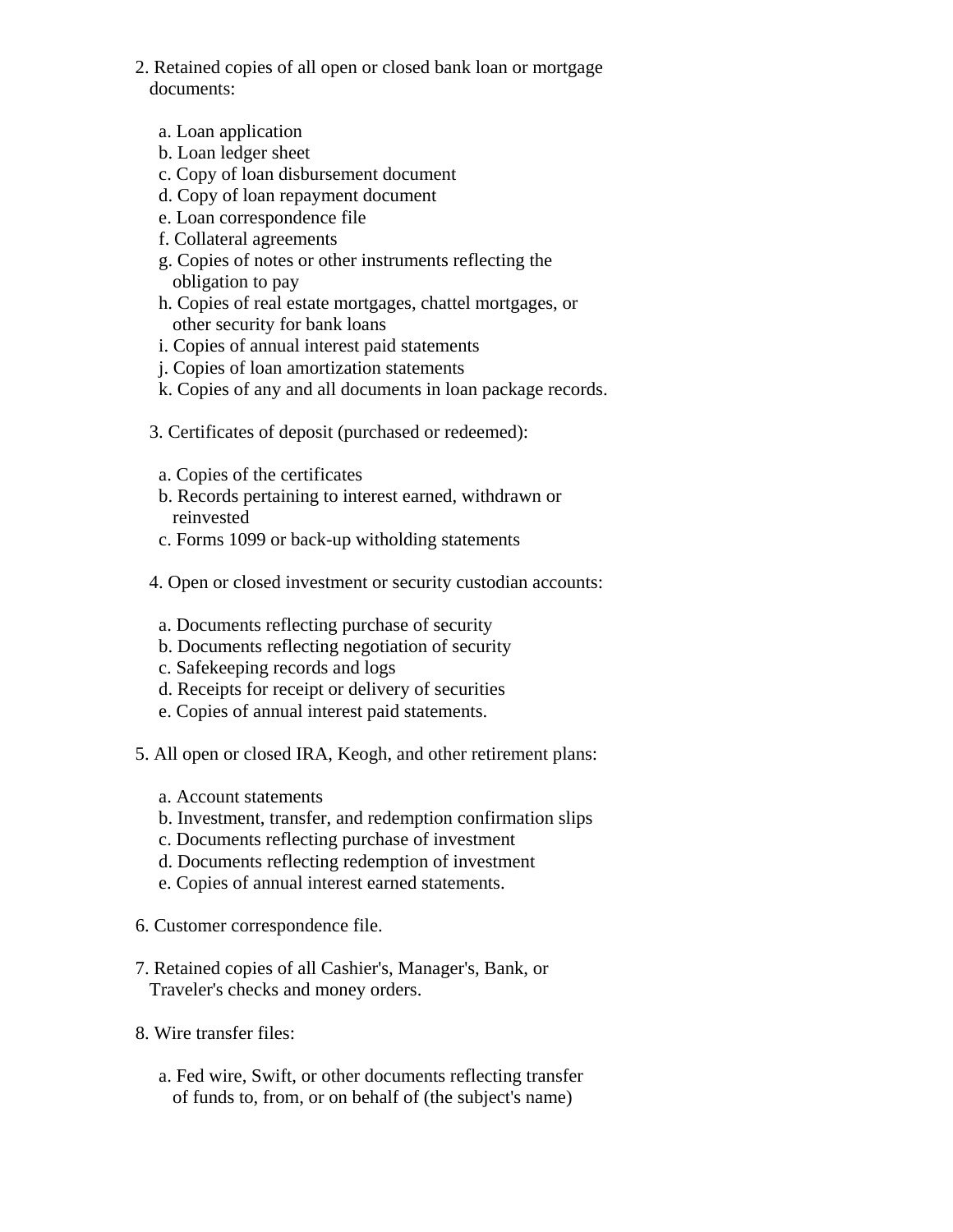- 2. Retained copies of all open or closed bank loan or mortgage documents:
	- a. Loan application
	- b. Loan ledger sheet
	- c. Copy of loan disbursement document
	- d. Copy of loan repayment document
	- e. Loan correspondence file
	- f. Collateral agreements
	- g. Copies of notes or other instruments reflecting the obligation to pay
	- h. Copies of real estate mortgages, chattel mortgages, or other security for bank loans
	- i. Copies of annual interest paid statements
	- j. Copies of loan amortization statements
	- k. Copies of any and all documents in loan package records.
	- 3. Certificates of deposit (purchased or redeemed):
	- a. Copies of the certificates
	- b. Records pertaining to interest earned, withdrawn or reinvested
	- c. Forms 1099 or back-up witholding statements
	- 4. Open or closed investment or security custodian accounts:
	- a. Documents reflecting purchase of security
	- b. Documents reflecting negotiation of security
	- c. Safekeeping records and logs
	- d. Receipts for receipt or delivery of securities
	- e. Copies of annual interest paid statements.
- 5. All open or closed IRA, Keogh, and other retirement plans:
	- a. Account statements
	- b. Investment, transfer, and redemption confirmation slips
	- c. Documents reflecting purchase of investment
	- d. Documents reflecting redemption of investment
	- e. Copies of annual interest earned statements.
- 6. Customer correspondence file.
- 7. Retained copies of all Cashier's, Manager's, Bank, or Traveler's checks and money orders.
- 8. Wire transfer files:
	- a. Fed wire, Swift, or other documents reflecting transfer of funds to, from, or on behalf of (the subject's name)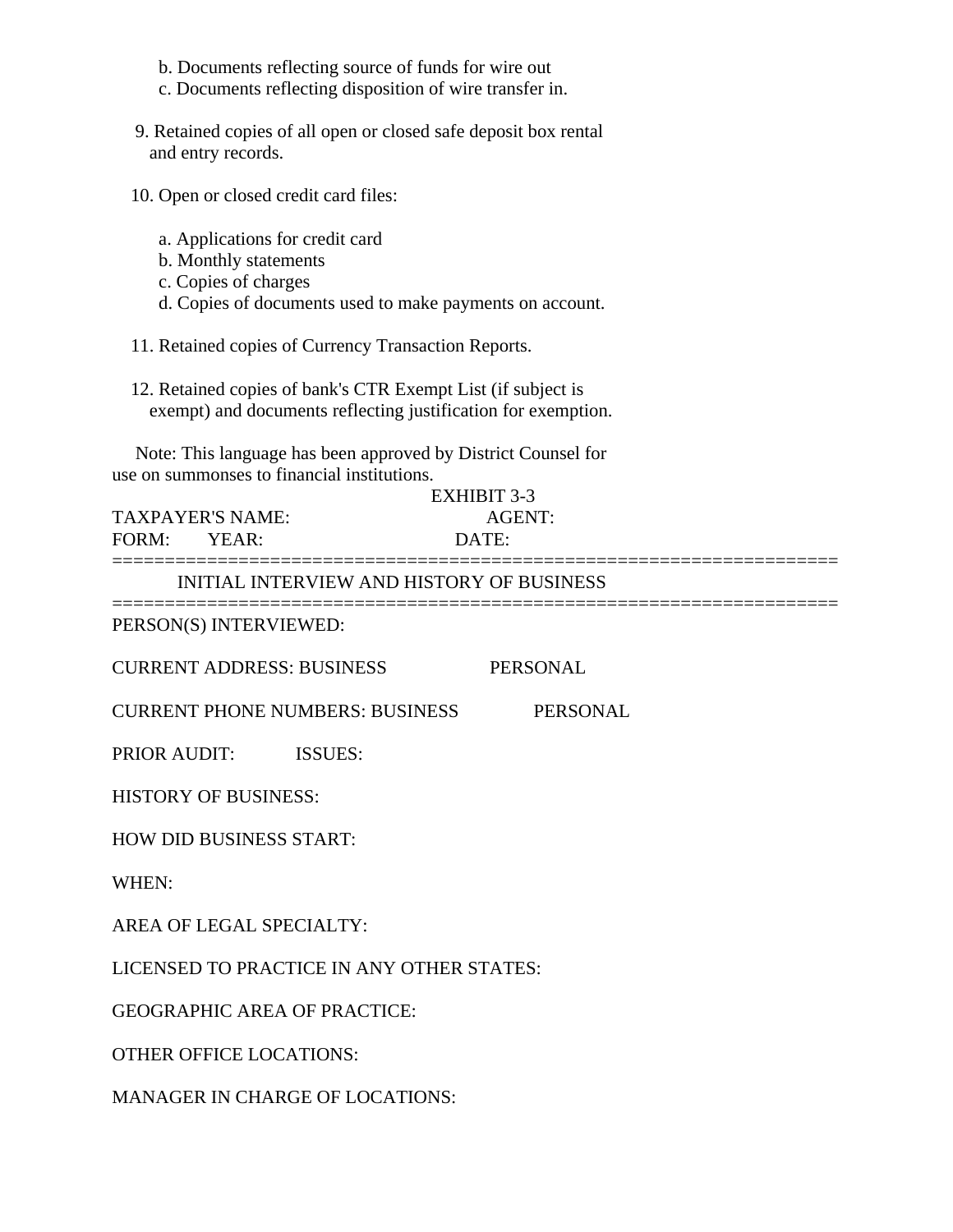- b. Documents reflecting source of funds for wire out
- c. Documents reflecting disposition of wire transfer in.
- 9. Retained copies of all open or closed safe deposit box rental and entry records.
- 10. Open or closed credit card files:
	- a. Applications for credit card
	- b. Monthly statements
	- c. Copies of charges
	- d. Copies of documents used to make payments on account.

11. Retained copies of Currency Transaction Reports.

 12. Retained copies of bank's CTR Exempt List (if subject is exempt) and documents reflecting justification for exemption.

 Note: This language has been approved by District Counsel for use on summonses to financial institutions.

|                         | EXHIBIT 3-3 |  |
|-------------------------|-------------|--|
| <b>TAXPAYER'S NAME:</b> | AGENT:      |  |
| FORM: YEAR:             | DATE:       |  |
|                         |             |  |

INITIAL INTERVIEW AND HISTORY OF BUSINESS

PERSON(S) INTERVIEWED:

CURRENT ADDRESS: BUSINESS PERSONAL

=====================================================================

CURRENT PHONE NUMBERS: BUSINESS PERSONAL

PRIOR AUDIT: ISSUES:

HISTORY OF BUSINESS:

HOW DID BUSINESS START:

WHEN:

AREA OF LEGAL SPECIALTY:

LICENSED TO PRACTICE IN ANY OTHER STATES:

GEOGRAPHIC AREA OF PRACTICE:

OTHER OFFICE LOCATIONS:

MANAGER IN CHARGE OF LOCATIONS: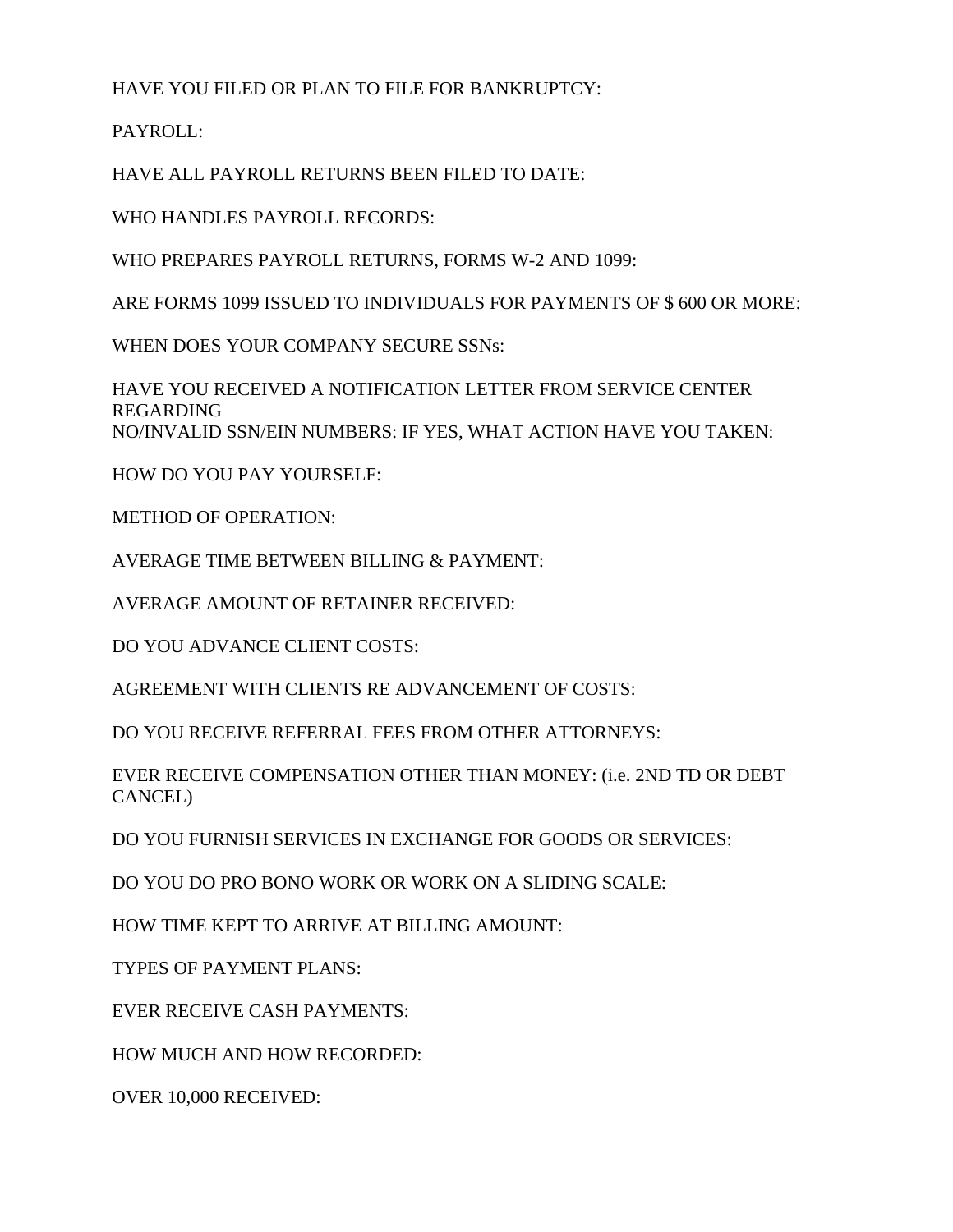HAVE YOU FILED OR PLAN TO FILE FOR BANKRUPTCY:

PAYROLL:

HAVE ALL PAYROLL RETURNS BEEN FILED TO DATE:

WHO HANDLES PAYROLL RECORDS:

WHO PREPARES PAYROLL RETURNS, FORMS W-2 AND 1099:

ARE FORMS 1099 ISSUED TO INDIVIDUALS FOR PAYMENTS OF \$ 600 OR MORE:

WHEN DOES YOUR COMPANY SECURE SSNs:

HAVE YOU RECEIVED A NOTIFICATION LETTER FROM SERVICE CENTER REGARDING NO/INVALID SSN/EIN NUMBERS: IF YES, WHAT ACTION HAVE YOU TAKEN:

HOW DO YOU PAY YOURSELF:

METHOD OF OPERATION:

AVERAGE TIME BETWEEN BILLING & PAYMENT:

AVERAGE AMOUNT OF RETAINER RECEIVED:

DO YOU ADVANCE CLIENT COSTS:

AGREEMENT WITH CLIENTS RE ADVANCEMENT OF COSTS:

DO YOU RECEIVE REFERRAL FEES FROM OTHER ATTORNEYS:

EVER RECEIVE COMPENSATION OTHER THAN MONEY: (i.e. 2ND TD OR DEBT CANCEL)

DO YOU FURNISH SERVICES IN EXCHANGE FOR GOODS OR SERVICES:

DO YOU DO PRO BONO WORK OR WORK ON A SLIDING SCALE:

HOW TIME KEPT TO ARRIVE AT BILLING AMOUNT:

TYPES OF PAYMENT PLANS:

EVER RECEIVE CASH PAYMENTS:

HOW MUCH AND HOW RECORDED:

OVER 10,000 RECEIVED: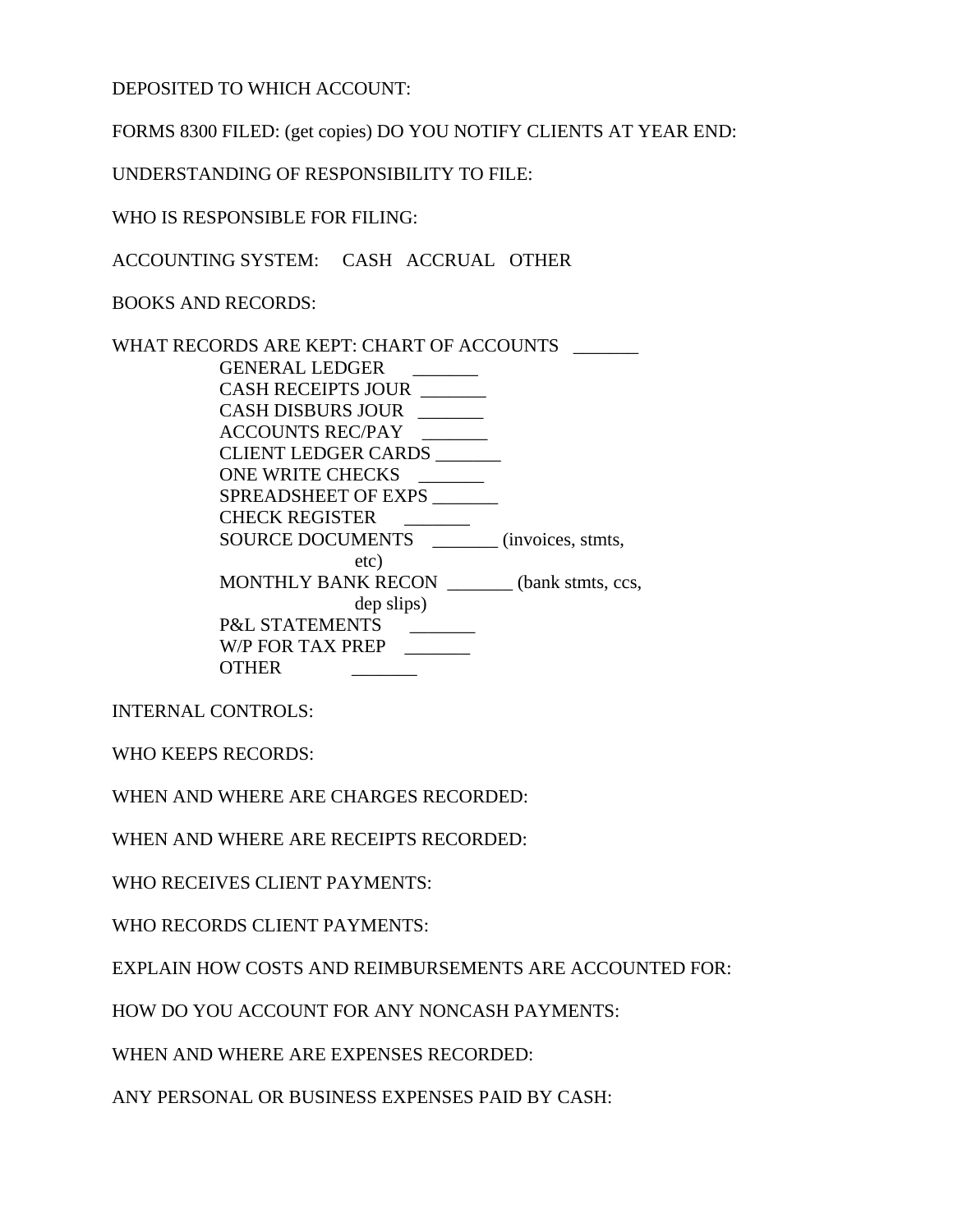DEPOSITED TO WHICH ACCOUNT:

FORMS 8300 FILED: (get copies) DO YOU NOTIFY CLIENTS AT YEAR END:

UNDERSTANDING OF RESPONSIBILITY TO FILE:

WHO IS RESPONSIBLE FOR FILING:

ACCOUNTING SYSTEM: CASH ACCRUAL OTHER

BOOKS AND RECORDS:

WHAT RECORDS ARE KEPT: CHART OF ACCOUNTS GENERAL LEDGER \_\_\_\_\_\_\_ CASH RECEIPTS JOUR \_\_\_\_\_\_\_ CASH DISBURS JOUR \_\_\_\_\_\_\_ ACCOUNTS REC/PAY CLIENT LEDGER CARDS \_\_\_\_\_\_\_ ONE WRITE CHECKS SPREADSHEET OF EXPS \_\_\_\_\_\_\_ CHECK REGISTER \_\_\_\_\_\_\_ SOURCE DOCUMENTS \_\_\_\_\_\_\_ (invoices, stmts, etc) MONTHLY BANK RECON \_\_\_\_\_\_\_ (bank stmts, ccs, dep slips) P&L STATEMENTS W/P FOR TAX PREP OTHER \_\_\_\_\_\_\_

INTERNAL CONTROLS:

WHO KEEPS RECORDS:

WHEN AND WHERE ARE CHARGES RECORDED:

WHEN AND WHERE ARE RECEIPTS RECORDED:

WHO RECEIVES CLIENT PAYMENTS:

WHO RECORDS CLIENT PAYMENTS:

EXPLAIN HOW COSTS AND REIMBURSEMENTS ARE ACCOUNTED FOR:

HOW DO YOU ACCOUNT FOR ANY NONCASH PAYMENTS:

WHEN AND WHERE ARE EXPENSES RECORDED:

ANY PERSONAL OR BUSINESS EXPENSES PAID BY CASH: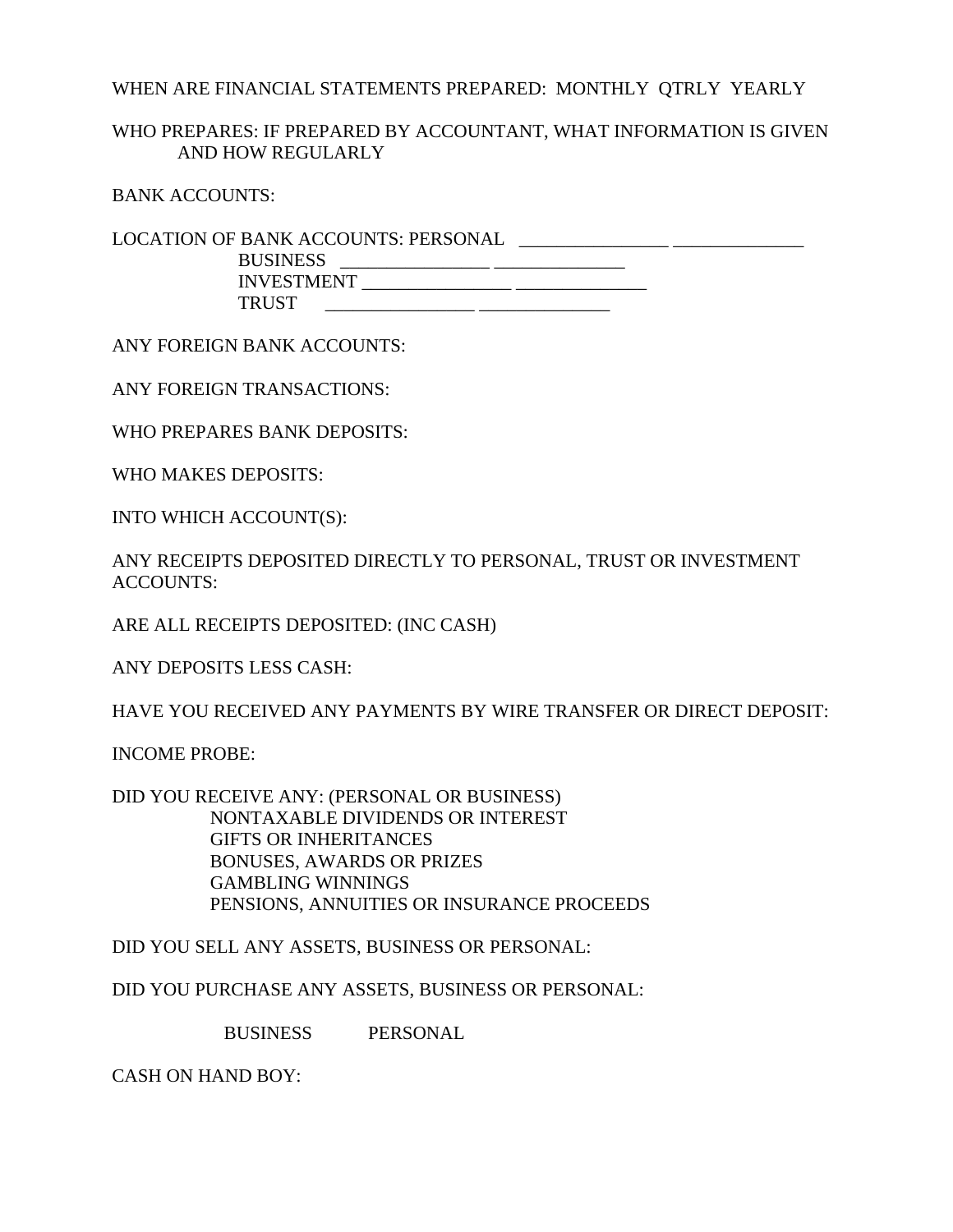# WHEN ARE FINANCIAL STATEMENTS PREPARED: MONTHLY QTRLY YEARLY

# WHO PREPARES: IF PREPARED BY ACCOUNTANT, WHAT INFORMATION IS GIVEN AND HOW REGULARLY

BANK ACCOUNTS:

LOCATION OF BANK ACCOUNTS: PERSONAL \_\_\_\_\_\_\_\_\_\_\_\_\_\_\_\_ \_\_\_\_\_\_\_\_\_\_\_\_\_\_ BUSINESS \_\_\_\_\_\_\_\_\_\_\_\_\_\_\_\_ \_\_\_\_\_\_\_\_\_\_\_\_\_\_ INVESTMENT \_\_\_\_\_\_\_\_\_\_\_\_\_\_\_\_ \_\_\_\_\_\_\_\_\_\_\_\_\_\_ TRUST \_\_\_\_\_\_\_\_\_\_\_\_\_\_\_\_ \_\_\_\_\_\_\_\_\_\_\_\_\_\_

ANY FOREIGN BANK ACCOUNTS:

ANY FOREIGN TRANSACTIONS:

WHO PREPARES BANK DEPOSITS:

WHO MAKES DEPOSITS:

INTO WHICH ACCOUNT(S):

ANY RECEIPTS DEPOSITED DIRECTLY TO PERSONAL, TRUST OR INVESTMENT ACCOUNTS:

ARE ALL RECEIPTS DEPOSITED: (INC CASH)

ANY DEPOSITS LESS CASH:

HAVE YOU RECEIVED ANY PAYMENTS BY WIRE TRANSFER OR DIRECT DEPOSIT:

INCOME PROBE:

DID YOU RECEIVE ANY: (PERSONAL OR BUSINESS) NONTAXABLE DIVIDENDS OR INTEREST GIFTS OR INHERITANCES BONUSES, AWARDS OR PRIZES GAMBLING WINNINGS PENSIONS, ANNUITIES OR INSURANCE PROCEEDS

DID YOU SELL ANY ASSETS, BUSINESS OR PERSONAL:

DID YOU PURCHASE ANY ASSETS, BUSINESS OR PERSONAL:

BUSINESS PERSONAL

CASH ON HAND BOY: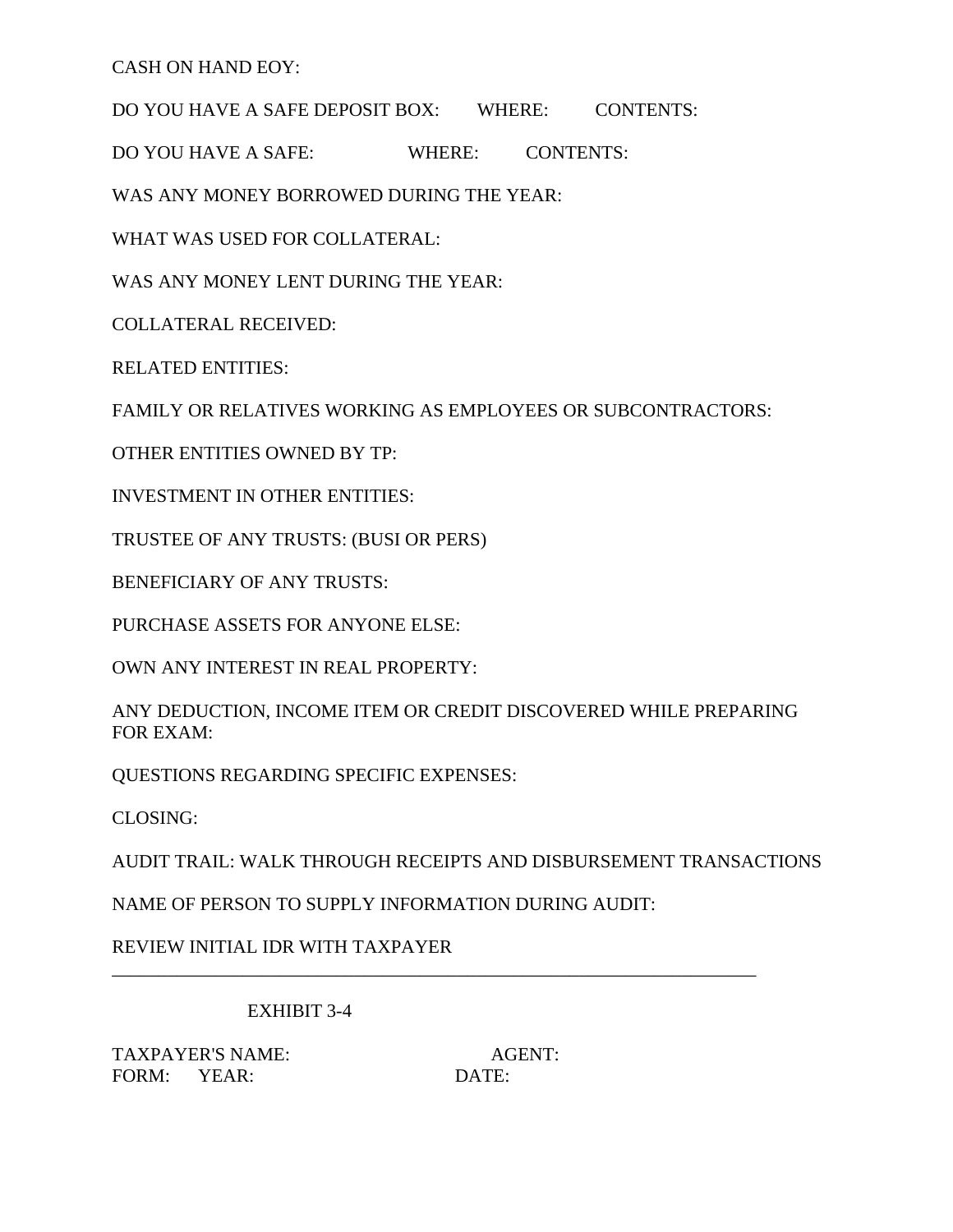CASH ON HAND EOY:

DO YOU HAVE A SAFE DEPOSIT BOX: WHERE: CONTENTS:

DO YOU HAVE A SAFE: WHERE: CONTENTS:

WAS ANY MONEY BORROWED DURING THE YEAR:

WHAT WAS USED FOR COLLATERAL:

WAS ANY MONEY LENT DURING THE YEAR:

COLLATERAL RECEIVED:

RELATED ENTITIES:

FAMILY OR RELATIVES WORKING AS EMPLOYEES OR SUBCONTRACTORS:

OTHER ENTITIES OWNED BY TP:

INVESTMENT IN OTHER ENTITIES:

TRUSTEE OF ANY TRUSTS: (BUSI OR PERS)

BENEFICIARY OF ANY TRUSTS:

PURCHASE ASSETS FOR ANYONE ELSE:

OWN ANY INTEREST IN REAL PROPERTY:

ANY DEDUCTION, INCOME ITEM OR CREDIT DISCOVERED WHILE PREPARING FOR EXAM:

QUESTIONS REGARDING SPECIFIC EXPENSES:

CLOSING:

AUDIT TRAIL: WALK THROUGH RECEIPTS AND DISBURSEMENT TRANSACTIONS

\_\_\_\_\_\_\_\_\_\_\_\_\_\_\_\_\_\_\_\_\_\_\_\_\_\_\_\_\_\_\_\_\_\_\_\_\_\_\_\_\_\_\_\_\_\_\_\_\_\_\_\_\_\_\_\_\_\_\_\_\_\_\_\_\_\_\_\_\_

NAME OF PERSON TO SUPPLY INFORMATION DURING AUDIT:

REVIEW INITIAL IDR WITH TAXPAYER

# EXHIBIT 3-4

TAXPAYER'S NAME: AGENT: FORM: YEAR: DATE: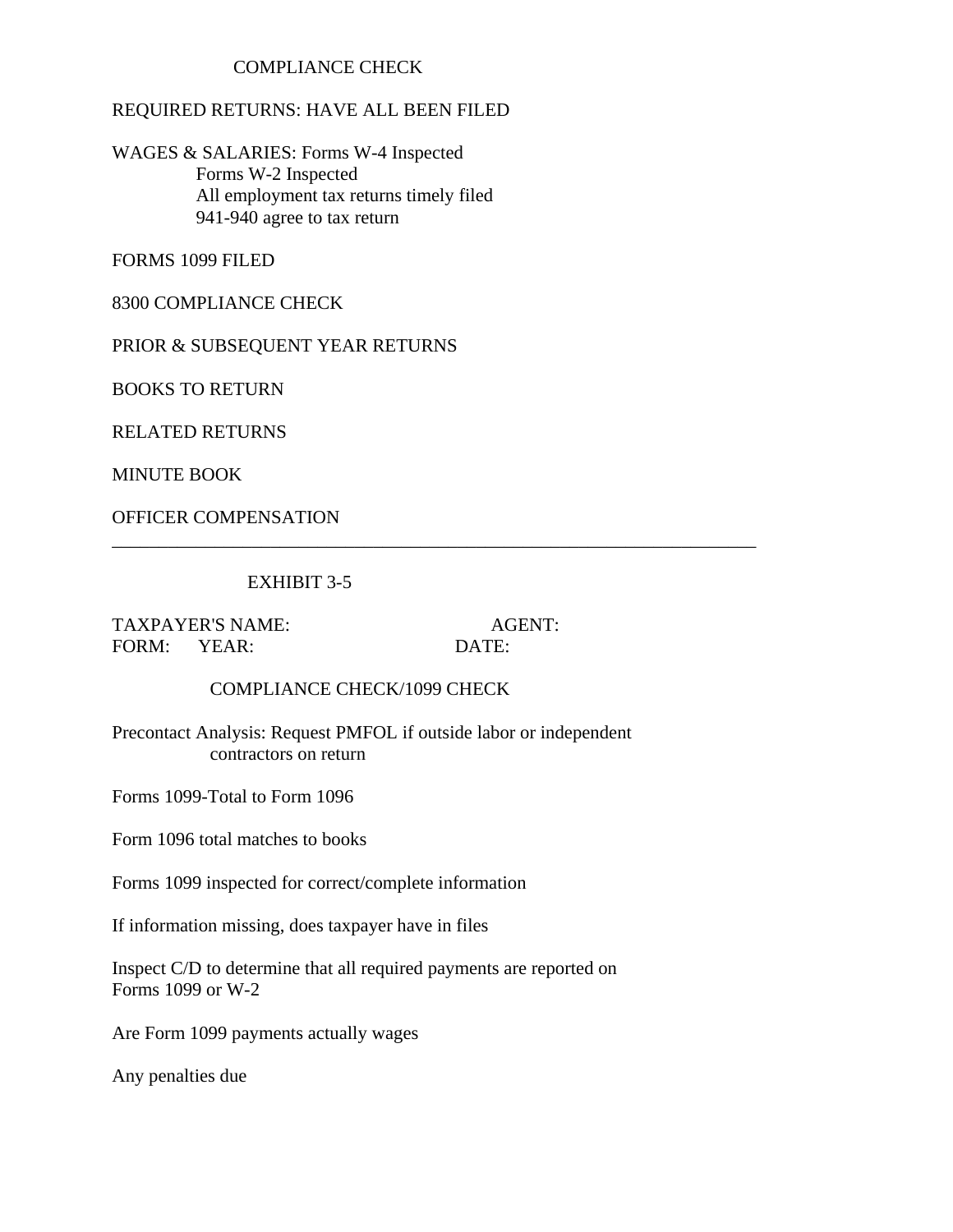# COMPLIANCE CHECK

# REQUIRED RETURNS: HAVE ALL BEEN FILED

WAGES & SALARIES: Forms W-4 Inspected Forms W-2 Inspected All employment tax returns timely filed 941-940 agree to tax return

FORMS 1099 FILED

8300 COMPLIANCE CHECK

PRIOR & SUBSEQUENT YEAR RETURNS

BOOKS TO RETURN

RELATED RETURNS

MINUTE BOOK

OFFICER COMPENSATION

# EXHIBIT 3-5

TAXPAYER'S NAME: AGENT: FORM: YEAR: DATE:

\_\_\_\_\_\_\_\_\_\_\_\_\_\_\_\_\_\_\_\_\_\_\_\_\_\_\_\_\_\_\_\_\_\_\_\_\_\_\_\_\_\_\_\_\_\_\_\_\_\_\_\_\_\_\_\_\_\_\_\_\_\_\_\_\_\_\_\_\_

# COMPLIANCE CHECK/1099 CHECK

Precontact Analysis: Request PMFOL if outside labor or independent contractors on return

Forms 1099-Total to Form 1096

Form 1096 total matches to books

Forms 1099 inspected for correct/complete information

If information missing, does taxpayer have in files

Inspect C/D to determine that all required payments are reported on Forms 1099 or W-2

Are Form 1099 payments actually wages

Any penalties due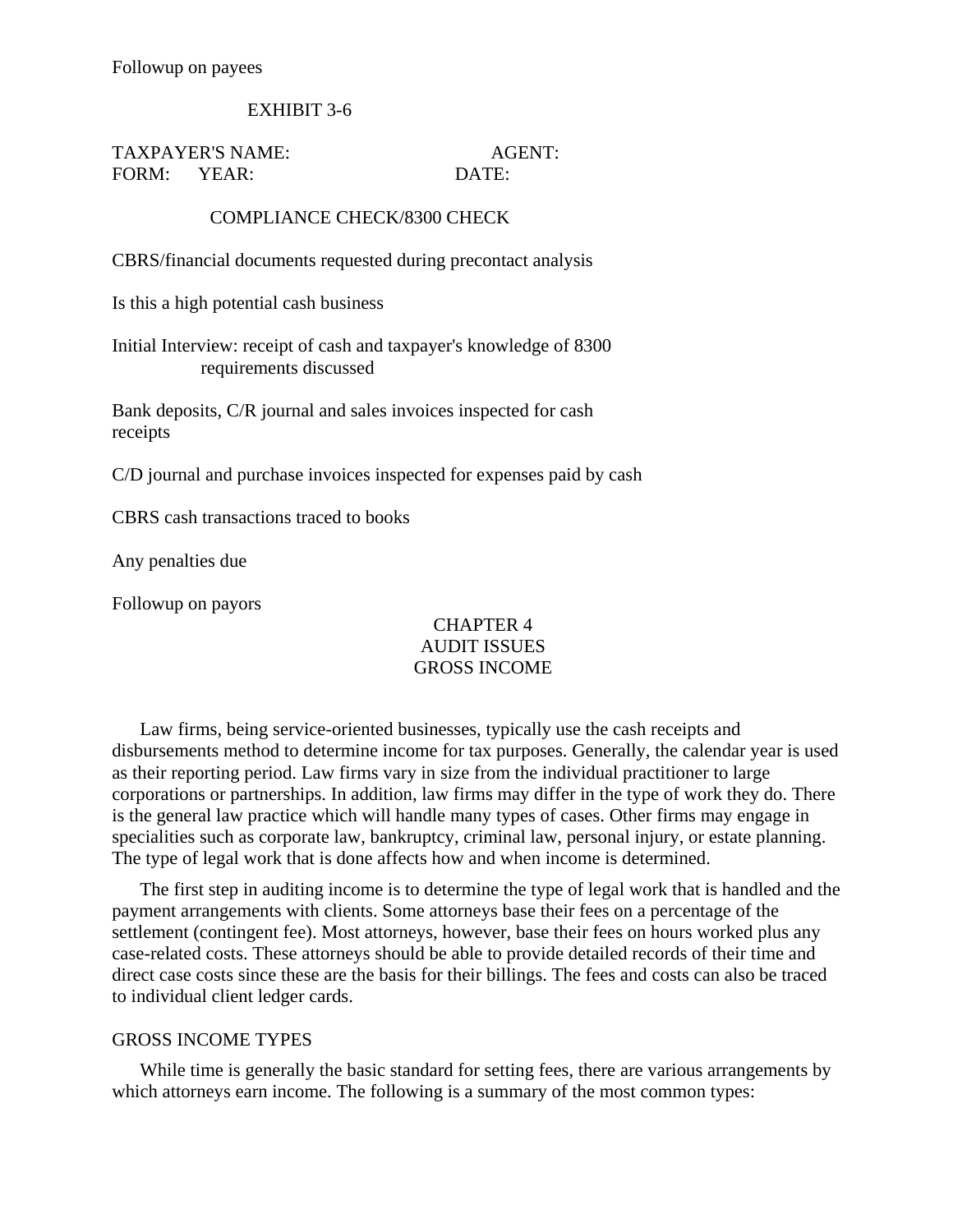# EXHIBIT 3-6

TAXPAYER'S NAME: AGENT: FORM: YEAR: DATE:

# COMPLIANCE CHECK/8300 CHECK

CBRS/financial documents requested during precontact analysis

Is this a high potential cash business

Initial Interview: receipt of cash and taxpayer's knowledge of 8300 requirements discussed

Bank deposits, C/R journal and sales invoices inspected for cash receipts

C/D journal and purchase invoices inspected for expenses paid by cash

CBRS cash transactions traced to books

Any penalties due

Followup on payors

# CHAPTER 4 AUDIT ISSUES GROSS INCOME

Law firms, being service-oriented businesses, typically use the cash receipts and disbursements method to determine income for tax purposes. Generally, the calendar year is used as their reporting period. Law firms vary in size from the individual practitioner to large corporations or partnerships. In addition, law firms may differ in the type of work they do. There is the general law practice which will handle many types of cases. Other firms may engage in specialities such as corporate law, bankruptcy, criminal law, personal injury, or estate planning. The type of legal work that is done affects how and when income is determined.

The first step in auditing income is to determine the type of legal work that is handled and the payment arrangements with clients. Some attorneys base their fees on a percentage of the settlement (contingent fee). Most attorneys, however, base their fees on hours worked plus any case-related costs. These attorneys should be able to provide detailed records of their time and direct case costs since these are the basis for their billings. The fees and costs can also be traced to individual client ledger cards.

#### GROSS INCOME TYPES

While time is generally the basic standard for setting fees, there are various arrangements by which attorneys earn income. The following is a summary of the most common types: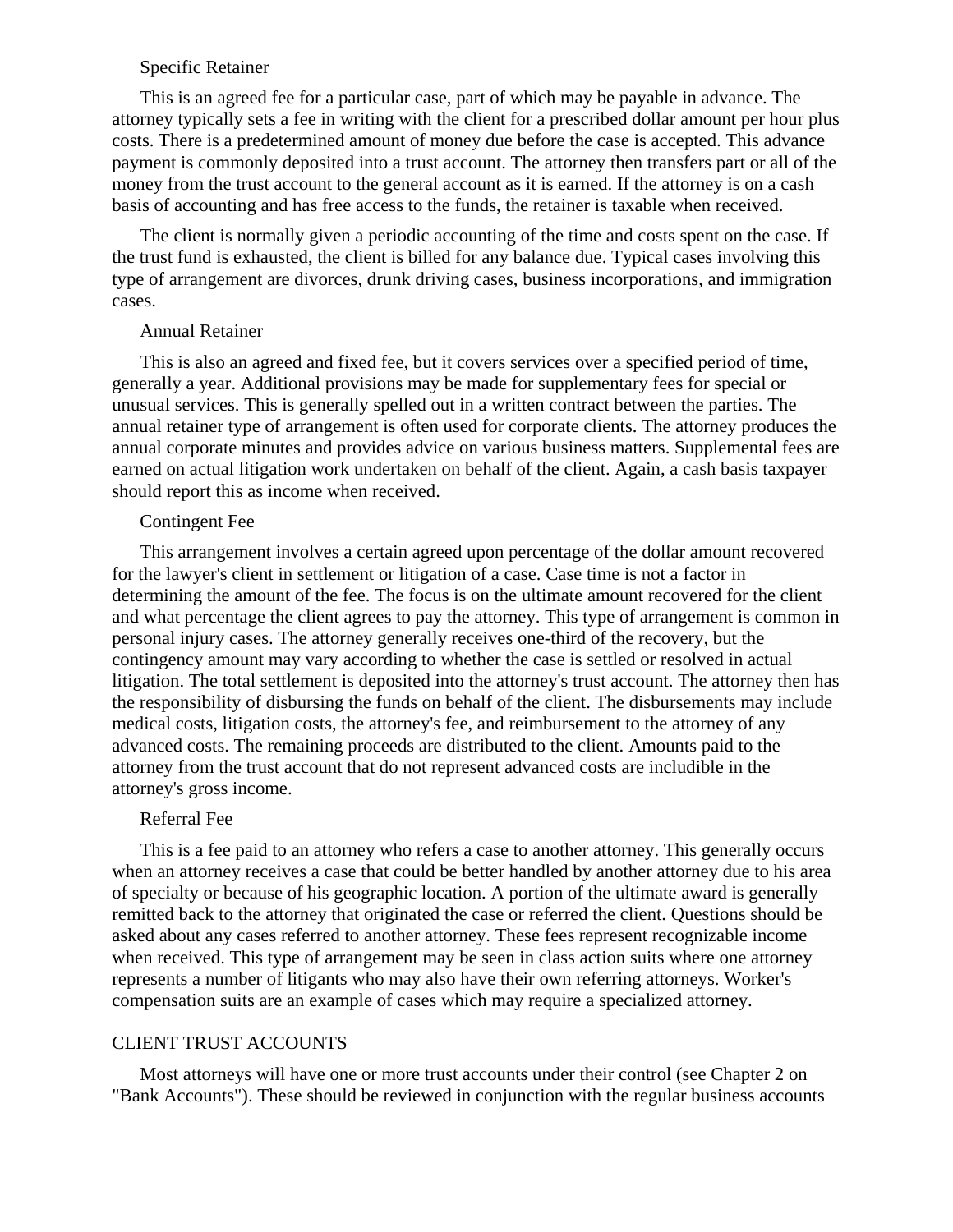#### Specific Retainer

This is an agreed fee for a particular case, part of which may be payable in advance. The attorney typically sets a fee in writing with the client for a prescribed dollar amount per hour plus costs. There is a predetermined amount of money due before the case is accepted. This advance payment is commonly deposited into a trust account. The attorney then transfers part or all of the money from the trust account to the general account as it is earned. If the attorney is on a cash basis of accounting and has free access to the funds, the retainer is taxable when received.

The client is normally given a periodic accounting of the time and costs spent on the case. If the trust fund is exhausted, the client is billed for any balance due. Typical cases involving this type of arrangement are divorces, drunk driving cases, business incorporations, and immigration cases.

#### Annual Retainer

This is also an agreed and fixed fee, but it covers services over a specified period of time, generally a year. Additional provisions may be made for supplementary fees for special or unusual services. This is generally spelled out in a written contract between the parties. The annual retainer type of arrangement is often used for corporate clients. The attorney produces the annual corporate minutes and provides advice on various business matters. Supplemental fees are earned on actual litigation work undertaken on behalf of the client. Again, a cash basis taxpayer should report this as income when received.

#### Contingent Fee

This arrangement involves a certain agreed upon percentage of the dollar amount recovered for the lawyer's client in settlement or litigation of a case. Case time is not a factor in determining the amount of the fee. The focus is on the ultimate amount recovered for the client and what percentage the client agrees to pay the attorney. This type of arrangement is common in personal injury cases. The attorney generally receives one-third of the recovery, but the contingency amount may vary according to whether the case is settled or resolved in actual litigation. The total settlement is deposited into the attorney's trust account. The attorney then has the responsibility of disbursing the funds on behalf of the client. The disbursements may include medical costs, litigation costs, the attorney's fee, and reimbursement to the attorney of any advanced costs. The remaining proceeds are distributed to the client. Amounts paid to the attorney from the trust account that do not represent advanced costs are includible in the attorney's gross income.

#### Referral Fee

This is a fee paid to an attorney who refers a case to another attorney. This generally occurs when an attorney receives a case that could be better handled by another attorney due to his area of specialty or because of his geographic location. A portion of the ultimate award is generally remitted back to the attorney that originated the case or referred the client. Questions should be asked about any cases referred to another attorney. These fees represent recognizable income when received. This type of arrangement may be seen in class action suits where one attorney represents a number of litigants who may also have their own referring attorneys. Worker's compensation suits are an example of cases which may require a specialized attorney.

# CLIENT TRUST ACCOUNTS

Most attorneys will have one or more trust accounts under their control (see Chapter 2 on "Bank Accounts"). These should be reviewed in conjunction with the regular business accounts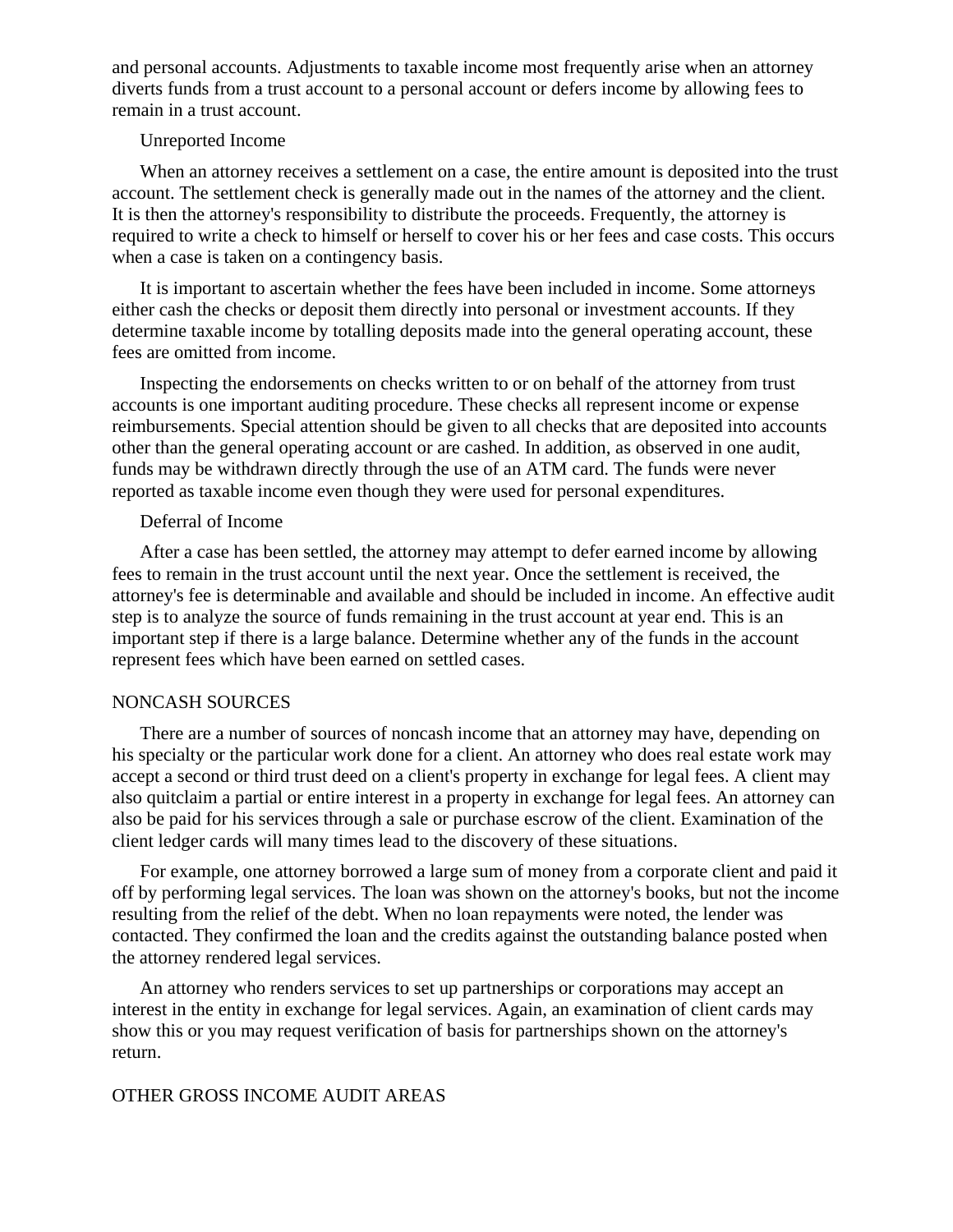and personal accounts. Adjustments to taxable income most frequently arise when an attorney diverts funds from a trust account to a personal account or defers income by allowing fees to remain in a trust account.

# Unreported Income

When an attorney receives a settlement on a case, the entire amount is deposited into the trust account. The settlement check is generally made out in the names of the attorney and the client. It is then the attorney's responsibility to distribute the proceeds. Frequently, the attorney is required to write a check to himself or herself to cover his or her fees and case costs. This occurs when a case is taken on a contingency basis.

It is important to ascertain whether the fees have been included in income. Some attorneys either cash the checks or deposit them directly into personal or investment accounts. If they determine taxable income by totalling deposits made into the general operating account, these fees are omitted from income.

Inspecting the endorsements on checks written to or on behalf of the attorney from trust accounts is one important auditing procedure. These checks all represent income or expense reimbursements. Special attention should be given to all checks that are deposited into accounts other than the general operating account or are cashed. In addition, as observed in one audit, funds may be withdrawn directly through the use of an ATM card. The funds were never reported as taxable income even though they were used for personal expenditures.

#### Deferral of Income

After a case has been settled, the attorney may attempt to defer earned income by allowing fees to remain in the trust account until the next year. Once the settlement is received, the attorney's fee is determinable and available and should be included in income. An effective audit step is to analyze the source of funds remaining in the trust account at year end. This is an important step if there is a large balance. Determine whether any of the funds in the account represent fees which have been earned on settled cases.

#### NONCASH SOURCES

There are a number of sources of noncash income that an attorney may have, depending on his specialty or the particular work done for a client. An attorney who does real estate work may accept a second or third trust deed on a client's property in exchange for legal fees. A client may also quitclaim a partial or entire interest in a property in exchange for legal fees. An attorney can also be paid for his services through a sale or purchase escrow of the client. Examination of the client ledger cards will many times lead to the discovery of these situations.

For example, one attorney borrowed a large sum of money from a corporate client and paid it off by performing legal services. The loan was shown on the attorney's books, but not the income resulting from the relief of the debt. When no loan repayments were noted, the lender was contacted. They confirmed the loan and the credits against the outstanding balance posted when the attorney rendered legal services.

An attorney who renders services to set up partnerships or corporations may accept an interest in the entity in exchange for legal services. Again, an examination of client cards may show this or you may request verification of basis for partnerships shown on the attorney's return.

# OTHER GROSS INCOME AUDIT AREAS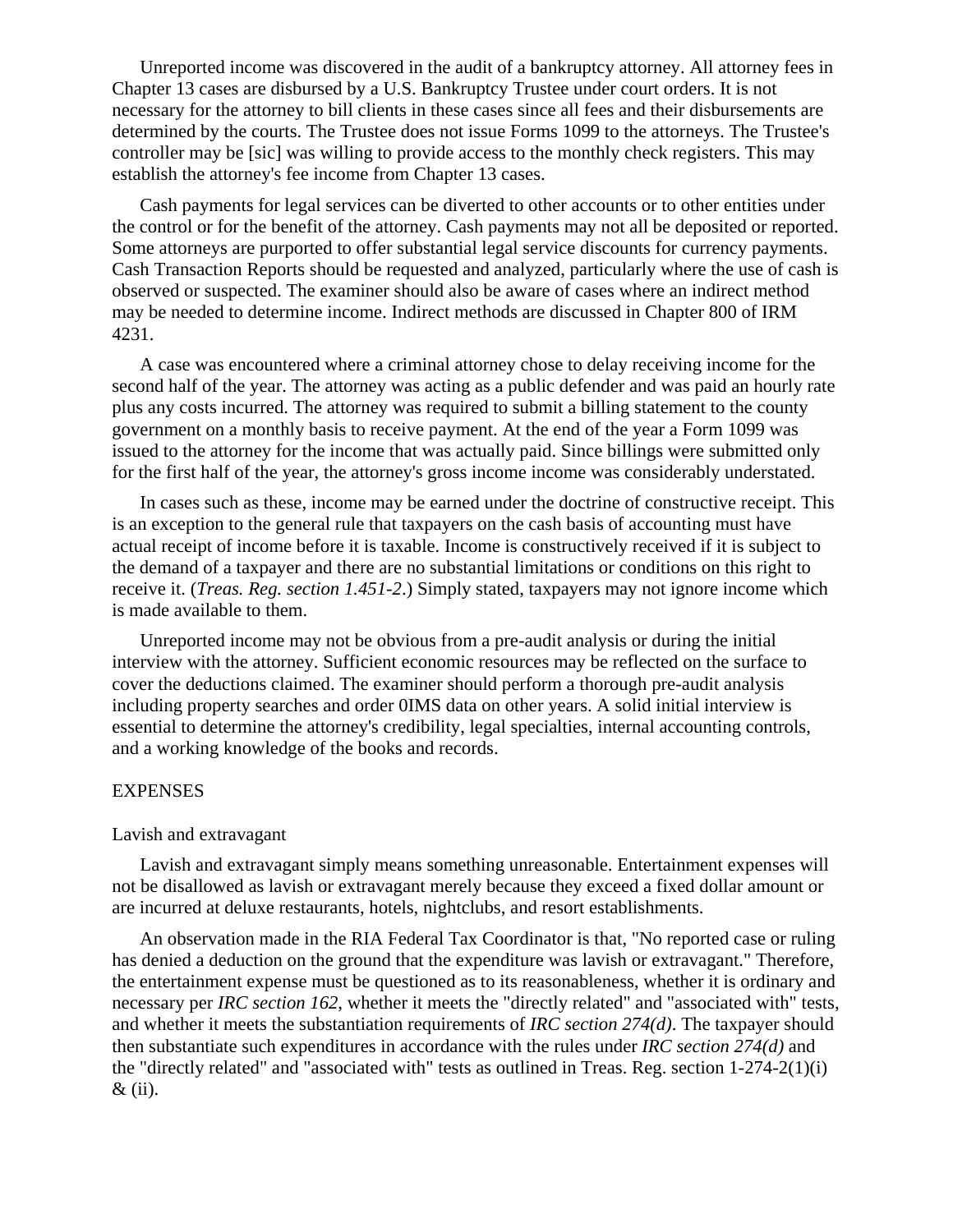Unreported income was discovered in the audit of a bankruptcy attorney. All attorney fees in Chapter 13 cases are disbursed by a U.S. Bankruptcy Trustee under court orders. It is not necessary for the attorney to bill clients in these cases since all fees and their disbursements are determined by the courts. The Trustee does not issue Forms 1099 to the attorneys. The Trustee's controller may be [sic] was willing to provide access to the monthly check registers. This may establish the attorney's fee income from Chapter 13 cases.

Cash payments for legal services can be diverted to other accounts or to other entities under the control or for the benefit of the attorney. Cash payments may not all be deposited or reported. Some attorneys are purported to offer substantial legal service discounts for currency payments. Cash Transaction Reports should be requested and analyzed, particularly where the use of cash is observed or suspected. The examiner should also be aware of cases where an indirect method may be needed to determine income. Indirect methods are discussed in Chapter 800 of IRM 4231.

A case was encountered where a criminal attorney chose to delay receiving income for the second half of the year. The attorney was acting as a public defender and was paid an hourly rate plus any costs incurred. The attorney was required to submit a billing statement to the county government on a monthly basis to receive payment. At the end of the year a Form 1099 was issued to the attorney for the income that was actually paid. Since billings were submitted only for the first half of the year, the attorney's gross income income was considerably understated.

In cases such as these, income may be earned under the doctrine of constructive receipt. This is an exception to the general rule that taxpayers on the cash basis of accounting must have actual receipt of income before it is taxable. Income is constructively received if it is subject to the demand of a taxpayer and there are no substantial limitations or conditions on this right to receive it. (*Treas. Reg. section 1.451-2*.) Simply stated, taxpayers may not ignore income which is made available to them.

Unreported income may not be obvious from a pre-audit analysis or during the initial interview with the attorney. Sufficient economic resources may be reflected on the surface to cover the deductions claimed. The examiner should perform a thorough pre-audit analysis including property searches and order 0IMS data on other years. A solid initial interview is essential to determine the attorney's credibility, legal specialties, internal accounting controls, and a working knowledge of the books and records.

#### **EXPENSES**

#### Lavish and extravagant

Lavish and extravagant simply means something unreasonable. Entertainment expenses will not be disallowed as lavish or extravagant merely because they exceed a fixed dollar amount or are incurred at deluxe restaurants, hotels, nightclubs, and resort establishments.

An observation made in the RIA Federal Tax Coordinator is that, "No reported case or ruling has denied a deduction on the ground that the expenditure was lavish or extravagant." Therefore, the entertainment expense must be questioned as to its reasonableness, whether it is ordinary and necessary per *IRC section 162*, whether it meets the "directly related" and "associated with" tests, and whether it meets the substantiation requirements of *IRC section 274(d)*. The taxpayer should then substantiate such expenditures in accordance with the rules under *IRC section 274(d)* and the "directly related" and "associated with" tests as outlined in Treas. Reg. section 1-274-2(1)(i)  $\&$  (ii).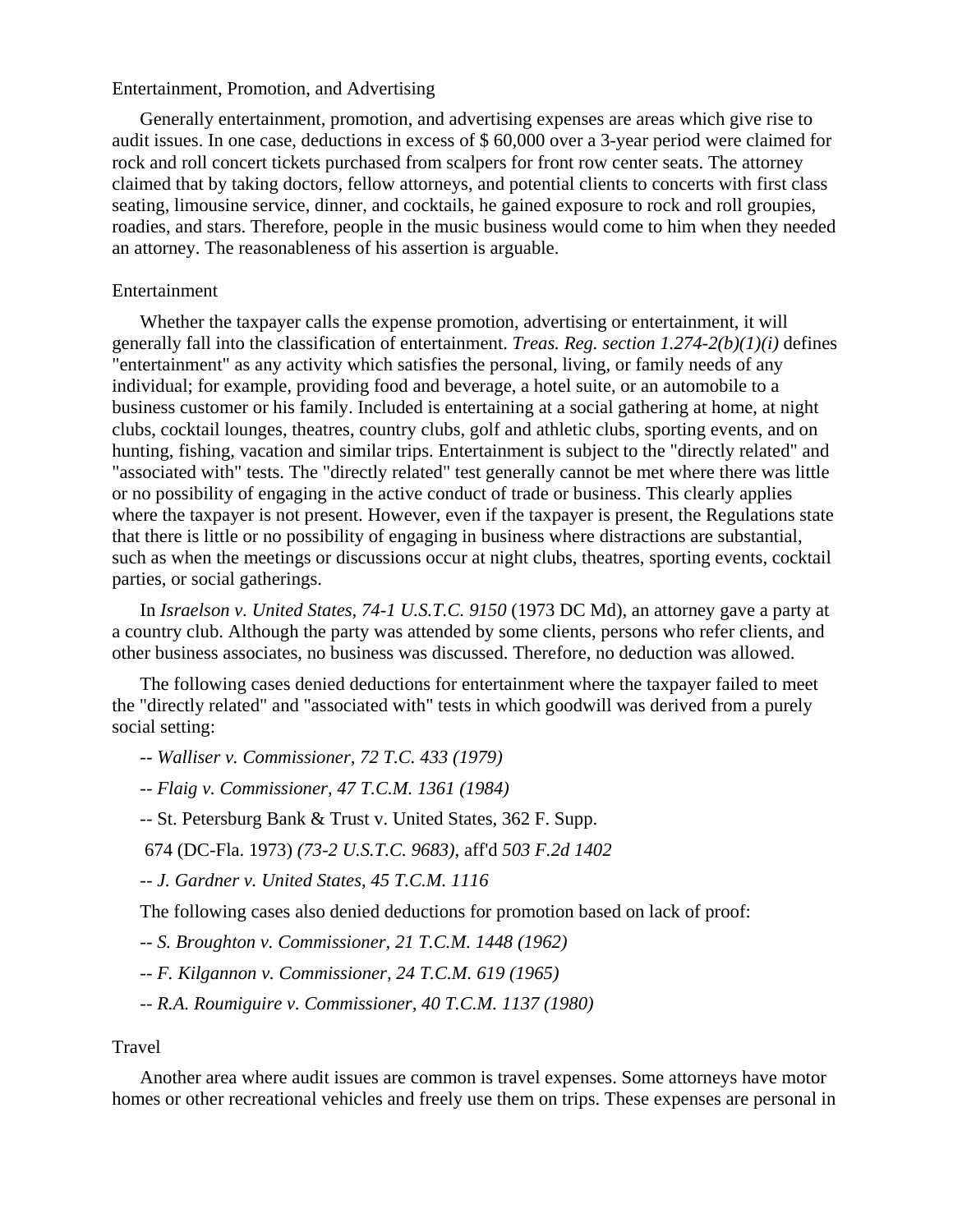#### Entertainment, Promotion, and Advertising

Generally entertainment, promotion, and advertising expenses are areas which give rise to audit issues. In one case, deductions in excess of \$ 60,000 over a 3-year period were claimed for rock and roll concert tickets purchased from scalpers for front row center seats. The attorney claimed that by taking doctors, fellow attorneys, and potential clients to concerts with first class seating, limousine service, dinner, and cocktails, he gained exposure to rock and roll groupies, roadies, and stars. Therefore, people in the music business would come to him when they needed an attorney. The reasonableness of his assertion is arguable.

#### Entertainment

Whether the taxpayer calls the expense promotion, advertising or entertainment, it will generally fall into the classification of entertainment. *Treas. Reg. section 1.274-2(b)(1)(i)* defines "entertainment" as any activity which satisfies the personal, living, or family needs of any individual; for example, providing food and beverage, a hotel suite, or an automobile to a business customer or his family. Included is entertaining at a social gathering at home, at night clubs, cocktail lounges, theatres, country clubs, golf and athletic clubs, sporting events, and on hunting, fishing, vacation and similar trips. Entertainment is subject to the "directly related" and "associated with" tests. The "directly related" test generally cannot be met where there was little or no possibility of engaging in the active conduct of trade or business. This clearly applies where the taxpayer is not present. However, even if the taxpayer is present, the Regulations state that there is little or no possibility of engaging in business where distractions are substantial, such as when the meetings or discussions occur at night clubs, theatres, sporting events, cocktail parties, or social gatherings.

In *Israelson v. United States, 74-1 U.S.T.C. 9150* (1973 DC Md), an attorney gave a party at a country club. Although the party was attended by some clients, persons who refer clients, and other business associates, no business was discussed. Therefore, no deduction was allowed.

The following cases denied deductions for entertainment where the taxpayer failed to meet the "directly related" and "associated with" tests in which goodwill was derived from a purely social setting:

- -- *Walliser v. Commissioner, 72 T.C. 433 (1979)*
- -- *Flaig v. Commissioner, 47 T.C.M. 1361 (1984)*
- -- St. Petersburg Bank & Trust v. United States, 362 F. Supp.

674 (DC-Fla. 1973) *(73-2 U.S.T.C. 9683),* aff'd *503 F.2d 1402*

-- *J. Gardner v. United States, 45 T.C.M. 1116*

The following cases also denied deductions for promotion based on lack of proof:

-- *S. Broughton v. Commissioner, 21 T.C.M. 1448 (1962)*

-- *F. Kilgannon v. Commissioner, 24 T.C.M. 619 (1965)*

-- *R.A. Roumiguire v. Commissioner, 40 T.C.M. 1137 (1980)*

# **Travel**

Another area where audit issues are common is travel expenses. Some attorneys have motor homes or other recreational vehicles and freely use them on trips. These expenses are personal in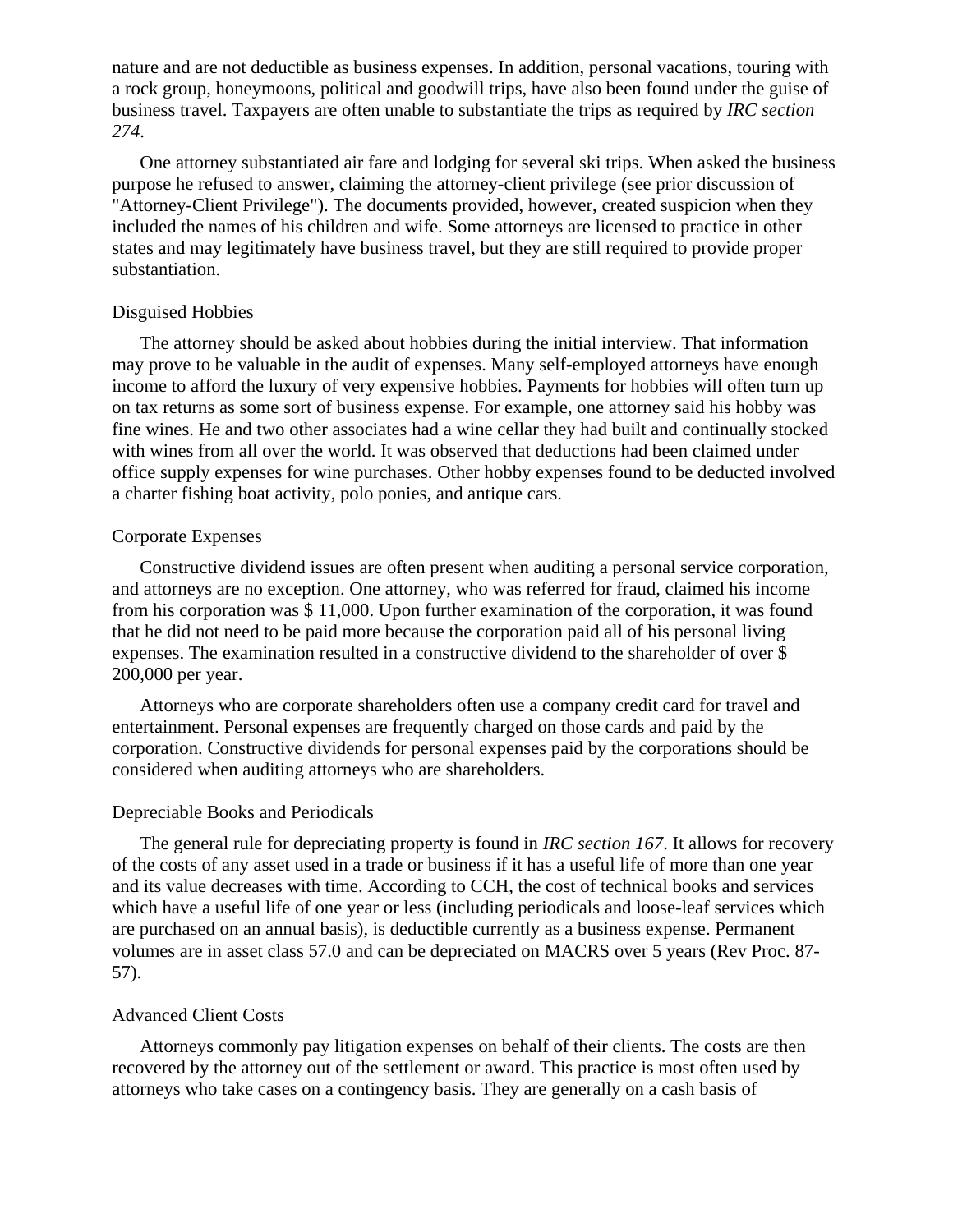nature and are not deductible as business expenses. In addition, personal vacations, touring with a rock group, honeymoons, political and goodwill trips, have also been found under the guise of business travel. Taxpayers are often unable to substantiate the trips as required by *IRC section 274*.

One attorney substantiated air fare and lodging for several ski trips. When asked the business purpose he refused to answer, claiming the attorney-client privilege (see prior discussion of "Attorney-Client Privilege"). The documents provided, however, created suspicion when they included the names of his children and wife. Some attorneys are licensed to practice in other states and may legitimately have business travel, but they are still required to provide proper substantiation.

#### Disguised Hobbies

The attorney should be asked about hobbies during the initial interview. That information may prove to be valuable in the audit of expenses. Many self-employed attorneys have enough income to afford the luxury of very expensive hobbies. Payments for hobbies will often turn up on tax returns as some sort of business expense. For example, one attorney said his hobby was fine wines. He and two other associates had a wine cellar they had built and continually stocked with wines from all over the world. It was observed that deductions had been claimed under office supply expenses for wine purchases. Other hobby expenses found to be deducted involved a charter fishing boat activity, polo ponies, and antique cars.

#### Corporate Expenses

Constructive dividend issues are often present when auditing a personal service corporation, and attorneys are no exception. One attorney, who was referred for fraud, claimed his income from his corporation was \$ 11,000. Upon further examination of the corporation, it was found that he did not need to be paid more because the corporation paid all of his personal living expenses. The examination resulted in a constructive dividend to the shareholder of over \$ 200,000 per year.

Attorneys who are corporate shareholders often use a company credit card for travel and entertainment. Personal expenses are frequently charged on those cards and paid by the corporation. Constructive dividends for personal expenses paid by the corporations should be considered when auditing attorneys who are shareholders.

# Depreciable Books and Periodicals

The general rule for depreciating property is found in *IRC section 167*. It allows for recovery of the costs of any asset used in a trade or business if it has a useful life of more than one year and its value decreases with time. According to CCH, the cost of technical books and services which have a useful life of one year or less (including periodicals and loose-leaf services which are purchased on an annual basis), is deductible currently as a business expense. Permanent volumes are in asset class 57.0 and can be depreciated on MACRS over 5 years (Rev Proc. 87- 57).

#### Advanced Client Costs

Attorneys commonly pay litigation expenses on behalf of their clients. The costs are then recovered by the attorney out of the settlement or award. This practice is most often used by attorneys who take cases on a contingency basis. They are generally on a cash basis of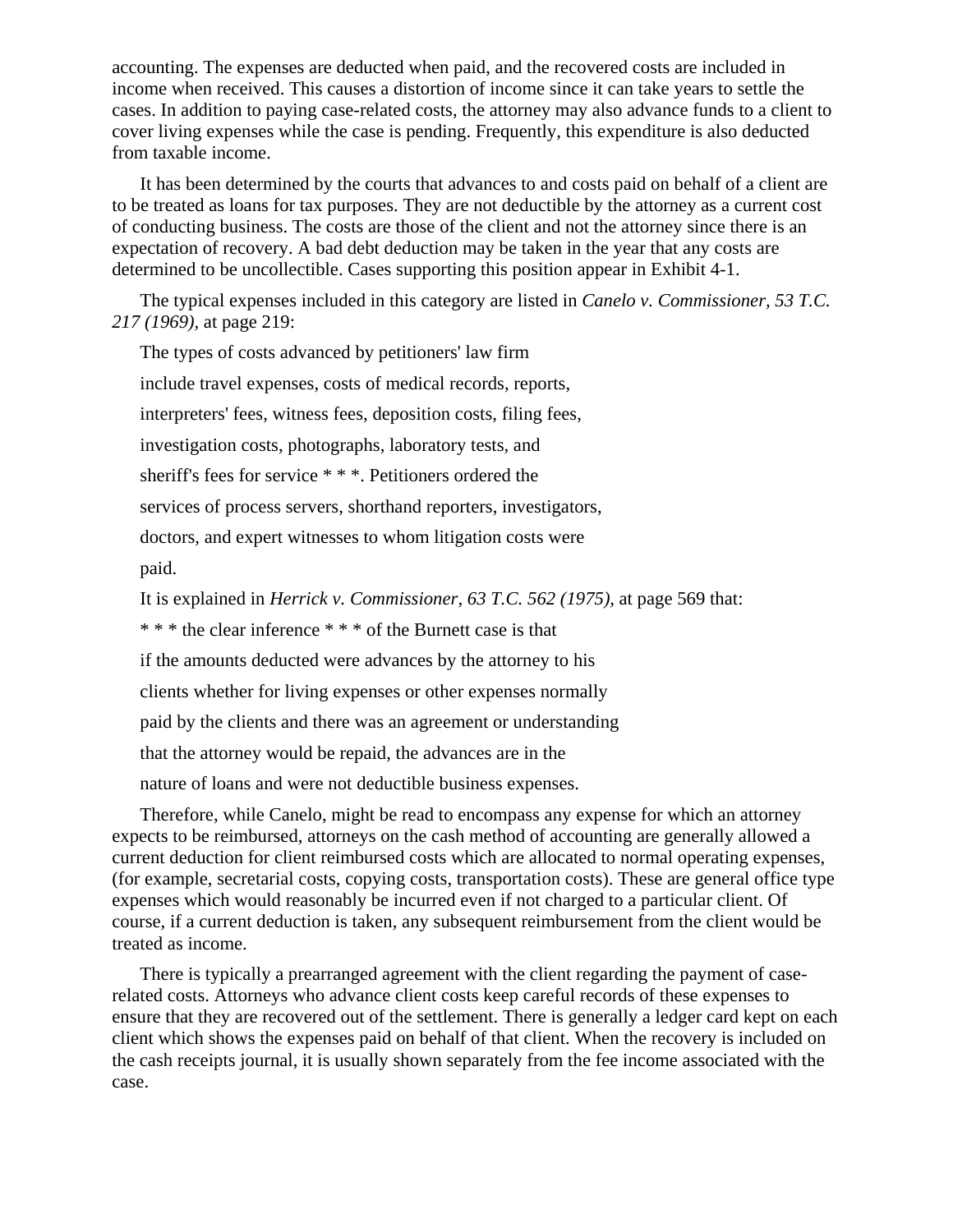accounting. The expenses are deducted when paid, and the recovered costs are included in income when received. This causes a distortion of income since it can take years to settle the cases. In addition to paying case-related costs, the attorney may also advance funds to a client to cover living expenses while the case is pending. Frequently, this expenditure is also deducted from taxable income.

It has been determined by the courts that advances to and costs paid on behalf of a client are to be treated as loans for tax purposes. They are not deductible by the attorney as a current cost of conducting business. The costs are those of the client and not the attorney since there is an expectation of recovery. A bad debt deduction may be taken in the year that any costs are determined to be uncollectible. Cases supporting this position appear in Exhibit 4-1.

The typical expenses included in this category are listed in *Canelo v. Commissioner, 53 T.C. 217 (1969),* at page 219:

The types of costs advanced by petitioners' law firm include travel expenses, costs of medical records, reports, interpreters' fees, witness fees, deposition costs, filing fees, investigation costs, photographs, laboratory tests, and sheriff's fees for service \* \* \*. Petitioners ordered the services of process servers, shorthand reporters, investigators, doctors, and expert witnesses to whom litigation costs were paid.

It is explained in *Herrick v. Commissioner, 63 T.C. 562 (1975),* at page 569 that:

\* \* \* the clear inference \* \* \* of the Burnett case is that

if the amounts deducted were advances by the attorney to his

clients whether for living expenses or other expenses normally

paid by the clients and there was an agreement or understanding

that the attorney would be repaid, the advances are in the

nature of loans and were not deductible business expenses.

Therefore, while Canelo, might be read to encompass any expense for which an attorney expects to be reimbursed, attorneys on the cash method of accounting are generally allowed a current deduction for client reimbursed costs which are allocated to normal operating expenses, (for example, secretarial costs, copying costs, transportation costs). These are general office type expenses which would reasonably be incurred even if not charged to a particular client. Of course, if a current deduction is taken, any subsequent reimbursement from the client would be treated as income.

There is typically a prearranged agreement with the client regarding the payment of caserelated costs. Attorneys who advance client costs keep careful records of these expenses to ensure that they are recovered out of the settlement. There is generally a ledger card kept on each client which shows the expenses paid on behalf of that client. When the recovery is included on the cash receipts journal, it is usually shown separately from the fee income associated with the case.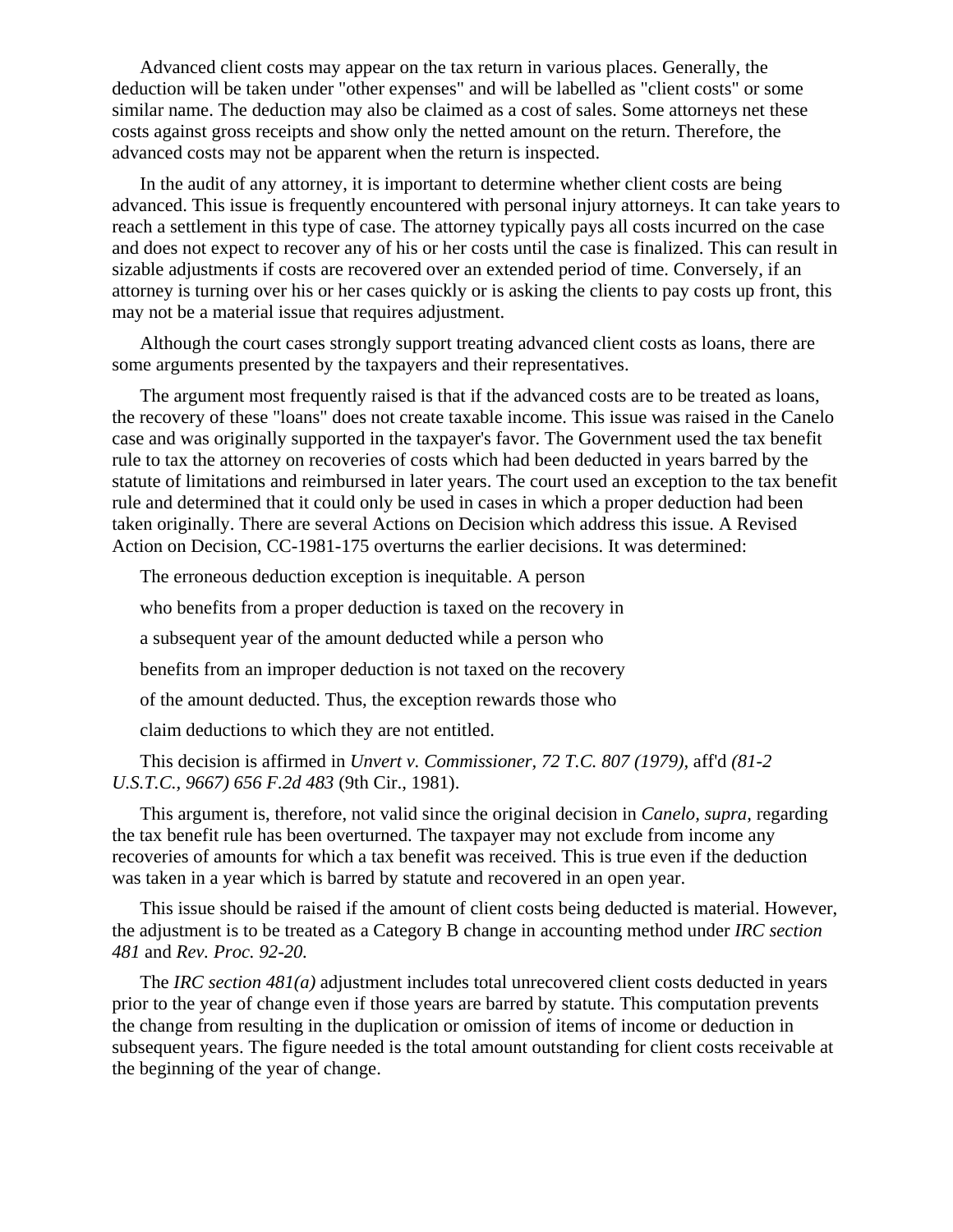Advanced client costs may appear on the tax return in various places. Generally, the deduction will be taken under "other expenses" and will be labelled as "client costs" or some similar name. The deduction may also be claimed as a cost of sales. Some attorneys net these costs against gross receipts and show only the netted amount on the return. Therefore, the advanced costs may not be apparent when the return is inspected.

In the audit of any attorney, it is important to determine whether client costs are being advanced. This issue is frequently encountered with personal injury attorneys. It can take years to reach a settlement in this type of case. The attorney typically pays all costs incurred on the case and does not expect to recover any of his or her costs until the case is finalized. This can result in sizable adjustments if costs are recovered over an extended period of time. Conversely, if an attorney is turning over his or her cases quickly or is asking the clients to pay costs up front, this may not be a material issue that requires adjustment.

Although the court cases strongly support treating advanced client costs as loans, there are some arguments presented by the taxpayers and their representatives.

The argument most frequently raised is that if the advanced costs are to be treated as loans, the recovery of these "loans" does not create taxable income. This issue was raised in the Canelo case and was originally supported in the taxpayer's favor. The Government used the tax benefit rule to tax the attorney on recoveries of costs which had been deducted in years barred by the statute of limitations and reimbursed in later years. The court used an exception to the tax benefit rule and determined that it could only be used in cases in which a proper deduction had been taken originally. There are several Actions on Decision which address this issue. A Revised Action on Decision, CC-1981-175 overturns the earlier decisions. It was determined:

The erroneous deduction exception is inequitable. A person

who benefits from a proper deduction is taxed on the recovery in

a subsequent year of the amount deducted while a person who

benefits from an improper deduction is not taxed on the recovery

of the amount deducted. Thus, the exception rewards those who

claim deductions to which they are not entitled.

This decision is affirmed in *Unvert v. Commissioner, 72 T.C. 807 (1979),* aff'd *(81-2 U.S.T.C., 9667) 656 F.2d 483* (9th Cir., 1981).

This argument is, therefore, not valid since the original decision in *Canelo, supra,* regarding the tax benefit rule has been overturned. The taxpayer may not exclude from income any recoveries of amounts for which a tax benefit was received. This is true even if the deduction was taken in a year which is barred by statute and recovered in an open year.

This issue should be raised if the amount of client costs being deducted is material. However, the adjustment is to be treated as a Category B change in accounting method under *IRC section 481* and *Rev. Proc. 92-20.*

The *IRC section 481(a)* adjustment includes total unrecovered client costs deducted in years prior to the year of change even if those years are barred by statute. This computation prevents the change from resulting in the duplication or omission of items of income or deduction in subsequent years. The figure needed is the total amount outstanding for client costs receivable at the beginning of the year of change.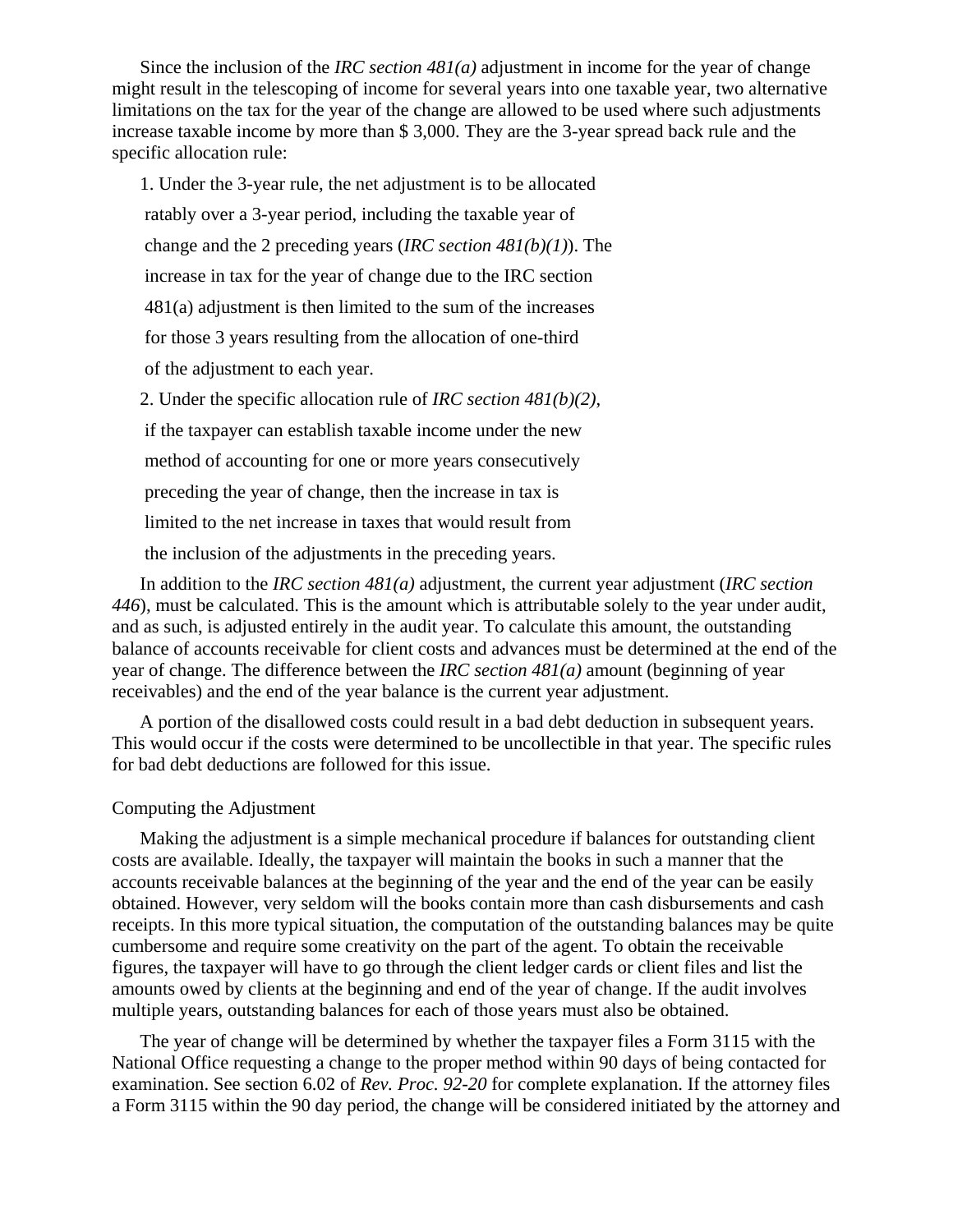Since the inclusion of the *IRC section 481(a)* adjustment in income for the year of change might result in the telescoping of income for several years into one taxable year, two alternative limitations on the tax for the year of the change are allowed to be used where such adjustments increase taxable income by more than \$ 3,000. They are the 3-year spread back rule and the specific allocation rule:

1. Under the 3-year rule, the net adjustment is to be allocated ratably over a 3-year period, including the taxable year of change and the 2 preceding years (*IRC section 481(b)(1)*). The increase in tax for the year of change due to the IRC section 481(a) adjustment is then limited to the sum of the increases for those 3 years resulting from the allocation of one-third of the adjustment to each year. 2. Under the specific allocation rule of *IRC section 481(b)(2)*,

 if the taxpayer can establish taxable income under the new method of accounting for one or more years consecutively preceding the year of change, then the increase in tax is limited to the net increase in taxes that would result from the inclusion of the adjustments in the preceding years.

In addition to the *IRC section 481(a)* adjustment, the current year adjustment (*IRC section 446*), must be calculated. This is the amount which is attributable solely to the year under audit, and as such, is adjusted entirely in the audit year. To calculate this amount, the outstanding balance of accounts receivable for client costs and advances must be determined at the end of the year of change. The difference between the *IRC section 481(a)* amount (beginning of year receivables) and the end of the year balance is the current year adjustment.

A portion of the disallowed costs could result in a bad debt deduction in subsequent years. This would occur if the costs were determined to be uncollectible in that year. The specific rules for bad debt deductions are followed for this issue.

# Computing the Adjustment

Making the adjustment is a simple mechanical procedure if balances for outstanding client costs are available. Ideally, the taxpayer will maintain the books in such a manner that the accounts receivable balances at the beginning of the year and the end of the year can be easily obtained. However, very seldom will the books contain more than cash disbursements and cash receipts. In this more typical situation, the computation of the outstanding balances may be quite cumbersome and require some creativity on the part of the agent. To obtain the receivable figures, the taxpayer will have to go through the client ledger cards or client files and list the amounts owed by clients at the beginning and end of the year of change. If the audit involves multiple years, outstanding balances for each of those years must also be obtained.

The year of change will be determined by whether the taxpayer files a Form 3115 with the National Office requesting a change to the proper method within 90 days of being contacted for examination. See section 6.02 of *Rev. Proc. 92-20* for complete explanation. If the attorney files a Form 3115 within the 90 day period, the change will be considered initiated by the attorney and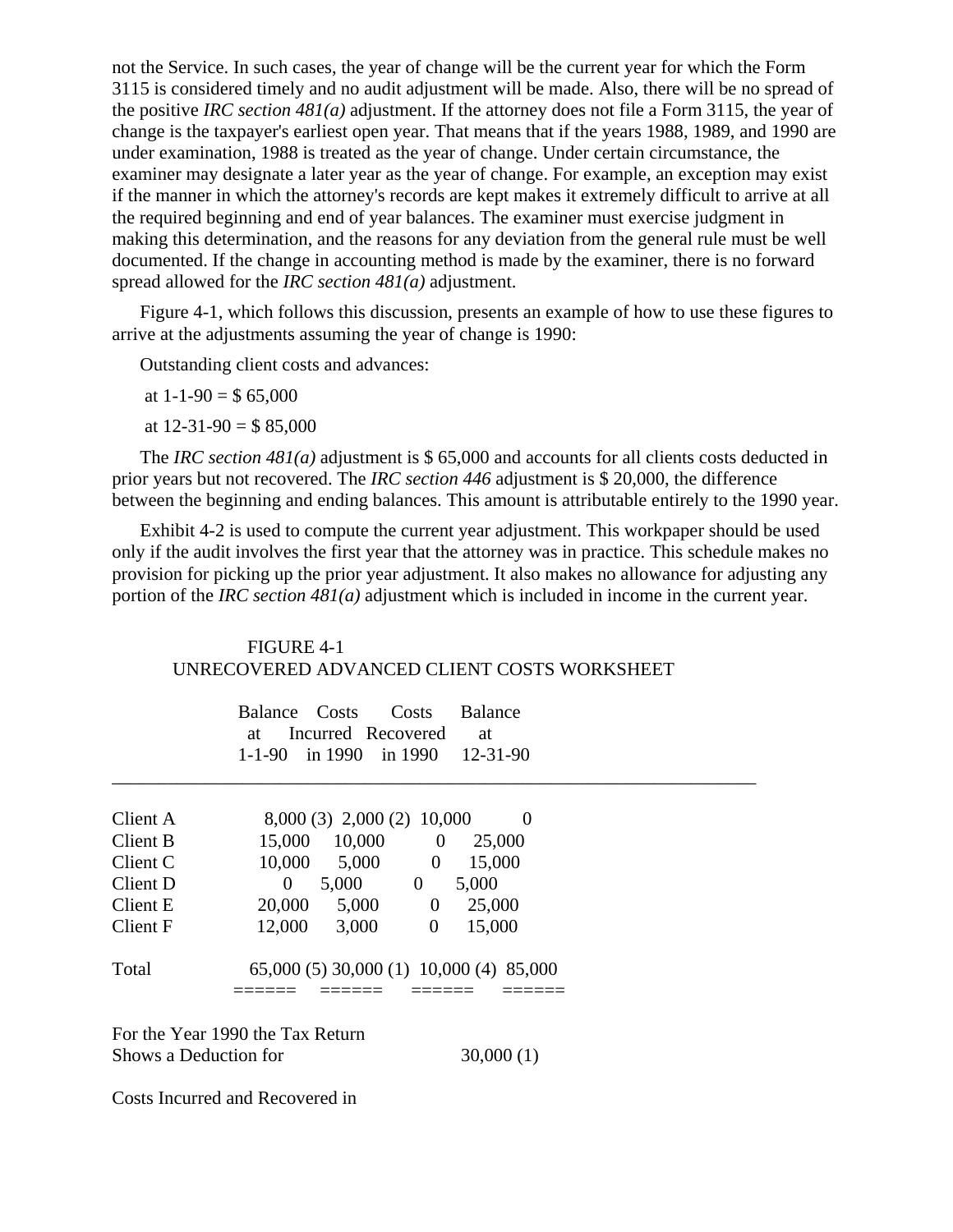not the Service. In such cases, the year of change will be the current year for which the Form 3115 is considered timely and no audit adjustment will be made. Also, there will be no spread of the positive *IRC section 481(a)* adjustment. If the attorney does not file a Form 3115, the year of change is the taxpayer's earliest open year. That means that if the years 1988, 1989, and 1990 are under examination, 1988 is treated as the year of change. Under certain circumstance, the examiner may designate a later year as the year of change. For example, an exception may exist if the manner in which the attorney's records are kept makes it extremely difficult to arrive at all the required beginning and end of year balances. The examiner must exercise judgment in making this determination, and the reasons for any deviation from the general rule must be well documented. If the change in accounting method is made by the examiner, there is no forward spread allowed for the *IRC section 481(a)* adjustment.

Figure 4-1, which follows this discussion, presents an example of how to use these figures to arrive at the adjustments assuming the year of change is 1990:

Outstanding client costs and advances:

at  $1 - 1 - 90 = $65,000$ 

at  $12 - 31 - 90 = $85,000$ 

The *IRC section 481(a)* adjustment is \$ 65,000 and accounts for all clients costs deducted in prior years but not recovered. The *IRC section 446* adjustment is \$ 20,000, the difference between the beginning and ending balances. This amount is attributable entirely to the 1990 year.

Exhibit 4-2 is used to compute the current year adjustment. This workpaper should be used only if the audit involves the first year that the attorney was in practice. This schedule makes no provision for picking up the prior year adjustment. It also makes no allowance for adjusting any portion of the *IRC section 481(a)* adjustment which is included in income in the current year.

# FIGURE 4-1 UNRECOVERED ADVANCED CLIENT COSTS WORKSHEET

\_\_\_\_\_\_\_\_\_\_\_\_\_\_\_\_\_\_\_\_\_\_\_\_\_\_\_\_\_\_\_\_\_\_\_\_\_\_\_\_\_\_\_\_\_\_\_\_\_\_\_\_\_\_\_\_\_\_\_\_\_\_\_\_\_\_\_\_\_

|  | Balance Costs Costs Balance     |  |
|--|---------------------------------|--|
|  | at Incurred Recovered at        |  |
|  | 1-1-90 in 1990 in 1990 12-31-90 |  |

| Client A |          | 8,000 (3) 2,000 (2) 10,000 |              |                                         |  |
|----------|----------|----------------------------|--------------|-----------------------------------------|--|
| Client B | 15,000   | 10,000                     |              | 25,000                                  |  |
| Client C | 10,000   | 5,000                      | $\theta$     | 15,000                                  |  |
| Client D | $\theta$ | 5,000                      | $\theta$     | 5,000                                   |  |
| Client E | 20,000   | 5,000                      | $\theta$     | 25,000                                  |  |
| Client F | 12,000   | 3,000                      | $\mathbf{0}$ | 15,000                                  |  |
| Total    |          |                            |              | 65,000 (5) 30,000 (1) 10,000 (4) 85,000 |  |

====== ====== ====== ======

For the Year 1990 the Tax Return Shows a Deduction for 30,000 (1)

Costs Incurred and Recovered in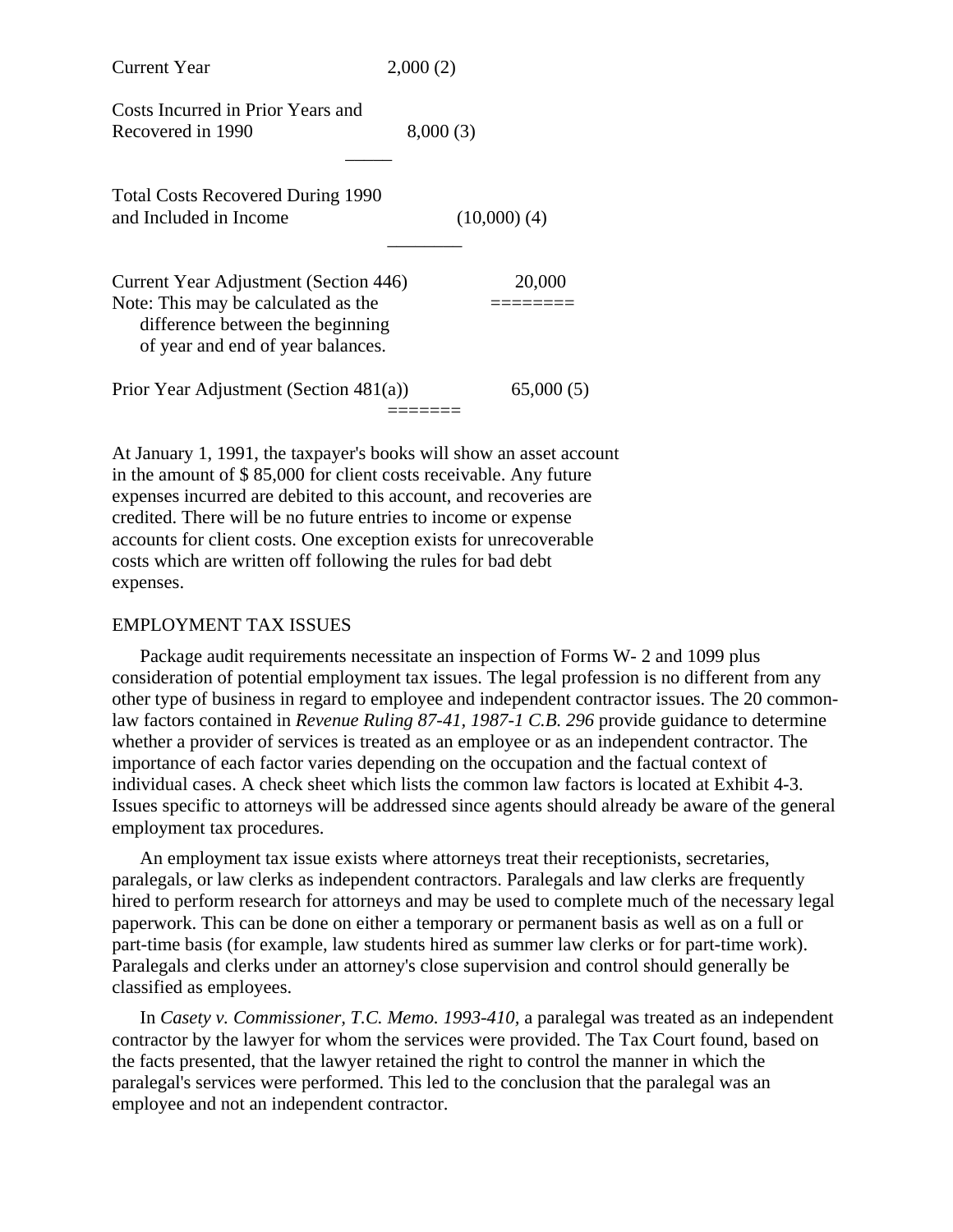| Current Year                                                                                                                                          | 2,000(2)         |
|-------------------------------------------------------------------------------------------------------------------------------------------------------|------------------|
| Costs Incurred in Prior Years and<br>Recovered in 1990                                                                                                | 8,000(3)         |
| <b>Total Costs Recovered During 1990</b><br>and Included in Income                                                                                    | $(10,000)$ $(4)$ |
| Current Year Adjustment (Section 446)<br>Note: This may be calculated as the<br>difference between the beginning<br>of year and end of year balances. | 20,000           |
| Prior Year Adjustment (Section 481(a))                                                                                                                | 65,000(5)        |
|                                                                                                                                                       |                  |

At January 1, 1991, the taxpayer's books will show an asset account in the amount of \$ 85,000 for client costs receivable. Any future expenses incurred are debited to this account, and recoveries are credited. There will be no future entries to income or expense accounts for client costs. One exception exists for unrecoverable costs which are written off following the rules for bad debt expenses.

# EMPLOYMENT TAX ISSUES

Package audit requirements necessitate an inspection of Forms W- 2 and 1099 plus consideration of potential employment tax issues. The legal profession is no different from any other type of business in regard to employee and independent contractor issues. The 20 commonlaw factors contained in *Revenue Ruling 87-41, 1987-1 C.B. 296* provide guidance to determine whether a provider of services is treated as an employee or as an independent contractor. The importance of each factor varies depending on the occupation and the factual context of individual cases. A check sheet which lists the common law factors is located at Exhibit 4-3. Issues specific to attorneys will be addressed since agents should already be aware of the general employment tax procedures.

An employment tax issue exists where attorneys treat their receptionists, secretaries, paralegals, or law clerks as independent contractors. Paralegals and law clerks are frequently hired to perform research for attorneys and may be used to complete much of the necessary legal paperwork. This can be done on either a temporary or permanent basis as well as on a full or part-time basis (for example, law students hired as summer law clerks or for part-time work). Paralegals and clerks under an attorney's close supervision and control should generally be classified as employees.

In *Casety v. Commissioner, T.C. Memo. 1993-410,* a paralegal was treated as an independent contractor by the lawyer for whom the services were provided. The Tax Court found, based on the facts presented, that the lawyer retained the right to control the manner in which the paralegal's services were performed. This led to the conclusion that the paralegal was an employee and not an independent contractor.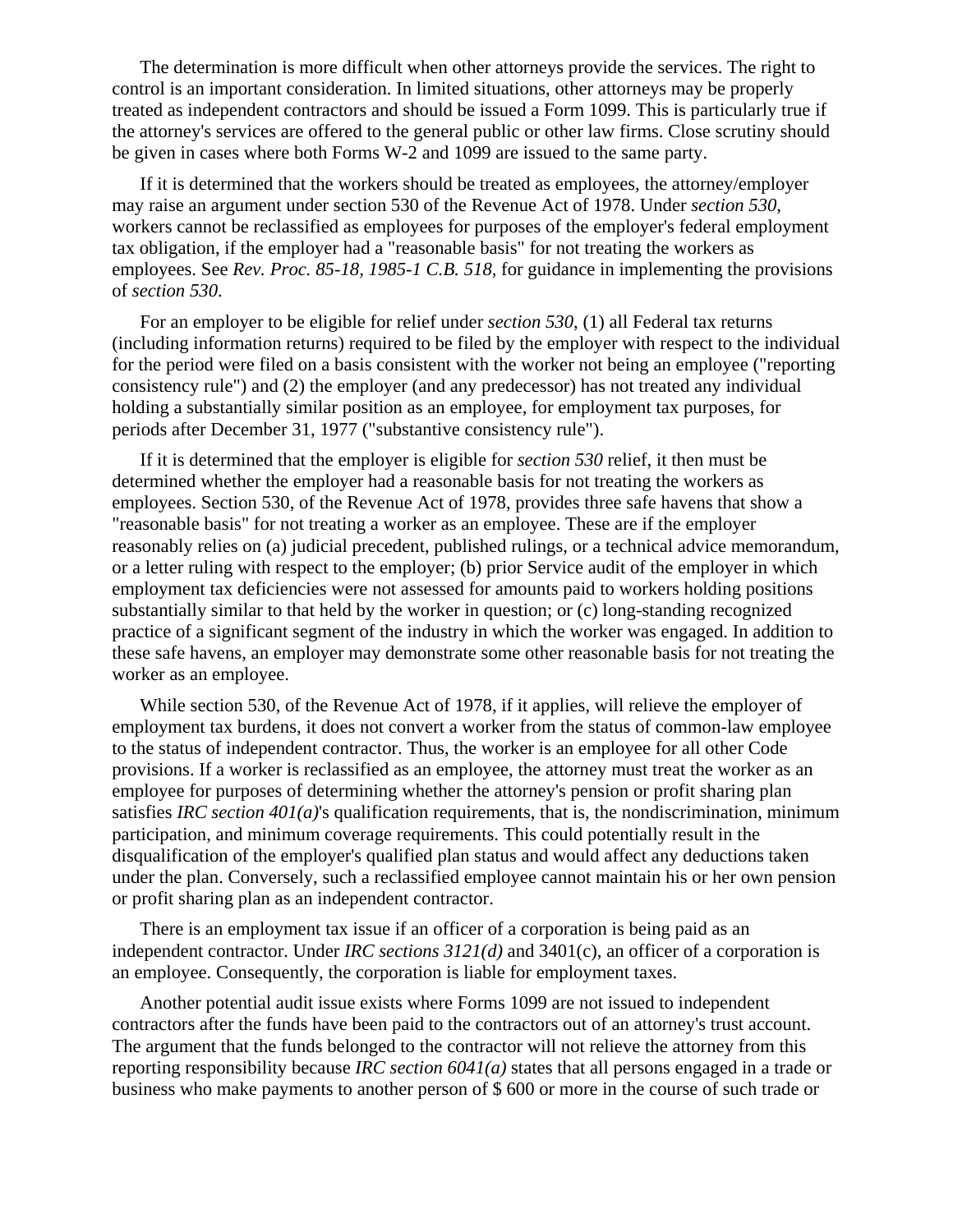The determination is more difficult when other attorneys provide the services. The right to control is an important consideration. In limited situations, other attorneys may be properly treated as independent contractors and should be issued a Form 1099. This is particularly true if the attorney's services are offered to the general public or other law firms. Close scrutiny should be given in cases where both Forms W-2 and 1099 are issued to the same party.

If it is determined that the workers should be treated as employees, the attorney/employer may raise an argument under section 530 of the Revenue Act of 1978. Under *section 530*, workers cannot be reclassified as employees for purposes of the employer's federal employment tax obligation, if the employer had a "reasonable basis" for not treating the workers as employees. See *Rev. Proc. 85-18, 1985-1 C.B. 518,* for guidance in implementing the provisions of *section 530*.

For an employer to be eligible for relief under *section 530*, (1) all Federal tax returns (including information returns) required to be filed by the employer with respect to the individual for the period were filed on a basis consistent with the worker not being an employee ("reporting consistency rule") and (2) the employer (and any predecessor) has not treated any individual holding a substantially similar position as an employee, for employment tax purposes, for periods after December 31, 1977 ("substantive consistency rule").

If it is determined that the employer is eligible for *section 530* relief, it then must be determined whether the employer had a reasonable basis for not treating the workers as employees. Section 530, of the Revenue Act of 1978, provides three safe havens that show a "reasonable basis" for not treating a worker as an employee. These are if the employer reasonably relies on (a) judicial precedent, published rulings, or a technical advice memorandum, or a letter ruling with respect to the employer; (b) prior Service audit of the employer in which employment tax deficiencies were not assessed for amounts paid to workers holding positions substantially similar to that held by the worker in question; or (c) long-standing recognized practice of a significant segment of the industry in which the worker was engaged. In addition to these safe havens, an employer may demonstrate some other reasonable basis for not treating the worker as an employee.

While section 530, of the Revenue Act of 1978, if it applies, will relieve the employer of employment tax burdens, it does not convert a worker from the status of common-law employee to the status of independent contractor. Thus, the worker is an employee for all other Code provisions. If a worker is reclassified as an employee, the attorney must treat the worker as an employee for purposes of determining whether the attorney's pension or profit sharing plan satisfies *IRC section 401(a)*'s qualification requirements, that is, the nondiscrimination, minimum participation, and minimum coverage requirements. This could potentially result in the disqualification of the employer's qualified plan status and would affect any deductions taken under the plan. Conversely, such a reclassified employee cannot maintain his or her own pension or profit sharing plan as an independent contractor.

There is an employment tax issue if an officer of a corporation is being paid as an independent contractor. Under *IRC sections 3121(d)* and 3401(c), an officer of a corporation is an employee. Consequently, the corporation is liable for employment taxes.

Another potential audit issue exists where Forms 1099 are not issued to independent contractors after the funds have been paid to the contractors out of an attorney's trust account. The argument that the funds belonged to the contractor will not relieve the attorney from this reporting responsibility because *IRC section 6041(a)* states that all persons engaged in a trade or business who make payments to another person of \$ 600 or more in the course of such trade or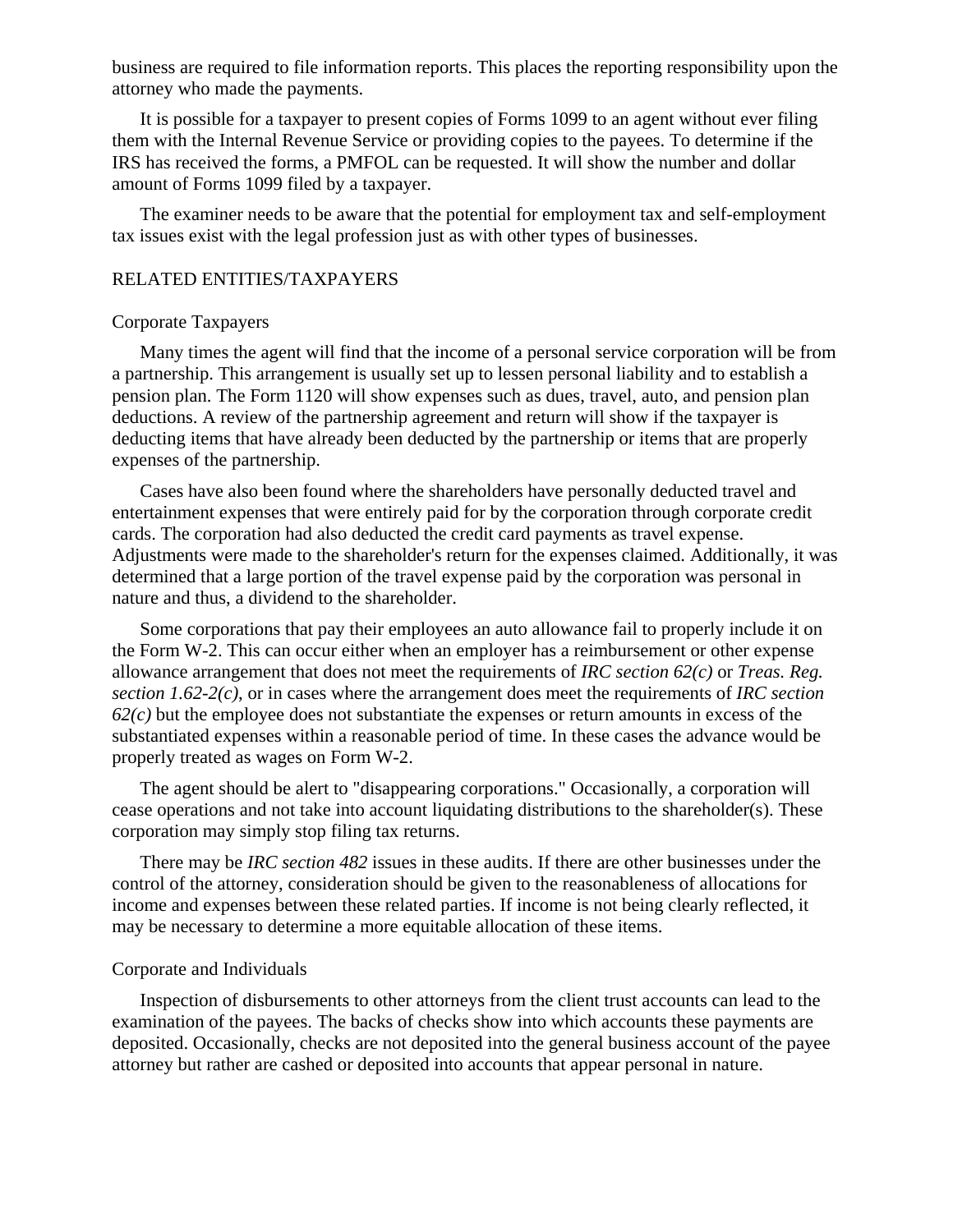business are required to file information reports. This places the reporting responsibility upon the attorney who made the payments.

It is possible for a taxpayer to present copies of Forms 1099 to an agent without ever filing them with the Internal Revenue Service or providing copies to the payees. To determine if the IRS has received the forms, a PMFOL can be requested. It will show the number and dollar amount of Forms 1099 filed by a taxpayer.

The examiner needs to be aware that the potential for employment tax and self-employment tax issues exist with the legal profession just as with other types of businesses.

# RELATED ENTITIES/TAXPAYERS

#### Corporate Taxpayers

Many times the agent will find that the income of a personal service corporation will be from a partnership. This arrangement is usually set up to lessen personal liability and to establish a pension plan. The Form 1120 will show expenses such as dues, travel, auto, and pension plan deductions. A review of the partnership agreement and return will show if the taxpayer is deducting items that have already been deducted by the partnership or items that are properly expenses of the partnership.

Cases have also been found where the shareholders have personally deducted travel and entertainment expenses that were entirely paid for by the corporation through corporate credit cards. The corporation had also deducted the credit card payments as travel expense. Adjustments were made to the shareholder's return for the expenses claimed. Additionally, it was determined that a large portion of the travel expense paid by the corporation was personal in nature and thus, a dividend to the shareholder.

Some corporations that pay their employees an auto allowance fail to properly include it on the Form W-2. This can occur either when an employer has a reimbursement or other expense allowance arrangement that does not meet the requirements of *IRC section 62(c)* or *Treas. Reg. section 1.62-2(c)*, or in cases where the arrangement does meet the requirements of *IRC section*   $62(c)$  but the employee does not substantiate the expenses or return amounts in excess of the substantiated expenses within a reasonable period of time. In these cases the advance would be properly treated as wages on Form W-2.

The agent should be alert to "disappearing corporations." Occasionally, a corporation will cease operations and not take into account liquidating distributions to the shareholder(s). These corporation may simply stop filing tax returns.

There may be *IRC section 482* issues in these audits. If there are other businesses under the control of the attorney, consideration should be given to the reasonableness of allocations for income and expenses between these related parties. If income is not being clearly reflected, it may be necessary to determine a more equitable allocation of these items.

#### Corporate and Individuals

Inspection of disbursements to other attorneys from the client trust accounts can lead to the examination of the payees. The backs of checks show into which accounts these payments are deposited. Occasionally, checks are not deposited into the general business account of the payee attorney but rather are cashed or deposited into accounts that appear personal in nature.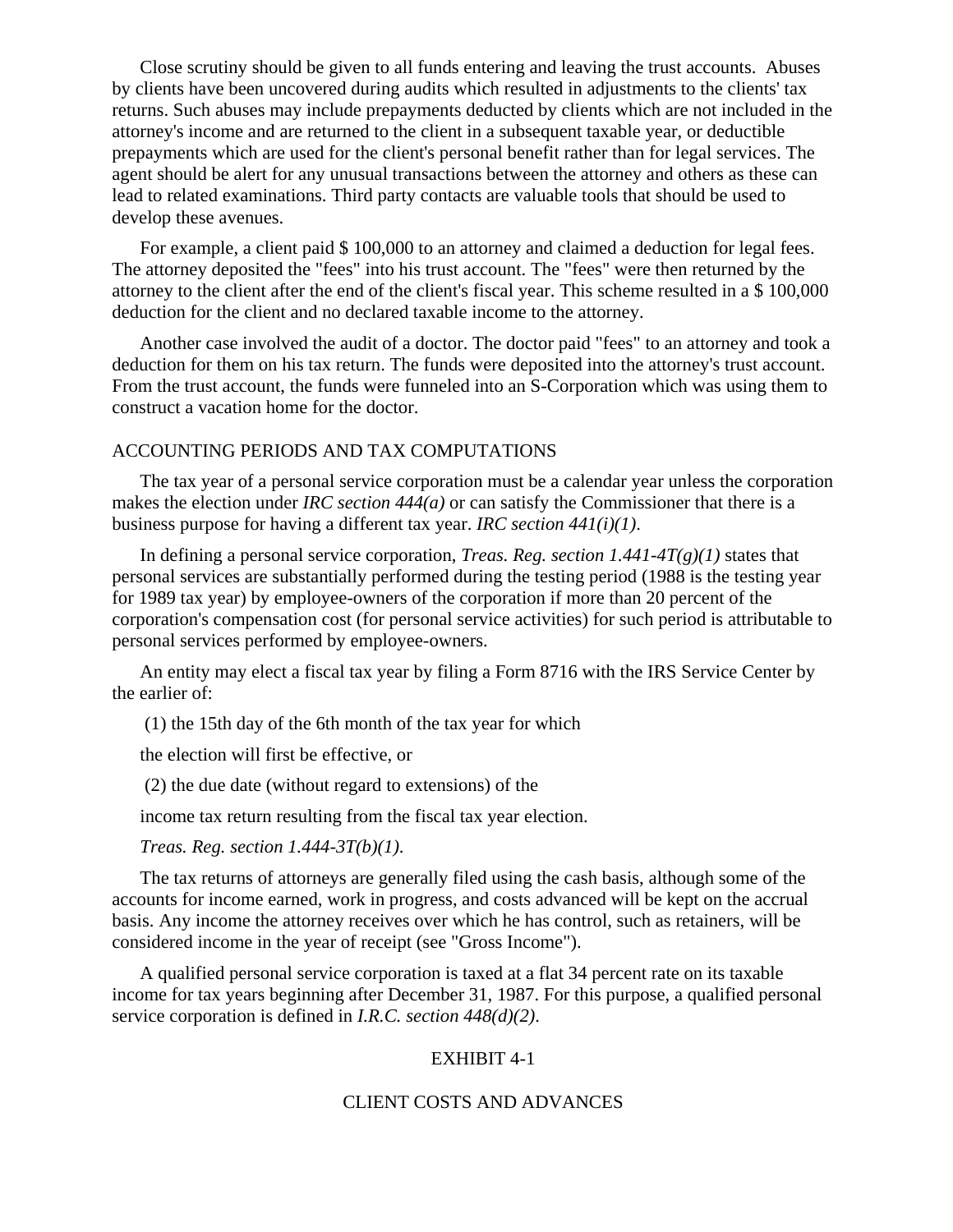Close scrutiny should be given to all funds entering and leaving the trust accounts. Abuses by clients have been uncovered during audits which resulted in adjustments to the clients' tax returns. Such abuses may include prepayments deducted by clients which are not included in the attorney's income and are returned to the client in a subsequent taxable year, or deductible prepayments which are used for the client's personal benefit rather than for legal services. The agent should be alert for any unusual transactions between the attorney and others as these can lead to related examinations. Third party contacts are valuable tools that should be used to develop these avenues.

For example, a client paid \$ 100,000 to an attorney and claimed a deduction for legal fees. The attorney deposited the "fees" into his trust account. The "fees" were then returned by the attorney to the client after the end of the client's fiscal year. This scheme resulted in a \$ 100,000 deduction for the client and no declared taxable income to the attorney.

Another case involved the audit of a doctor. The doctor paid "fees" to an attorney and took a deduction for them on his tax return. The funds were deposited into the attorney's trust account. From the trust account, the funds were funneled into an S-Corporation which was using them to construct a vacation home for the doctor.

# ACCOUNTING PERIODS AND TAX COMPUTATIONS

The tax year of a personal service corporation must be a calendar year unless the corporation makes the election under *IRC section 444(a)* or can satisfy the Commissioner that there is a business purpose for having a different tax year. *IRC section 441(i)(1)*.

In defining a personal service corporation, *Treas. Reg. section 1.441-4T(g)(1)* states that personal services are substantially performed during the testing period (1988 is the testing year for 1989 tax year) by employee-owners of the corporation if more than 20 percent of the corporation's compensation cost (for personal service activities) for such period is attributable to personal services performed by employee-owners.

An entity may elect a fiscal tax year by filing a Form 8716 with the IRS Service Center by the earlier of:

(1) the 15th day of the 6th month of the tax year for which

the election will first be effective, or

(2) the due date (without regard to extensions) of the

income tax return resulting from the fiscal tax year election.

*Treas. Reg. section 1.444-3T(b)(1)*.

The tax returns of attorneys are generally filed using the cash basis, although some of the accounts for income earned, work in progress, and costs advanced will be kept on the accrual basis. Any income the attorney receives over which he has control, such as retainers, will be considered income in the year of receipt (see "Gross Income").

A qualified personal service corporation is taxed at a flat 34 percent rate on its taxable income for tax years beginning after December 31, 1987. For this purpose, a qualified personal service corporation is defined in *I.R.C. section 448(d)(2)*.

#### EXHIBIT 4-1

#### CLIENT COSTS AND ADVANCES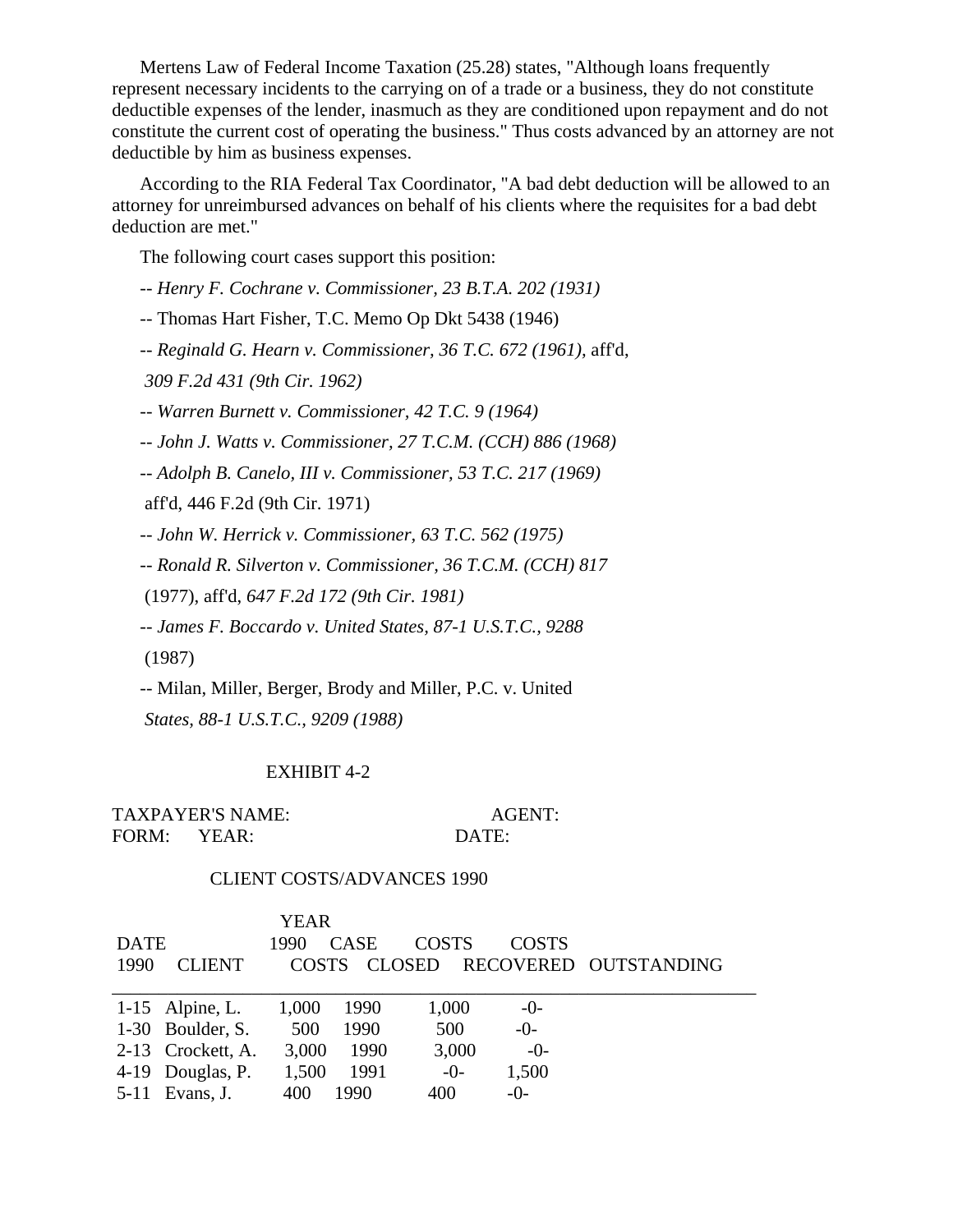Mertens Law of Federal Income Taxation (25.28) states, "Although loans frequently represent necessary incidents to the carrying on of a trade or a business, they do not constitute deductible expenses of the lender, inasmuch as they are conditioned upon repayment and do not constitute the current cost of operating the business." Thus costs advanced by an attorney are not deductible by him as business expenses.

According to the RIA Federal Tax Coordinator, "A bad debt deduction will be allowed to an attorney for unreimbursed advances on behalf of his clients where the requisites for a bad debt deduction are met."

The following court cases support this position:

-- *Henry F. Cochrane v. Commissioner, 23 B.T.A. 202 (1931)*

-- Thomas Hart Fisher, T.C. Memo Op Dkt 5438 (1946)

-- *Reginald G. Hearn v. Commissioner, 36 T.C. 672 (1961),* aff'd,

*309 F.2d 431 (9th Cir. 1962)*

-- *Warren Burnett v. Commissioner, 42 T.C. 9 (1964)*

-- *John J. Watts v. Commissioner, 27 T.C.M. (CCH) 886 (1968)*

-- *Adolph B. Canelo, III v. Commissioner, 53 T.C. 217 (1969)*

aff'd, 446 F.2d (9th Cir. 1971)

-- *John W. Herrick v. Commissioner, 63 T.C. 562 (1975)*

-- *Ronald R. Silverton v. Commissioner, 36 T.C.M. (CCH) 817*

(1977), aff'd, *647 F.2d 172 (9th Cir. 1981)*

-- *James F. Boccardo v. United States, 87-1 U.S.T.C., 9288*

(1987)

-- Milan, Miller, Berger, Brody and Miller, P.C. v. United *States, 88-1 U.S.T.C., 9209 (1988)* 

# EXHIBIT 4-2

TAXPAYER'S NAME: AGENT: FORM: YEAR: DATE:

#### CLIENT COSTS/ADVANCES 1990

|             |                    | <b>YEAR</b>  |             |               |              |                       |
|-------------|--------------------|--------------|-------------|---------------|--------------|-----------------------|
| <b>DATE</b> |                    | 1990         | <b>CASE</b> | <b>COSTS</b>  | <b>COSTS</b> |                       |
| 1990        | <b>CLIENT</b>      | <b>COSTS</b> |             | <b>CLOSED</b> |              | RECOVERED OUTSTANDING |
|             |                    |              |             |               |              |                       |
|             | $1-15$ Alpine, L.  | 1,000        | 1990        | 1,000         | $-0-$        |                       |
|             | $1-30$ Boulder, S. | 500          | 1990        | 500           | $-0-$        |                       |
|             | 2-13 Crockett, A.  | 3,000        | 1990        | 3,000         | $-0-$        |                       |
|             | 4-19 Douglas, P.   | 1,500        | 1991        | $-0-$         | 1,500        |                       |
|             | 5-11 Evans, J.     | 400          | 1990        | 400           | $-0-$        |                       |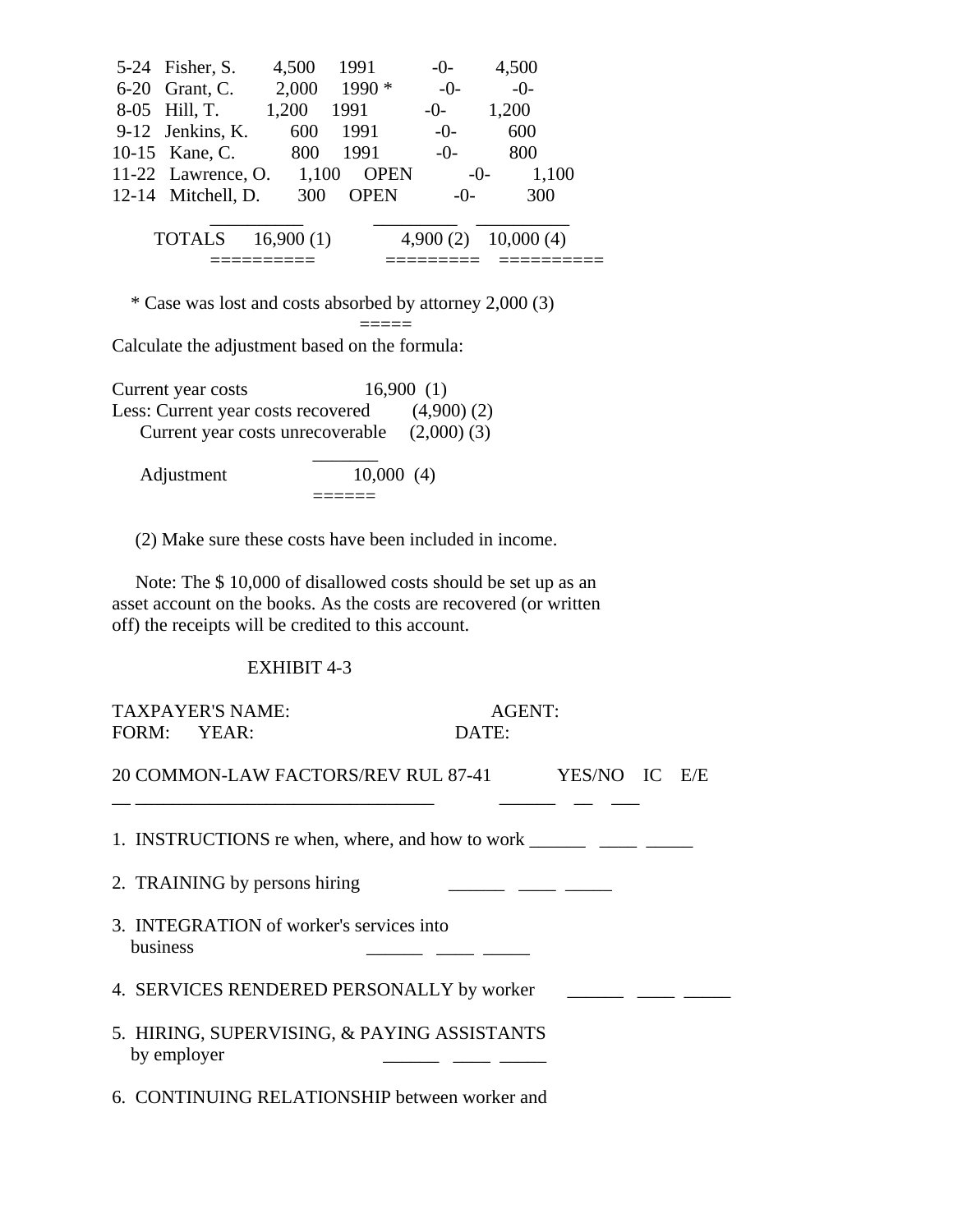| 5-24 Fisher, S.    | 4,500     | 1991        | $-()$    | 4,500     |  |
|--------------------|-----------|-------------|----------|-----------|--|
| 6-20 Grant, C.     | 2,000     | $1990*$     | $-0-$    | $-0-$     |  |
| 8-05 Hill, T.      | 1,200     | 1991        | $-()$ -  | 1,200     |  |
| 9-12 Jenkins, K.   | 600       | 1991        | $-()$    | 600       |  |
| 10-15 Kane, C.     | 800       | 1991        | $-()$    | 800       |  |
| 11-22 Lawrence, O. | 1,100     | <b>OPEN</b> | $-()$ -  | 1,100     |  |
| 12-14 Mitchell, D. | 300       | <b>OPEN</b> | $-()$    | 300       |  |
|                    |           |             |          |           |  |
| <b>TOTALS</b>      | 16,900(1) |             | 4,900(2) | 10,000(4) |  |
|                    |           |             |          |           |  |

\* Case was lost and costs absorbed by attorney 2,000 (3)

 $-----$ 

Calculate the adjustment based on the formula:

| Current year costs                 |           | 16,900(1)       |
|------------------------------------|-----------|-----------------|
| Less: Current year costs recovered |           | $(4,900)$ $(2)$ |
| Current year costs unrecoverable   |           | $(2,000)$ $(3)$ |
|                                    |           |                 |
| Adjustment                         | 10,000(4) |                 |
|                                    |           |                 |

(2) Make sure these costs have been included in income.

 Note: The \$ 10,000 of disallowed costs should be set up as an asset account on the books. As the costs are recovered (or written off) the receipts will be credited to this account.

# EXHIBIT 4-3

|             | <b>TAXPAYER'S NAME:</b>                                                           |                                                                                                                       | AGENT: |  |  |  |
|-------------|-----------------------------------------------------------------------------------|-----------------------------------------------------------------------------------------------------------------------|--------|--|--|--|
| FORM: YEAR: |                                                                                   | DATE:                                                                                                                 |        |  |  |  |
|             | 20 COMMON-LAW FACTORS/REV RUL 87-41 YES/NO IC E/E                                 |                                                                                                                       |        |  |  |  |
|             | 1. INSTRUCTIONS re when, where, and how to work _________________________________ |                                                                                                                       |        |  |  |  |
|             | 2. TRAINING by persons hiring                                                     | <u> 1990 - Jan James James James James James James James James James James James James James James James James Ja</u> |        |  |  |  |
| business    | 3. INTEGRATION of worker's services into                                          |                                                                                                                       |        |  |  |  |
|             | 4. SERVICES RENDERED PERSONALLY by worker                                         |                                                                                                                       |        |  |  |  |
| by employer | 5. HIRING, SUPERVISING, & PAYING ASSISTANTS                                       |                                                                                                                       |        |  |  |  |
|             | 6. CONTINUING RELATIONSHIP between worker and                                     |                                                                                                                       |        |  |  |  |